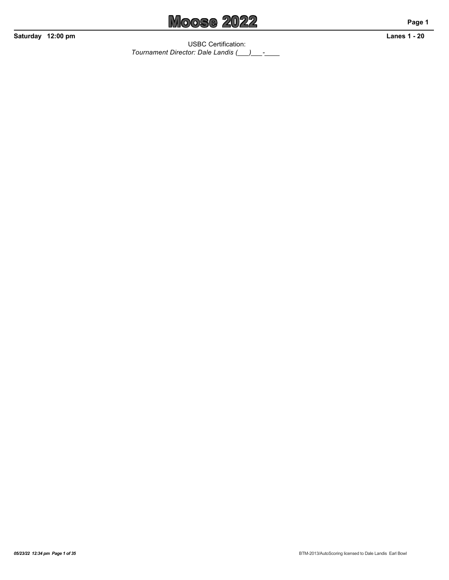

USBC Certification: *Tournament Director: Dale Landis (\_\_\_)\_\_\_-\_\_\_\_*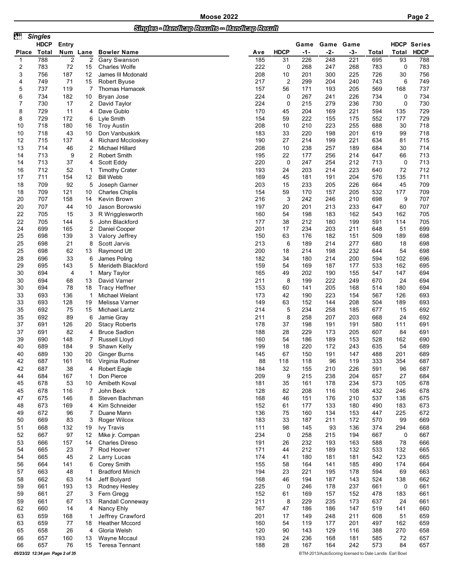| ett.         | <b>Singles</b>                 |                |                |                                             |            |                |            |                                                        |            |            |                   |               |
|--------------|--------------------------------|----------------|----------------|---------------------------------------------|------------|----------------|------------|--------------------------------------------------------|------------|------------|-------------------|---------------|
|              | <b>HDCP</b>                    | Entry          |                |                                             |            |                | Game       |                                                        | Game Game  |            | <b>HDCP</b>       | <b>Series</b> |
| <b>Place</b> | Total                          | Num            | Lane           | <b>Bowler Name</b>                          | Ave        | <b>HDCP</b>    | $-1-$      | -2-                                                    | -3-        | Total      | <b>Total</b>      | <b>HDCP</b>   |
| 1            | 788                            | $\overline{2}$ | $\overline{2}$ | Gary Swanson                                | 185        | 31             | 226        | 248                                                    | 221        | 695        | 93                | 788           |
| 2<br>3       | 783<br>756                     | 72<br>187      | 15<br>12       | <b>Charles Wolfe</b><br>James III Mcdonald  | 222<br>208 | 0<br>10        | 268<br>201 | 247<br>300                                             | 268<br>225 | 783<br>726 | $\mathbf 0$<br>30 | 783<br>756    |
| 4            | 749                            | 71             | 15             | <b>Robert Byuse</b>                         | 217        | $\overline{c}$ | 299        | 204                                                    | 240        | 743        | 6                 | 749           |
| 5            | 737                            | 119            | 7              | Thomas Hamacek                              | 157        | 56             | 171        | 193                                                    | 205        | 569        | 168               | 737           |
| 6            | 734                            | 182            | 10             | Bryan Jose                                  | 224        | 0              | 267        | 241                                                    | 226        | 734        | 0                 | 734           |
| 7            | 730                            | 17             | 2              | David Taylor                                | 224        | 0              | 215        | 279                                                    | 236        | 730        | 0                 | 730           |
| 8            | 729                            | 11             | 4              | Dave Gublo                                  | 170        | 45             | 204        | 169                                                    | 221        | 594        | 135               | 729           |
| 8            | 729                            | 172            | 6              | Lyle Smith                                  | 154        | 59             | 222        | 155                                                    | 175        | 552        | 177               | 729           |
| 10           | 718                            | 180            | 16             | <b>Troy Austin</b>                          | 208        | 10             | 210        | 223                                                    | 255        | 688        | 30                | 718           |
| 10           | 718                            | 43             | 10             | Don Vanbuskirk                              | 183        | 33             | 220        | 198                                                    | 201        | 619        | 99                | 718           |
| 12           | 715                            | 137            | 4              | <b>Richard Mccloskey</b>                    | 190        | 27             | 214        | 199                                                    | 221        | 634        | 81                | 715           |
| 13<br>14     | 714<br>713                     | 46<br>9        | 2<br>2         | Michael Hillard<br><b>Robert Smith</b>      | 208<br>195 | 10<br>22       | 238<br>177 | 257<br>256                                             | 189<br>214 | 684<br>647 | 30<br>66          | 714<br>713    |
| 14           | 713                            | 37             | 4              | Scott Eddy                                  | 220        | 0              | 247        | 254                                                    | 212        | 713        | 0                 | 713           |
| 16           | 712                            | 52             | 1              | <b>Timothy Crater</b>                       | 193        | 24             | 203        | 214                                                    | 223        | 640        | 72                | 712           |
| 17           | 711                            | 154            | 12             | <b>Bill Webb</b>                            | 169        | 45             | 181        | 191                                                    | 204        | 576        | 135               | 711           |
| 18           | 709                            | 92             | 5              | Joseph Garner                               | 203        | 15             | 233        | 205                                                    | 226        | 664        | 45                | 709           |
| 18           | 709                            | 121            | 10             | <b>Charles Chiplis</b>                      | 154        | 59             | 170        | 157                                                    | 205        | 532        | 177               | 709           |
| 20           | 707                            | 158            | 14             | Kevin Brown                                 | 216        | 3              | 242        | 246                                                    | 210        | 698        | 9                 | 707           |
| 20           | 707                            | 44             | 10             | Jason Borowski                              | 197        | 20             | 201        | 213                                                    | 233        | 647        | 60                | 707           |
| 22           | 705                            | 15             | 3              | R Wrigglesworth                             | 160        | 54             | 198        | 183                                                    | 162        | 543        | 162               | 705           |
| 22           | 705                            | 144            | 5              | John Blackford                              | 177        | 38             | 212        | 180                                                    | 199        | 591        | 114               | 705           |
| 24           | 699                            | 165            | 2              | Daniel Cooper                               | 201        | 17             | 234<br>176 | 203                                                    | 211        | 648        | 51                | 699<br>698    |
| 25<br>25     | 698<br>698                     | 139<br>21      | 3<br>8         | Valory Jeffrey<br>Scott Jarvis              | 150<br>213 | 63<br>6        | 189        | 182<br>214                                             | 151<br>277 | 509<br>680 | 189<br>18         | 698           |
| 25           | 698                            | 62             | 13             | Raymond Utt                                 | 200        | 18             | 214        | 198                                                    | 232        | 644        | 54                | 698           |
| 28           | 696                            | 33             | 6              | James Poling                                | 182        | 34             | 180        | 214                                                    | 200        | 594        | 102               | 696           |
| 29           | 695                            | 143            | 5              | Merideth Blackford                          | 159        | 54             | 169        | 187                                                    | 177        | 533        | 162               | 695           |
| 30           | 694                            | 4              | 1              | Mary Taylor                                 | 165        | 49             | 202        | 190                                                    | 155        | 547        | 147               | 694           |
| 30           | 694                            | 68             | 13             | David Varner                                | 211        | 8              | 199        | 222                                                    | 249        | 670        | 24                | 694           |
| 30           | 694                            | 78             | 18             | <b>Tracy Heffner</b>                        | 153        | 60             | 141        | 205                                                    | 168        | 514        | 180               | 694           |
| 33           | 693                            | 136            | -1             | Michael Welant                              | 173        | 42             | 190        | 223                                                    | 154        | 567        | 126               | 693           |
| 33           | 693                            | 128            | 19             | Melissa Varner                              | 149        | 63             | 152        | 144                                                    | 208        | 504        | 189               | 693           |
| 35           | 692                            | 75             | 15             | Michael Lantz                               | 214        | 5              | 234        | 258                                                    | 185        | 677        | 15                | 692           |
| 35           | 692<br>691                     | 89             | 6              | Jamie Gray                                  | 211        | 8<br>37        | 258<br>198 | 207                                                    | 203        | 668        | 24                | 692           |
| 37<br>37     | 691                            | 126<br>82      | 20<br>4        | <b>Stacy Roberts</b><br><b>Bruce Sadlon</b> | 178<br>188 | 28             | 229        | 191<br>173                                             | 191<br>205 | 580<br>607 | 111<br>84         | 691<br>691    |
| 39           | 690                            | 148            | 7              | Russell Lloyd                               | 160        | 54             | 186        | 189                                                    | 153        | 528        | 162               | 690           |
| 40           | 689                            | 184            | 9              | Shawn Kelly                                 | 199        | 18             | 220        | 172                                                    | 243        | 635        | 54                | 689           |
| 40           | 689                            | 130            | 20             | Ginger Burns                                | 145        | 67             | 150        | 191                                                    | 147        | 488        | 201               | 689           |
| 42           | 687                            | 161            | 16             | Virginia Rudner                             | 88         | 118            | 118        | 96                                                     | 119        | 333        | 354               | 687           |
| 42           | 687                            | 38             | 4              | <b>Robert Eagle</b>                         | 184        | 32             | 155        | 210                                                    | 226        | 591        | 96                | 687           |
| 44           | 684                            | 167            |                | Don Pierce                                  | 209        | 9              | 215        | 238                                                    | 204        | 657        | 27                | 684           |
| 45           | 678                            | 53             | 10             | Amibeth Koval                               | 181        | 35             | 161        | 178                                                    | 234        | 573        | 105               | 678           |
| 45           | 678                            | 116            | 7              | John Beck                                   | 128        | 82             | 208        | 116                                                    | 108        | 432        | 246               | 678           |
| 47<br>48     | 675<br>673                     | 146<br>169     | 8<br>4         | Steven Bachman<br>Kim Schneider             | 168<br>152 | 46<br>61       | 151<br>177 | 176<br>133                                             | 210<br>180 | 537<br>490 | 138<br>183        | 675<br>673    |
| 49           | 672                            | 96             | 7              | Duane Mann                                  | 136        | 75             | 160        | 134                                                    | 153        | 447        | 225               | 672           |
| 50           | 669                            | 83             | 3              | Roger Wilcox                                | 183        | 33             | 187        | 211                                                    | 172        | 570        | 99                | 669           |
| 51           | 668                            | 132            | 19             | <b>Ivy Travis</b>                           | 111        | 98             | 145        | 93                                                     | 136        | 374        | 294               | 668           |
| 52           | 667                            | 97             | 12             | Mike jr. Compan                             | 234        | 0              | 258        | 215                                                    | 194        | 667        | $\mathbf 0$       | 667           |
| 53           | 666                            | 157            | 14             | <b>Charles Direso</b>                       | 191        | 26             | 232        | 193                                                    | 163        | 588        | 78                | 666           |
| 54           | 665                            | 23             | 7              | Rod Hoover                                  | 171        | 44             | 212        | 189                                                    | 132        | 533        | 132               | 665           |
| 54           | 665                            | 45             | 2              | Larry Lucas                                 | 174        | 41             | 180        | 181                                                    | 181        | 542        | 123               | 665           |
| 56           | 664                            | 141            | 6              | Corey Smith                                 | 155        | 58             | 164        | 141                                                    | 185        | 490        | 174               | 664           |
| 57           | 663                            | 48             | 1              | <b>Bradford Minich</b>                      | 194        | 23             | 221        | 195                                                    | 178        | 594        | 69                | 663           |
| 58<br>59     | 662<br>661                     | 63<br>193      | 14             | Jeff Bolyard<br>Rodney Hesley               | 168<br>225 | 46<br>0        | 194<br>246 | 187<br>178                                             | 143<br>237 | 524        | 138               | 662<br>661    |
| 59           | 661                            | 27             | 13<br>3        | Fern Gregg                                  | 152        | 61             | 169        | 157                                                    | 152        | 661<br>478 | 0<br>183          | 661           |
| 59           | 661                            | 67             | 13             | Randall Conneway                            | 211        | 8              | 229        | 235                                                    | 173        | 637        | 24                | 661           |
| 62           | 660                            | 14             | 4              | Nancy Ehly                                  | 167        | 47             | 186        | 186                                                    | 147        | 519        | 141               | 660           |
| 63           | 659                            | 168            | 1              | Jeffrey Crawford                            | 201        | 17             | 149        | 248                                                    | 211        | 608        | 51                | 659           |
| 63           | 659                            | 77             | 18             | <b>Heather Mccord</b>                       | 160        | 54             | 119        | 177                                                    | 201        | 497        | 162               | 659           |
| 65           | 658                            | 26             | 4              | Gloria Welsh                                | 120        | 90             | 143        | 129                                                    | 116        | 388        | 270               | 658           |
| 66           | 657                            | 160            | 13             | Wayne Mccaul                                | 193        | 24             | 236        | 168                                                    | 181        | 585        | 72                | 657           |
| 66           | 657                            | 76             | 15             | Teresa Tennant                              | 188        | 28             | 167        | 164                                                    | 242        | 573        | 84                | 657           |
|              | 05/23/22 12:34 pm Page 2 of 35 |                |                |                                             |            |                |            | BTM-2013/AutoScoring licensed to Dale Landis Earl Bowl |            |            |                   |               |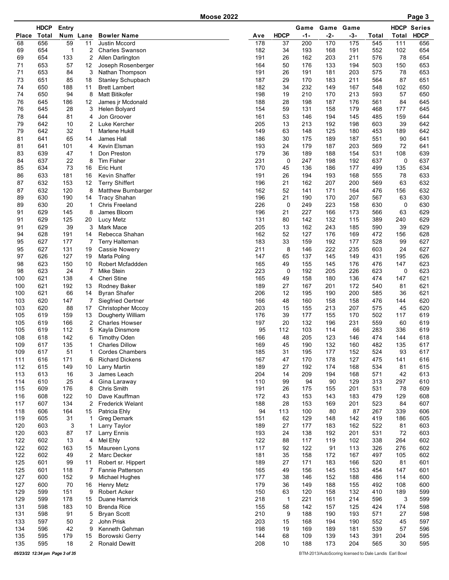**Moose 2022** 

|              | <b>HDCP</b> | Entry          |                      |                                               |            |             | Game       | Game       | Game       |            |            | <b>HDCP Series</b> |
|--------------|-------------|----------------|----------------------|-----------------------------------------------|------------|-------------|------------|------------|------------|------------|------------|--------------------|
| <b>Place</b> | Total       | Num            | Lane                 | <b>Bowler Name</b>                            | Ave        | <b>HDCP</b> | -1-        | -2-        | $-3-$      | Total      | Total      | <b>HDCP</b>        |
| 68           | 656         | 59             | 11                   | Justin Mccord                                 | 178        | 37          | 200        | 170        | 175        | 545        | 111        | 656                |
| 69           | 654         | $\overline{1}$ | 2                    | <b>Charles Swanson</b>                        | 182<br>191 | 34          | 193        | 168        | 191        | 552        | 102<br>78  | 654<br>654         |
| 69<br>71     | 654<br>653  | 133<br>57      | 2<br>12              | Allen Darlington<br>Joseph Rosenberger        | 164        | 26<br>50    | 162<br>176 | 203<br>133 | 211<br>194 | 576<br>503 | 150        | 653                |
| 71           | 653         | 84             | 3                    | Nathan Thompson                               | 191        | 26          | 191        | 181        | 203        | 575        | 78         | 653                |
| 73           | 651         | 85             | 18                   | Stanley Schupbach                             | 187        | 29          | 170        | 183        | 211        | 564        | 87         | 651                |
| 74           | 650         | 188            | 11                   | <b>Brett Lambert</b>                          | 182        | 34          | 232        | 149        | 167        | 548        | 102        | 650                |
| 74           | 650         | 94             | 8                    | <b>Matt Bitikofer</b>                         | 198        | 19          | 210        | 170        | 213        | 593        | 57         | 650                |
| 76           | 645         | 186            | 12                   | James jr Mcdonald                             | 188        | 28          | 198        | 187        | 176        | 561        | 84         | 645                |
| 76           | 645         | 28             | 3                    | Helen Bolyard                                 | 154        | 59          | 131        | 158        | 179        | 468        | 177        | 645                |
| 78           | 644         | 81             | 4                    | Jon Groover                                   | 161        | 53          | 146        | 194        | 145        | 485        | 159        | 644                |
| 79<br>79     | 642<br>642  | 10<br>32       | 2<br>1               | Luke Kercher<br>Marlene Hukill                | 205<br>149 | 13<br>63    | 213<br>148 | 192<br>125 | 198<br>180 | 603<br>453 | 39<br>189  | 642<br>642         |
| 81           | 641         | 65             | 14                   | James Hall                                    | 186        | 30          | 175        | 189        | 187        | 551        | 90         | 641                |
| 81           | 641         | 101            | 4                    | Kevin Elsman                                  | 193        | 24          | 179        | 187        | 203        | 569        | 72         | 641                |
| 83           | 639         | 47             | 1                    | Don Preston                                   | 179        | 36          | 189        | 188        | 154        | 531        | 108        | 639                |
| 84           | 637         | 22             | 8                    | <b>Tim Fisher</b>                             | 231        | 0           | 247        | 198        | 192        | 637        | 0          | 637                |
| 85           | 634         | 73             | 16                   | Eric Hunt                                     | 170        | 45          | 136        | 186        | 177        | 499        | 135        | 634                |
| 86           | 633         | 181            | 16                   | <b>Kevin Shaffer</b>                          | 191        | 26          | 194        | 193        | 168        | 555        | 78         | 633                |
| 87           | 632         | 153            | 12                   | <b>Terry Shiffert</b>                         | 196        | 21          | 162        | 207        | 200        | 569        | 63         | 632                |
| 87           | 632         | 120            | 8                    | Matthew Bumbarger                             | 162        | 52          | 141        | 171        | 164        | 476        | 156        | 632                |
| 89<br>89     | 630<br>630  | 190<br>20      | 14<br>1              | <b>Tracy Shahan</b><br>Chris Freeland         | 196<br>226 | 21<br>0     | 190<br>249 | 170<br>223 | 207<br>158 | 567<br>630 | 63<br>0    | 630<br>630         |
| 91           | 629         | 145            | 8                    | James Bloom                                   | 196        | 21          | 227        | 166        | 173        | 566        | 63         | 629                |
| 91           | 629         | 125            | 20                   | Lucy Metz                                     | 131        | 80          | 142        | 132        | 115        | 389        | 240        | 629                |
| 91           | 629         | 39             | 3                    | Mark Mace                                     | 205        | 13          | 162        | 243        | 185        | 590        | 39         | 629                |
| 94           | 628         | 191            | 14                   | Rebecca Shahan                                | 162        | 52          | 127        | 176        | 169        | 472        | 156        | 628                |
| 95           | 627         | 177            | 7                    | <b>Terry Halteman</b>                         | 183        | 33          | 159        | 192        | 177        | 528        | 99         | 627                |
| 95           | 627         | 131            | 19                   | <b>Cassie Nowery</b>                          | 211        | 8           | 146        | 222        | 235        | 603        | 24         | 627                |
| 97           | 626         | 127            | 19                   | Marla Poling                                  | 147        | 65          | 137        | 145        | 149        | 431        | 195        | 626                |
| 98<br>98     | 623<br>623  | 150<br>24      | 10<br>$\overline{7}$ | Robert Mcfaddden<br><b>Mike Stein</b>         | 165<br>223 | 49<br>0     | 155<br>192 | 145<br>205 | 176<br>226 | 476<br>623 | 147<br>0   | 623<br>623         |
| 100          | 621         | 138            | 4                    | Cheri Stine                                   | 165        | 49          | 158        | 180        | 136        | 474        | 147        | 621                |
| 100          | 621         | 192            | 13                   | Rodney Baker                                  | 189        | 27          | 167        | 201        | 172        | 540        | 81         | 621                |
| 100          | 621         | 66             | 14                   | <b>Byran Shafer</b>                           | 206        | 12          | 195        | 190        | 200        | 585        | 36         | 621                |
| 103          | 620         | 147            | 7                    | <b>Siegfried Oertner</b>                      | 166        | 48          | 160        | 158        | 158        | 476        | 144        | 620                |
| 103          | 620         | 88             | 17                   | <b>Christopher Mccoy</b>                      | 203        | 15          | 155        | 213        | 207        | 575        | 45         | 620                |
| 105          | 619         | 159            | 13                   | Dougherty William                             | 176        | 39          | 177        | 155        | 170        | 502        | 117        | 619                |
| 105          | 619         | 166            | 2                    | <b>Charles Howser</b>                         | 197        | 20          | 132        | 196        | 231        | 559        | 60         | 619                |
| 105          | 619         | 112<br>142     | 5                    | Kayla Dinsmore                                | 95         | 112<br>48   | 103        | 114        | 66         | 283<br>474 | 336        | 619                |
| 108<br>109   | 618<br>617  | 135            | 6<br>$\mathbf{1}$    | <b>Timothy Oden</b><br><b>Charles Dillow</b>  | 166<br>169 | 45          | 205<br>190 | 123<br>132 | 146<br>160 | 482        | 144<br>135 | 618<br>617         |
| 109          | 617         | 51             | 1                    | <b>Cordes Chambers</b>                        | 185        | 31          | 195        | 177        | 152        | 524        | 93         | 617                |
| 111          | 616         | 171            | 6                    | <b>Richard Dickens</b>                        | 167        | 47          | 170        | 178        | 127        | 475        | 141        | 616                |
| 112          | 615         | 149            | 10                   | Larry Martin                                  | 189        | 27          | 192        | 174        | 168        | 534        | 81         | 615                |
| 113          | 613         | 16             | 3                    | James Leach                                   | 204        | 14          | 209        | 194        | 168        | 571        | 42         | 613                |
| 114          | 610         | 25             | 4                    | Gina Laraway                                  | 110        | 99          | 94         | 90         | 129        | 313        | 297        | 610                |
| 115          | 609         | 176            | 8                    | Chris Smith                                   | 191        | 26          | 175        | 155        | 201        | 531        | 78         | 609                |
| 116<br>117   | 608<br>607  | 122<br>134     | 10<br>$\overline{c}$ | Dave Kauffman<br><b>Frederick Welant</b>      | 172<br>188 | 43<br>28    | 153<br>153 | 143<br>169 | 183<br>201 | 479<br>523 | 129<br>84  | 608<br>607         |
| 118          | 606         | 164            | 15                   | Patricia Ehly                                 | 94         | 113         | 100        | 80         | 87         | 267        | 339        | 606                |
| 119          | 605         | 31             | $\mathbf{1}$         | <b>Greg Demark</b>                            | 151        | 62          | 129        | 148        | 142        | 419        | 186        | 605                |
| 120          | 603         | 3              | 1                    | Larry Taylor                                  | 189        | 27          | 177        | 183        | 162        | 522        | 81         | 603                |
| 120          | 603         | 87             | 17                   | Larry Ennis                                   | 193        | 24          | 138        | 192        | 201        | 531        | 72         | 603                |
| 122          | 602         | 13             | 4                    | Mel Ehly                                      | 122        | 88          | 117        | 119        | 102        | 338        | 264        | 602                |
| 122          | 602         | 163            | 15                   | Maureen Lyons                                 | 117        | 92          | 122        | 91         | 113        | 326        | 276        | 602                |
| 122          | 602         | 49             | 2                    | Marc Decker                                   | 181        | 35<br>27    | 158        | 172        | 167        | 497        | 105        | 602                |
| 125<br>125   | 601<br>601  | 99<br>118      | 11<br>7              | Robert sr. Hippert<br><b>Fannie Patterson</b> | 189<br>165 | 49          | 171<br>156 | 183<br>145 | 166<br>153 | 520<br>454 | 81<br>147  | 601<br>601         |
| 127          | 600         | 152            | 9                    | Michael Hughes                                | 177        | 38          | 146        | 152        | 188        | 486        | 114        | 600                |
| 127          | 600         | 70             | 16                   | <b>Henry Metz</b>                             | 179        | 36          | 149        | 188        | 155        | 492        | 108        | 600                |
| 129          | 599         | 151            | 9                    | Robert Acker                                  | 150        | 63          | 120        | 158        | 132        | 410        | 189        | 599                |
| 129          | 599         | 178            | 15                   | Duane Hamrick                                 | 218        | 1           | 221        | 161        | 214        | 596        | 3          | 599                |
| 131          | 598         | 183            | 10                   | <b>Brenda Rice</b>                            | 155        | 58          | 142        | 157        | 125        | 424        | 174        | 598                |
| 131          | 598         | 91             | 5                    | <b>Bryan Scott</b>                            | 210        | 9           | 188        | 190        | 193        | 571        | 27         | 598                |
| 133          | 597         | 50             | $\overline{2}$       | John Prisk                                    | 203        | 15          | 168        | 194        | 190        | 552        | 45         | 597                |
| 134<br>135   | 596<br>595  | 42<br>179      | 9<br>15              | Kenneth Gehman<br>Borowski Gerry              | 198<br>144 | 19<br>68    | 169<br>109 | 189<br>139 | 181<br>143 | 539<br>391 | 57<br>204  | 596<br>595         |
| 135          | 595         | 18             | $\overline{2}$       | <b>Ronald Dewitt</b>                          | 208        | 10          | 188        | 173        | 204        | 565        | 30         | 595                |
|              |             |                |                      |                                               |            |             |            |            |            |            |            |                    |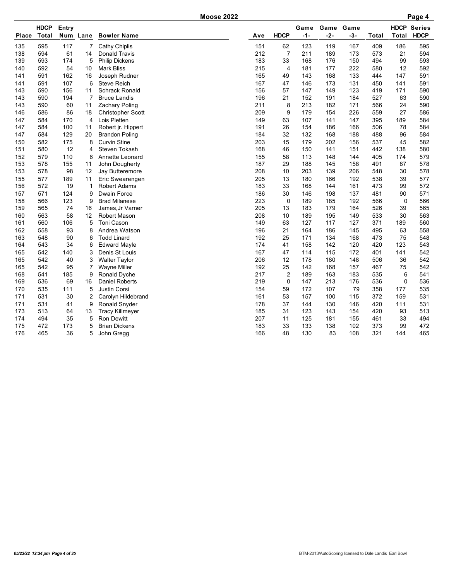|              |              |       |                |                          | <b>Moose 2022</b> |     |                |       |       |       |       |             | Page 4             |
|--------------|--------------|-------|----------------|--------------------------|-------------------|-----|----------------|-------|-------|-------|-------|-------------|--------------------|
|              | <b>HDCP</b>  | Entry |                |                          |                   |     |                | Game  | Game  | Game  |       |             | <b>HDCP Series</b> |
| <b>Place</b> | <b>Total</b> |       | Num Lane       | <b>Bowler Name</b>       |                   | Ave | <b>HDCP</b>    | $-1-$ | $-2-$ | $-3-$ | Total | Total       | <b>HDCP</b>        |
| 135          | 595          | 117   | 7              | Cathy Chiplis            |                   | 151 | 62             | 123   | 119   | 167   | 409   | 186         | 595                |
| 138          | 594          | 61    | 14             | Donald Travis            |                   | 212 | $\overline{7}$ | 211   | 189   | 173   | 573   | 21          | 594                |
| 139          | 593          | 174   | 5              | <b>Philip Dickens</b>    |                   | 183 | 33             | 168   | 176   | 150   | 494   | 99          | 593                |
| 140          | 592          | 54    | 10             | <b>Mark Bliss</b>        |                   | 215 | $\overline{4}$ | 181   | 177   | 222   | 580   | 12          | 592                |
| 141          | 591          | 162   | 16             | Joseph Rudner            |                   | 165 | 49             | 143   | 168   | 133   | 444   | 147         | 591                |
| 141          | 591          | 107   | 6              | <b>Steve Reich</b>       |                   | 167 | 47             | 146   | 173   | 131   | 450   | 141         | 591                |
| 143          | 590          | 156   | 11             | <b>Schrack Ronald</b>    |                   | 156 | 57             | 147   | 149   | 123   | 419   | 171         | 590                |
| 143          | 590          | 194   | 7              | <b>Bruce Landis</b>      |                   | 196 | 21             | 152   | 191   | 184   | 527   | 63          | 590                |
| 143          | 590          | 60    | 11             | <b>Zachary Poling</b>    |                   | 211 | 8              | 213   | 182   | 171   | 566   | 24          | 590                |
| 146          | 586          | 86    | 18             | <b>Christopher Scott</b> |                   | 209 | 9              | 179   | 154   | 226   | 559   | 27          | 586                |
| 147          | 584          | 170   | $\overline{4}$ | Lois Pletten             |                   | 149 | 63             | 107   | 141   | 147   | 395   | 189         | 584                |
| 147          | 584          | 100   | 11             | Robert jr. Hippert       |                   | 191 | 26             | 154   | 186   | 166   | 506   | 78          | 584                |
| 147          | 584          | 129   | 20             | <b>Brandon Poling</b>    |                   | 184 | 32             | 132   | 168   | 188   | 488   | 96          | 584                |
| 150          | 582          | 175   | 8              | <b>Curvin Stine</b>      |                   | 203 | 15             | 179   | 202   | 156   | 537   | 45          | 582                |
| 151          | 580          | 12    | 4              | Steven Tokash            |                   | 168 | 46             | 150   | 141   | 151   | 442   | 138         | 580                |
| 152          | 579          | 110   | 6              | Annette Leonard          |                   | 155 | 58             | 113   | 148   | 144   | 405   | 174         | 579                |
| 153          | 578          | 155   | 11             | John Dougherty           |                   | 187 | 29             | 188   | 145   | 158   | 491   | 87          | 578                |
| 153          | 578          | 98    | 12             | Jay Butteremore          |                   | 208 | 10             | 203   | 139   | 206   | 548   | 30          | 578                |
| 155          | 577          | 189   | 11             | Eric Swearengen          |                   | 205 | 13             | 180   | 166   | 192   | 538   | 39          | 577                |
| 156          | 572          | 19    | 1              | <b>Robert Adams</b>      |                   | 183 | 33             | 168   | 144   | 161   | 473   | 99          | 572                |
| 157          | 571          | 124   | 9              | Dwain Force              |                   | 186 | 30             | 146   | 198   | 137   | 481   | 90          | 571                |
| 158          | 566          | 123   | 9              | <b>Brad Milanese</b>     |                   | 223 | $\mathbf 0$    | 189   | 185   | 192   | 566   | $\mathbf 0$ | 566                |
| 159          | 565          | 74    | 16             | James, Jr Varner         |                   | 205 | 13             | 183   | 179   | 164   | 526   | 39          | 565                |
| 160          | 563          | 58    | 12             | <b>Robert Mason</b>      |                   | 208 | 10             | 189   | 195   | 149   | 533   | 30          | 563                |
| 161          | 560          | 106   | 5              | Toni Cason               |                   | 149 | 63             | 127   | 117   | 127   | 371   | 189         | 560                |
| 162          | 558          | 93    | 8              | Andrea Watson            |                   | 196 | 21             | 164   | 186   | 145   | 495   | 63          | 558                |
| 163          | 548          | 90    | 6              | <b>Todd Linard</b>       |                   | 192 | 25             | 171   | 134   | 168   | 473   | 75          | 548                |
| 164          | 543          | 34    | 6              | <b>Edward Mayle</b>      |                   | 174 | 41             | 158   | 142   | 120   | 420   | 123         | 543                |
| 165          | 542          | 140   | 3              | Denis St Louis           |                   | 167 | 47             | 114   | 115   | 172   | 401   | 141         | 542                |
| 165          | 542          | 40    | 3              | <b>Walter Taylor</b>     |                   | 206 | 12             | 178   | 180   | 148   | 506   | 36          | 542                |
| 165          | 542          | 95    | 7              | <b>Wayne Miller</b>      |                   | 192 | 25             | 142   | 168   | 157   | 467   | 75          | 542                |
| 168          | 541          | 185   | 9              | Ronald Dyche             |                   | 217 | $\overline{c}$ | 189   | 163   | 183   | 535   | 6           | 541                |
| 169          | 536          | 69    | 16             | <b>Daniel Roberts</b>    |                   | 219 | 0              | 147   | 213   | 176   | 536   | 0           | 536                |
| 170          | 535          | 111   | 5              | Justin Corsi             |                   | 154 | 59             | 172   | 107   | 79    | 358   | 177         | 535                |
| 171          | 531          | 30    | 2              | Carolyn Hildebrand       |                   | 161 | 53             | 157   | 100   | 115   | 372   | 159         | 531                |
| 171          | 531          | 41    | 9              | Ronald Snyder            |                   | 178 | 37             | 144   | 130   | 146   | 420   | 111         | 531                |
| 173          | 513          | 64    | 13             | <b>Tracy Killmeyer</b>   |                   | 185 | 31             | 123   | 143   | 154   | 420   | 93          | 513                |
| 174          | 494          | 35    | 5              | Ron Dewitt               |                   | 207 | 11             | 125   | 181   | 155   | 461   | 33          | 494                |
| 175          | 472          | 173   | 5              | <b>Brian Dickens</b>     |                   | 183 | 33             | 133   | 138   | 102   | 373   | 99          | 472                |
| 176          | 465          | 36    | 5              | John Gregg               |                   | 166 | 48             | 130   | 83    | 108   | 321   | 144         | 465                |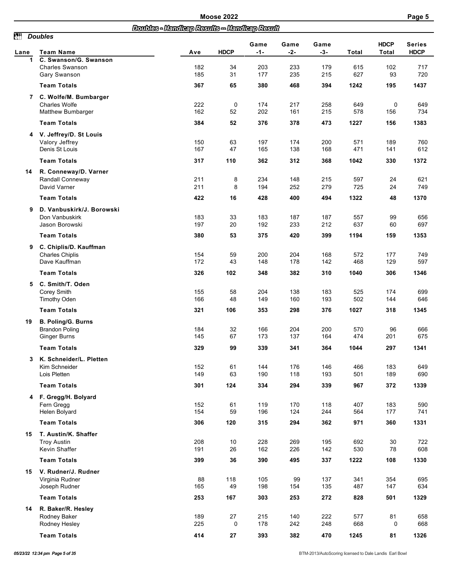|            |                                                                      |                                               | <b>Moose 2022</b> |               |               |               |                                                                                                                                                                                                                                                                                                                                                                                                                                                                                                                                                                                                                                                                                |                      |             |
|------------|----------------------------------------------------------------------|-----------------------------------------------|-------------------|---------------|---------------|---------------|--------------------------------------------------------------------------------------------------------------------------------------------------------------------------------------------------------------------------------------------------------------------------------------------------------------------------------------------------------------------------------------------------------------------------------------------------------------------------------------------------------------------------------------------------------------------------------------------------------------------------------------------------------------------------------|----------------------|-------------|
|            |                                                                      | Doubles - Handleap Results -- Handleap Result |                   |               |               |               |                                                                                                                                                                                                                                                                                                                                                                                                                                                                                                                                                                                                                                                                                |                      |             |
| ðť<br>Lane | <b>Doubles</b><br>Team Name                                          | Ave                                           | <b>HDCP</b>       | Game<br>$-1-$ | Game<br>$-2-$ | Game<br>$-3-$ | Total                                                                                                                                                                                                                                                                                                                                                                                                                                                                                                                                                                                                                                                                          | <b>HDCP</b><br>Total | <b>HDCP</b> |
| 1          | C. Swanson/G. Swanson<br><b>Charles Swanson</b><br>Gary Swanson      | 182<br>185                                    | 34<br>31          | 203<br>177    | 233<br>235    | 179<br>215    | 615<br>627                                                                                                                                                                                                                                                                                                                                                                                                                                                                                                                                                                                                                                                                     | 102<br>93            |             |
|            | <b>Team Totals</b>                                                   | 367                                           | 65                | 380           | 468           | 394           | Page 5<br><b>Series</b><br>717<br>720<br>1437<br>1242<br>195<br>258<br>649<br>0<br>649<br>578<br>734<br>215<br>156<br>473<br>1227<br>1383<br>156<br>200<br>760<br>571<br>189<br>168<br>471<br>612<br>141<br>368<br>1372<br>1042<br>330<br>215<br>597<br>621<br>24<br>725<br>24<br>749<br>279<br>1370<br>494<br>1322<br>48<br>187<br>557<br>99<br>656<br>637<br>697<br>212<br>60<br>1353<br>399<br>1194<br>159<br>572<br>168<br>177<br>749<br>597<br>142<br>468<br>129<br>310<br>1040<br>306<br>1346<br>183<br>525<br>699<br>174<br>502<br>193<br>144<br>646<br>376<br>1027<br>318<br>1345<br>200<br>570<br>96<br>666<br>201<br>675<br>164<br>474<br>1341<br>364<br>1044<br>297 |                      |             |
|            | 7 C. Wolfe/M. Bumbarger<br><b>Charles Wolfe</b><br>Matthew Bumbarger | 222<br>162                                    | 0<br>52           | 174<br>202    | 217<br>161    |               |                                                                                                                                                                                                                                                                                                                                                                                                                                                                                                                                                                                                                                                                                |                      |             |
|            | <b>Team Totals</b>                                                   | 384                                           | 52                | 376           | 378           |               |                                                                                                                                                                                                                                                                                                                                                                                                                                                                                                                                                                                                                                                                                |                      |             |
| 4          | V. Jeffrey/D. St Louis<br>Valory Jeffrey<br>Denis St Louis           | 150<br>167                                    | 63<br>47          | 197<br>165    | 174<br>138    |               |                                                                                                                                                                                                                                                                                                                                                                                                                                                                                                                                                                                                                                                                                |                      |             |
|            | <b>Team Totals</b>                                                   | 317                                           | 110               | 362           | 312           |               |                                                                                                                                                                                                                                                                                                                                                                                                                                                                                                                                                                                                                                                                                |                      |             |
| 14         | R. Conneway/D. Varner<br>Randall Conneway<br>David Varner            | 211<br>211                                    | 8<br>8            | 234<br>194    | 148<br>252    |               |                                                                                                                                                                                                                                                                                                                                                                                                                                                                                                                                                                                                                                                                                |                      |             |
|            | <b>Team Totals</b>                                                   | 422                                           | 16                | 428           | 400           |               |                                                                                                                                                                                                                                                                                                                                                                                                                                                                                                                                                                                                                                                                                |                      |             |
| 9          | D. Vanbuskirk/J. Borowski<br>Don Vanbuskirk<br>Jason Borowski        | 183<br>197                                    | 33<br>20          | 183<br>192    | 187<br>233    |               |                                                                                                                                                                                                                                                                                                                                                                                                                                                                                                                                                                                                                                                                                |                      |             |
|            | <b>Team Totals</b>                                                   | 380                                           | 53                | 375           | 420           |               |                                                                                                                                                                                                                                                                                                                                                                                                                                                                                                                                                                                                                                                                                |                      |             |
| 9          | C. Chiplis/D. Kauffman<br><b>Charles Chiplis</b><br>Dave Kauffman    | 154<br>172                                    | 59<br>43          | 200<br>148    | 204<br>178    |               |                                                                                                                                                                                                                                                                                                                                                                                                                                                                                                                                                                                                                                                                                |                      |             |
|            | <b>Team Totals</b>                                                   | 326                                           | 102               | 348           | 382           |               |                                                                                                                                                                                                                                                                                                                                                                                                                                                                                                                                                                                                                                                                                |                      |             |
| 5          | C. Smith/T. Oden<br>Corey Smith<br><b>Timothy Oden</b>               | 155<br>166                                    | 58<br>48          | 204<br>149    | 138<br>160    |               |                                                                                                                                                                                                                                                                                                                                                                                                                                                                                                                                                                                                                                                                                |                      |             |
|            | <b>Team Totals</b>                                                   | 321                                           | 106               | 353           | 298           |               |                                                                                                                                                                                                                                                                                                                                                                                                                                                                                                                                                                                                                                                                                |                      |             |
| 19         | B. Poling/G. Burns<br><b>Brandon Poling</b><br>Ginger Burns          | 184<br>145                                    | 32<br>67          | 166<br>173    | 204<br>137    |               |                                                                                                                                                                                                                                                                                                                                                                                                                                                                                                                                                                                                                                                                                |                      |             |
|            | <b>Team Totals</b>                                                   | 329                                           | 99                | 339           | 341           |               |                                                                                                                                                                                                                                                                                                                                                                                                                                                                                                                                                                                                                                                                                |                      |             |
|            | 3 K. Schneider/L. Pletten<br>Kim Schneider<br>Lois Pletten           | 152<br>149                                    | 61<br>63          | 144<br>190    | 176<br>118    | 146<br>193    | 466<br>501                                                                                                                                                                                                                                                                                                                                                                                                                                                                                                                                                                                                                                                                     | 183<br>189           | 649<br>690  |
|            | <b>Team Totals</b>                                                   | 301                                           | 124               | 334           | 294           | 339           | 967                                                                                                                                                                                                                                                                                                                                                                                                                                                                                                                                                                                                                                                                            | 372                  | 1339        |
|            | 4 F. Gregg/H. Bolyard<br>Fern Gregg<br>Helen Bolyard                 | 152<br>154                                    | 61<br>59          | 119<br>196    | 170<br>124    | 118<br>244    | 407<br>564                                                                                                                                                                                                                                                                                                                                                                                                                                                                                                                                                                                                                                                                     | 183<br>177           | 590<br>741  |
|            | <b>Team Totals</b>                                                   | 306                                           | 120               | 315           | 294           | 362           | 971                                                                                                                                                                                                                                                                                                                                                                                                                                                                                                                                                                                                                                                                            | 360                  | 1331        |
| 15         | T. Austin/K. Shaffer<br><b>Troy Austin</b><br>Kevin Shaffer          | 208<br>191                                    | 10<br>26          | 228<br>162    | 269<br>226    | 195<br>142    | 692<br>530                                                                                                                                                                                                                                                                                                                                                                                                                                                                                                                                                                                                                                                                     | 30<br>78             | 722<br>608  |
|            | <b>Team Totals</b>                                                   | 399                                           | 36                | 390           | 495           | 337           | 1222                                                                                                                                                                                                                                                                                                                                                                                                                                                                                                                                                                                                                                                                           | 108                  | 1330        |
| 15         | V. Rudner/J. Rudner<br>Virginia Rudner<br>Joseph Rudner              | 88<br>165                                     | 118<br>49         | 105<br>198    | 99<br>154     | 137<br>135    | 341<br>487                                                                                                                                                                                                                                                                                                                                                                                                                                                                                                                                                                                                                                                                     | 354<br>147           | 695<br>634  |
|            | <b>Team Totals</b>                                                   | 253                                           | 167               | 303           | 253           | 272           | 828                                                                                                                                                                                                                                                                                                                                                                                                                                                                                                                                                                                                                                                                            | 501                  | 1329        |
| 14         | R. Baker/R. Hesley<br>Rodney Baker<br>Rodney Hesley                  | 189<br>225                                    | 27<br>0           | 215<br>178    | 140<br>242    | 222<br>248    | 577<br>668                                                                                                                                                                                                                                                                                                                                                                                                                                                                                                                                                                                                                                                                     | 81<br>0              | 658<br>668  |
|            | <b>Team Totals</b>                                                   | 414                                           | 27                | 393           | 382           | 470           | 1245                                                                                                                                                                                                                                                                                                                                                                                                                                                                                                                                                                                                                                                                           | 81                   | 1326        |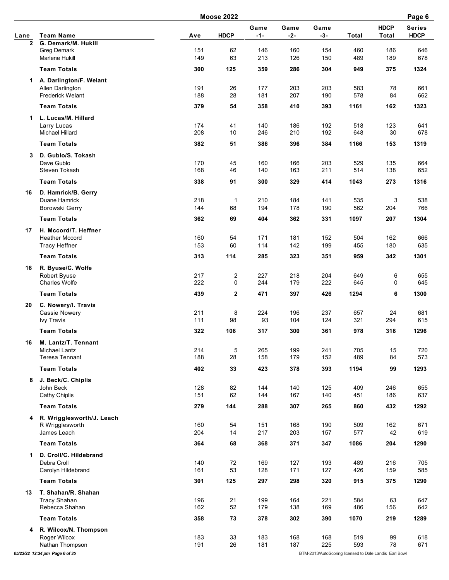|                |                                        |            | <b>Moose 2022</b>       |               |               |                                                        |            |                             | Page 6                       |
|----------------|----------------------------------------|------------|-------------------------|---------------|---------------|--------------------------------------------------------|------------|-----------------------------|------------------------------|
| Lane           | <b>Team Name</b>                       | Ave        | <b>HDCP</b>             | Game<br>$-1-$ | Game<br>$-2-$ | Game<br>$-3-$                                          | Total      | <b>HDCP</b><br><b>Total</b> | <b>Series</b><br><b>HDCP</b> |
| $\overline{2}$ | G. Demark/M. Hukill                    |            |                         |               |               |                                                        |            |                             |                              |
|                | <b>Greg Demark</b>                     | 151        | 62                      | 146           | 160           | 154                                                    | 460        | 186                         | 646                          |
|                | Marlene Hukill                         | 149        | 63                      | 213           | 126           | 150                                                    | 489        | 189                         | 678                          |
|                | <b>Team Totals</b>                     | 300        | 125                     | 359           | 286           | 304                                                    | 949        | 375                         | 1324                         |
| 1.             | A. Darlington/F. Welant                |            |                         |               |               |                                                        |            |                             |                              |
|                | Allen Darlington                       | 191        | 26                      | 177           | 203           | 203                                                    | 583        | 78                          | 661                          |
|                | <b>Frederick Welant</b>                | 188        | 28                      | 181           | 207           | 190                                                    | 578        | 84                          | 662                          |
|                | <b>Team Totals</b>                     | 379        | 54                      | 358           | 410           | 393                                                    | 1161       | 162                         | 1323                         |
| 1.             | L. Lucas/M. Hillard                    |            |                         |               |               |                                                        |            |                             |                              |
|                | Larry Lucas                            | 174        | 41                      | 140           | 186           | 192                                                    | 518        | 123                         | 641                          |
|                | Michael Hillard                        | 208        | 10                      | 246           | 210           | 192                                                    | 648        | 30                          | 678                          |
|                | <b>Team Totals</b>                     | 382        | 51                      | 386           | 396           | 384                                                    | 1166       | 153                         | 1319                         |
| 3              | D. Gublo/S. Tokash                     |            |                         |               |               |                                                        |            |                             |                              |
|                | Dave Gublo                             | 170        | 45                      | 160           | 166           | 203                                                    | 529        | 135                         | 664                          |
|                | Steven Tokash                          | 168        | 46                      | 140           | 163           | 211                                                    | 514        | 138                         | 652                          |
|                | <b>Team Totals</b>                     | 338        | 91                      | 300           | 329           | 414                                                    | 1043       | 273                         | 1316                         |
| 16             | D. Hamrick/B. Gerry                    |            |                         |               |               |                                                        |            |                             |                              |
|                | Duane Hamrick                          | 218        | $\mathbf 1$             | 210           | 184           | 141                                                    | 535        | 3                           | 538                          |
|                | Borowski Gerry                         | 144        | 68                      | 194           | 178           | 190                                                    | 562        | 204                         | 766                          |
|                | <b>Team Totals</b>                     | 362        | 69                      | 404           | 362           | 331                                                    | 1097       | 207                         | 1304                         |
| 17             | H. Mccord/T. Heffner                   |            |                         |               |               |                                                        |            |                             |                              |
|                | <b>Heather Mccord</b>                  | 160        | 54                      | 171           | 181           | 152                                                    | 504        | 162                         | 666                          |
|                | <b>Tracy Heffner</b>                   | 153        | 60                      | 114           | 142           | 199                                                    | 455        | 180                         | 635                          |
|                | <b>Team Totals</b>                     | 313        | 114                     | 285           | 323           | 351                                                    | 959        | 342                         | 1301                         |
| 16             | R. Byuse/C. Wolfe                      |            |                         |               |               |                                                        |            |                             |                              |
|                | <b>Robert Byuse</b>                    | 217        | $\overline{\mathbf{c}}$ | 227           | 218           | 204                                                    | 649        | 6                           | 655                          |
|                | <b>Charles Wolfe</b>                   | 222        | 0                       | 244           | 179           | 222                                                    | 645        | 0                           | 645                          |
|                | <b>Team Totals</b>                     | 439        | $\overline{\mathbf{2}}$ | 471           | 397           | 426                                                    | 1294       | 6                           | 1300                         |
| 20             | C. Nowery/I. Travis                    |            |                         |               |               |                                                        |            |                             |                              |
|                | <b>Cassie Nowery</b>                   | 211<br>111 | 8<br>98                 | 224<br>93     | 196<br>104    | 237<br>124                                             | 657<br>321 | 24<br>294                   | 681<br>615                   |
|                | <b>Ivy Travis</b>                      |            |                         |               |               |                                                        |            |                             |                              |
|                | <b>Team Totals</b>                     | 322        | 106                     | 317           | 300           | 361                                                    | 978        | 318                         | 1296                         |
| 16             | M. Lantz/T. Tennant                    |            |                         |               |               |                                                        |            |                             |                              |
|                | Michael Lantz<br><b>Teresa Tennant</b> | 214<br>188 | 5<br>28                 | 265<br>158    | 199<br>179    | 241<br>152                                             | 705<br>489 | 15<br>84                    | 720<br>573                   |
|                |                                        |            |                         |               |               |                                                        |            |                             |                              |
|                | <b>Team Totals</b>                     | 402        | 33                      | 423           | 378           | 393                                                    | 1194       | 99                          | 1293                         |
| 8              | J. Beck/C. Chiplis                     |            |                         |               |               |                                                        |            |                             |                              |
|                | John Beck<br>Cathy Chiplis             | 128<br>151 | 82<br>62                | 144<br>144    | 140<br>167    | 125<br>140                                             | 409<br>451 | 246<br>186                  | 655<br>637                   |
|                |                                        |            |                         |               |               |                                                        |            |                             |                              |
|                | <b>Team Totals</b>                     | 279        | 144                     | 288           | 307           | 265                                                    | 860        | 432                         | 1292                         |
|                | 4 R. Wrigglesworth/J. Leach            |            |                         |               |               |                                                        |            |                             |                              |
|                | R Wrigglesworth<br>James Leach         | 160<br>204 | 54<br>14                | 151<br>217    | 168<br>203    | 190<br>157                                             | 509<br>577 | 162<br>42                   | 671<br>619                   |
|                |                                        |            |                         |               |               |                                                        |            |                             |                              |
|                | <b>Team Totals</b>                     | 364        | 68                      | 368           | 371           | 347                                                    | 1086       | 204                         | 1290                         |
| 1              | D. Croll/C. Hildebrand                 |            |                         |               |               |                                                        |            |                             |                              |
|                | Debra Croll<br>Carolyn Hildebrand      | 140<br>161 | 72<br>53                | 169<br>128    | 127<br>171    | 193<br>127                                             | 489<br>426 | 216<br>159                  | 705<br>585                   |
|                |                                        |            |                         |               |               |                                                        |            |                             |                              |
|                | <b>Team Totals</b>                     | 301        | 125                     | 297           | 298           | 320                                                    | 915        | 375                         | 1290                         |
| 13             | T. Shahan/R. Shahan                    |            |                         |               |               |                                                        |            |                             |                              |
|                | <b>Tracy Shahan</b><br>Rebecca Shahan  | 196<br>162 | 21<br>52                | 199<br>179    | 164<br>138    | 221<br>169                                             | 584<br>486 | 63<br>156                   | 647<br>642                   |
|                |                                        |            |                         |               |               |                                                        |            |                             |                              |
|                | <b>Team Totals</b>                     | 358        | 73                      | 378           | 302           | 390                                                    | 1070       | 219                         | 1289                         |
| 4              | R. Wilcox/N. Thompson                  |            |                         |               |               |                                                        |            |                             |                              |
|                | Roger Wilcox<br>Nathan Thompson        | 183<br>191 | 33<br>26                | 183<br>181    | 168<br>187    | 168<br>225                                             | 519<br>593 | 99<br>78                    | 618<br>671                   |
|                | 05/23/22 12:34 pm Page 6 of 35         |            |                         |               |               | BTM-2013/AutoScoring licensed to Dale Landis Earl Bowl |            |                             |                              |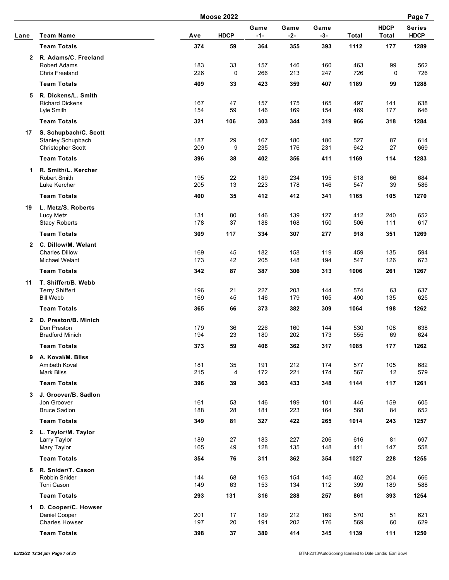|              |                                             | <b>Moose 2022</b> |             |               |               |               |            |                             |                              |  |
|--------------|---------------------------------------------|-------------------|-------------|---------------|---------------|---------------|------------|-----------------------------|------------------------------|--|
| Lane         | <b>Team Name</b>                            | Ave               | <b>HDCP</b> | Game<br>$-1-$ | Game<br>$-2-$ | Game<br>$-3-$ | Total      | <b>HDCP</b><br><b>Total</b> | <b>Series</b><br><b>HDCP</b> |  |
|              | <b>Team Totals</b>                          | 374               | 59          | 364           | 355           | 393           | 1112       | 177                         | 1289                         |  |
| $\mathbf{2}$ | R. Adams/C. Freeland<br><b>Robert Adams</b> | 183               | 33          | 157           | 146           | 160           | 463        | 99                          | 562                          |  |
|              | Chris Freeland                              | 226               | $\mathbf 0$ | 266           | 213           | 247           | 726        | $\mathbf 0$                 | 726                          |  |
|              | <b>Team Totals</b>                          | 409               | 33          | 423           | 359           | 407           | 1189       | 99                          | 1288                         |  |
| 5            | R. Dickens/L. Smith                         |                   |             |               |               |               |            |                             |                              |  |
|              | <b>Richard Dickens</b><br>Lyle Smith        | 167<br>154        | 47<br>59    | 157<br>146    | 175<br>169    | 165<br>154    | 497<br>469 | 141<br>177                  | 638<br>646                   |  |
|              | <b>Team Totals</b>                          | 321               | 106         | 303           | 344           | 319           | 966        | 318                         | 1284                         |  |
| 17           | S. Schupbach/C. Scott                       |                   |             |               |               |               |            |                             |                              |  |
|              | Stanley Schupbach                           | 187               | 29          | 167           | 180           | 180           | 527        | 87                          | 614                          |  |
|              | <b>Christopher Scott</b>                    | 209               | 9           | 235           | 176           | 231           | 642        | 27                          | 669                          |  |
|              | <b>Team Totals</b>                          | 396               | 38          | 402           | 356           | 411           | 1169       | 114                         | 1283                         |  |
| 1.           | R. Smith/L. Kercher                         |                   |             |               |               |               |            |                             |                              |  |
|              | Robert Smith                                | 195<br>205        | 22<br>13    | 189           | 234<br>178    | 195           | 618        | 66<br>39                    | 684<br>586                   |  |
|              | Luke Kercher                                |                   |             | 223           |               | 146           | 547        |                             |                              |  |
|              | <b>Team Totals</b>                          | 400               | 35          | 412           | 412           | 341           | 1165       | 105                         | 1270                         |  |
| 19           | L. Metz/S. Roberts<br>Lucy Metz             | 131               | 80          | 146           | 139           | 127           | 412        | 240                         | 652                          |  |
|              | <b>Stacy Roberts</b>                        | 178               | 37          | 188           | 168           | 150           | 506        | 111                         | 617                          |  |
|              | <b>Team Totals</b>                          | 309               | 117         | 334           | 307           | 277           | 918        | 351                         | 1269                         |  |
| $\mathbf{2}$ | C. Dillow/M. Welant                         |                   |             |               |               |               |            |                             |                              |  |
|              | <b>Charles Dillow</b>                       | 169               | 45          | 182           | 158           | 119           | 459        | 135                         | 594                          |  |
|              | Michael Welant                              | 173               | 42          | 205           | 148           | 194           | 547        | 126                         | 673                          |  |
|              | <b>Team Totals</b>                          | 342               | 87          | 387           | 306           | 313           | 1006       | 261                         | 1267                         |  |
| 11           | T. Shiffert/B. Webb                         |                   |             |               |               |               |            |                             |                              |  |
|              | <b>Terry Shiffert</b><br><b>Bill Webb</b>   | 196<br>169        | 21<br>45    | 227<br>146    | 203<br>179    | 144<br>165    | 574<br>490 | 63<br>135                   | 637<br>625                   |  |
|              | <b>Team Totals</b>                          | 365               | 66          | 373           | 382           | 309           | 1064       | 198                         | 1262                         |  |
| $\mathbf{2}$ | D. Preston/B. Minich                        |                   |             |               |               |               |            |                             |                              |  |
|              | Don Preston                                 | 179               | 36          | 226           | 160           | 144           | 530        | 108                         | 638                          |  |
|              | <b>Bradford Minich</b>                      | 194               | 23          | 180           | 202           | 173           | 555        | 69                          | 624                          |  |
|              | <b>Team Totals</b>                          | 373               | 59          | 406           | 362           | 317           | 1085       | $177$                       | 1262                         |  |
|              | 9 A. Koval/M. Bliss                         |                   |             |               |               |               |            |                             |                              |  |
|              | Amibeth Koval<br><b>Mark Bliss</b>          | 181<br>215        | 35<br>4     | 191<br>172    | 212<br>221    | 174<br>174    | 577<br>567 | 105<br>12                   | 682<br>579                   |  |
|              | <b>Team Totals</b>                          | 396               | 39          | 363           | 433           | 348           | 1144       | 117                         | 1261                         |  |
|              | J. Groover/B. Sadlon                        |                   |             |               |               |               |            |                             |                              |  |
| 3            | Jon Groover                                 | 161               | 53          | 146           | 199           | 101           | 446        | 159                         | 605                          |  |
|              | <b>Bruce Sadlon</b>                         | 188               | 28          | 181           | 223           | 164           | 568        | 84                          | 652                          |  |
|              | <b>Team Totals</b>                          | 349               | 81          | 327           | 422           | 265           | 1014       | 243                         | 1257                         |  |
| $\mathbf{2}$ | L. Taylor/M. Taylor                         |                   |             |               |               |               |            |                             |                              |  |
|              | Larry Taylor                                | 189               | 27          | 183           | 227           | 206           | 616        | 81                          | 697                          |  |
|              | Mary Taylor                                 | 165               | 49          | 128           | 135           | 148           | 411        | 147                         | 558                          |  |
|              | <b>Team Totals</b>                          | 354               | 76          | 311           | 362           | 354           | 1027       | 228                         | 1255                         |  |
| 6            | R. Snider/T. Cason<br>Robbin Snider         | 144               | 68          | 163           | 154           | 145           | 462        | 204                         | 666                          |  |
|              | Toni Cason                                  | 149               | 63          | 153           | 134           | 112           | 399        | 189                         | 588                          |  |
|              | <b>Team Totals</b>                          | 293               | 131         | 316           | 288           | 257           | 861        | 393                         | 1254                         |  |
| $\mathbf{1}$ | D. Cooper/C. Howser                         |                   |             |               |               |               |            |                             |                              |  |
|              | Daniel Cooper                               | 201               | 17          | 189           | 212           | 169           | 570        | 51                          | 621                          |  |
|              | <b>Charles Howser</b>                       | 197               | 20          | 191           | 202           | 176           | 569        | 60                          | 629                          |  |
|              | <b>Team Totals</b>                          | 398               | 37          | 380           | 414           | 345           | 1139       | 111                         | 1250                         |  |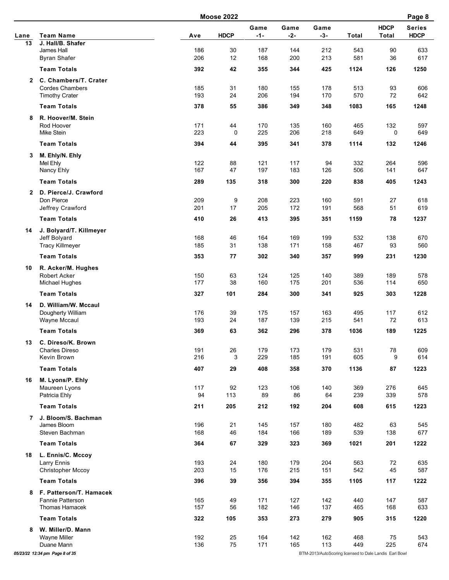|              |                                              |            | <b>Moose 2022</b> |            |                                                                                                                                                                                                                                                                                                                                                                                                                                                                                                                                                                                                                                                                                                                                                                                                                                                                                                                                                                                                                                                                  |                                                        |            |             | Page 8                       |
|--------------|----------------------------------------------|------------|-------------------|------------|------------------------------------------------------------------------------------------------------------------------------------------------------------------------------------------------------------------------------------------------------------------------------------------------------------------------------------------------------------------------------------------------------------------------------------------------------------------------------------------------------------------------------------------------------------------------------------------------------------------------------------------------------------------------------------------------------------------------------------------------------------------------------------------------------------------------------------------------------------------------------------------------------------------------------------------------------------------------------------------------------------------------------------------------------------------|--------------------------------------------------------|------------|-------------|------------------------------|
|              |                                              |            | <b>HDCP</b>       | Game       | Game                                                                                                                                                                                                                                                                                                                                                                                                                                                                                                                                                                                                                                                                                                                                                                                                                                                                                                                                                                                                                                                             | Game                                                   |            | <b>HDCP</b> | <b>Series</b><br><b>HDCP</b> |
| Lane<br>13   | <b>Team Name</b><br>J. Hall/B. Shafer        | Ave        |                   |            |                                                                                                                                                                                                                                                                                                                                                                                                                                                                                                                                                                                                                                                                                                                                                                                                                                                                                                                                                                                                                                                                  |                                                        |            |             |                              |
|              | James Hall                                   | 186        | 30                | 187        | 144                                                                                                                                                                                                                                                                                                                                                                                                                                                                                                                                                                                                                                                                                                                                                                                                                                                                                                                                                                                                                                                              | 212                                                    | 543        | 90          | 633                          |
|              | <b>Byran Shafer</b>                          | 206        | 12                | 168        | 200                                                                                                                                                                                                                                                                                                                                                                                                                                                                                                                                                                                                                                                                                                                                                                                                                                                                                                                                                                                                                                                              |                                                        |            | 36          | 617                          |
|              | <b>Team Totals</b>                           | 392        | 42                | 355        | $-3-$<br>$-1-$<br>$-2-$<br>Total<br><b>Total</b><br>213<br>581<br>344<br>425<br>1124<br>126<br>180<br>513<br>93<br>155<br>178<br>570<br>72<br>206<br>194<br>170<br>386<br>348<br>1083<br>165<br>349<br>170<br>135<br>160<br>465<br>132<br>225<br>206<br>218<br>649<br>0<br>395<br>378<br>1114<br>132<br>341<br>121<br>117<br>94<br>332<br>264<br>197<br>183<br>126<br>506<br>141<br>318<br>300<br>220<br>838<br>405<br>208<br>223<br>160<br>591<br>27<br>205<br>172<br>191<br>568<br>51<br>413<br>351<br>1159<br>78<br>395<br>164<br>169<br>199<br>532<br>138<br>138<br>171<br>158<br>467<br>93<br>302<br>357<br>999<br>231<br>340<br>124<br>389<br>125<br>140<br>189<br>160<br>175<br>201<br>536<br>114<br>284<br>300<br>925<br>303<br>341<br>163<br>117<br>175<br>157<br>495<br>187<br>139<br>215<br>541<br>72<br>296<br>378<br>189<br>362<br>1036<br>179<br>173<br>179<br>531<br>78<br>229<br>185<br>191<br>605<br>9<br>408<br>358<br>370<br>1136<br>87<br>123<br>369<br>276<br>106<br>140<br>89<br>86<br>64<br>239<br>339<br>608<br>212<br>192<br>204<br>615 | 1250                                                   |            |             |                              |
| $\mathbf{2}$ | C. Chambers/T. Crater                        |            |                   |            |                                                                                                                                                                                                                                                                                                                                                                                                                                                                                                                                                                                                                                                                                                                                                                                                                                                                                                                                                                                                                                                                  |                                                        |            |             |                              |
|              | <b>Cordes Chambers</b>                       | 185        | 31                |            |                                                                                                                                                                                                                                                                                                                                                                                                                                                                                                                                                                                                                                                                                                                                                                                                                                                                                                                                                                                                                                                                  |                                                        |            |             | 606                          |
|              | <b>Timothy Crater</b>                        | 193        | 24                |            |                                                                                                                                                                                                                                                                                                                                                                                                                                                                                                                                                                                                                                                                                                                                                                                                                                                                                                                                                                                                                                                                  |                                                        |            |             | 642                          |
|              | <b>Team Totals</b>                           | 378        | 55                |            |                                                                                                                                                                                                                                                                                                                                                                                                                                                                                                                                                                                                                                                                                                                                                                                                                                                                                                                                                                                                                                                                  |                                                        |            |             | 1248                         |
| 8            | R. Hoover/M. Stein                           |            |                   |            |                                                                                                                                                                                                                                                                                                                                                                                                                                                                                                                                                                                                                                                                                                                                                                                                                                                                                                                                                                                                                                                                  |                                                        |            |             |                              |
|              | Rod Hoover<br>Mike Stein                     | 171<br>223 | 44<br>0           |            |                                                                                                                                                                                                                                                                                                                                                                                                                                                                                                                                                                                                                                                                                                                                                                                                                                                                                                                                                                                                                                                                  |                                                        |            |             | 597<br>649                   |
|              | <b>Team Totals</b>                           | 394        | 44                |            |                                                                                                                                                                                                                                                                                                                                                                                                                                                                                                                                                                                                                                                                                                                                                                                                                                                                                                                                                                                                                                                                  |                                                        |            |             | 1246                         |
|              |                                              |            |                   |            |                                                                                                                                                                                                                                                                                                                                                                                                                                                                                                                                                                                                                                                                                                                                                                                                                                                                                                                                                                                                                                                                  |                                                        |            |             |                              |
| 3            | M. Ehly/N. Ehly<br>Mel Ehly                  | 122        | 88                |            |                                                                                                                                                                                                                                                                                                                                                                                                                                                                                                                                                                                                                                                                                                                                                                                                                                                                                                                                                                                                                                                                  |                                                        |            |             | 596                          |
|              | Nancy Ehly                                   | 167        | 47                |            |                                                                                                                                                                                                                                                                                                                                                                                                                                                                                                                                                                                                                                                                                                                                                                                                                                                                                                                                                                                                                                                                  |                                                        |            |             | 647                          |
|              | <b>Team Totals</b>                           | 289        | 135               |            |                                                                                                                                                                                                                                                                                                                                                                                                                                                                                                                                                                                                                                                                                                                                                                                                                                                                                                                                                                                                                                                                  |                                                        |            |             | 1243                         |
| $\mathbf{2}$ | D. Pierce/J. Crawford                        |            |                   |            |                                                                                                                                                                                                                                                                                                                                                                                                                                                                                                                                                                                                                                                                                                                                                                                                                                                                                                                                                                                                                                                                  |                                                        |            |             |                              |
|              | Don Pierce                                   | 209        | 9                 |            |                                                                                                                                                                                                                                                                                                                                                                                                                                                                                                                                                                                                                                                                                                                                                                                                                                                                                                                                                                                                                                                                  |                                                        |            |             | 618                          |
|              | Jeffrey Crawford                             | 201        | 17                |            |                                                                                                                                                                                                                                                                                                                                                                                                                                                                                                                                                                                                                                                                                                                                                                                                                                                                                                                                                                                                                                                                  |                                                        |            |             | 619                          |
|              | <b>Team Totals</b>                           | 410        | 26                |            |                                                                                                                                                                                                                                                                                                                                                                                                                                                                                                                                                                                                                                                                                                                                                                                                                                                                                                                                                                                                                                                                  |                                                        |            |             | 1237                         |
| 14           | J. Bolyard/T. Killmeyer                      |            |                   |            |                                                                                                                                                                                                                                                                                                                                                                                                                                                                                                                                                                                                                                                                                                                                                                                                                                                                                                                                                                                                                                                                  |                                                        |            |             |                              |
|              | Jeff Bolyard                                 | 168        | 46                |            |                                                                                                                                                                                                                                                                                                                                                                                                                                                                                                                                                                                                                                                                                                                                                                                                                                                                                                                                                                                                                                                                  |                                                        |            |             | 670                          |
|              | <b>Tracy Killmeyer</b>                       | 185        | 31                |            |                                                                                                                                                                                                                                                                                                                                                                                                                                                                                                                                                                                                                                                                                                                                                                                                                                                                                                                                                                                                                                                                  |                                                        |            |             | 560                          |
|              | <b>Team Totals</b>                           | 353        | 77                |            |                                                                                                                                                                                                                                                                                                                                                                                                                                                                                                                                                                                                                                                                                                                                                                                                                                                                                                                                                                                                                                                                  |                                                        |            |             | 1230                         |
| 10           | R. Acker/M. Hughes                           |            |                   |            |                                                                                                                                                                                                                                                                                                                                                                                                                                                                                                                                                                                                                                                                                                                                                                                                                                                                                                                                                                                                                                                                  |                                                        |            |             |                              |
|              | Robert Acker                                 | 150        | 63                |            |                                                                                                                                                                                                                                                                                                                                                                                                                                                                                                                                                                                                                                                                                                                                                                                                                                                                                                                                                                                                                                                                  |                                                        |            |             | 578                          |
| 14           | Michael Hughes                               | 177        | 38                |            |                                                                                                                                                                                                                                                                                                                                                                                                                                                                                                                                                                                                                                                                                                                                                                                                                                                                                                                                                                                                                                                                  |                                                        |            |             | 650                          |
|              | <b>Team Totals</b>                           | 327        | 101               |            |                                                                                                                                                                                                                                                                                                                                                                                                                                                                                                                                                                                                                                                                                                                                                                                                                                                                                                                                                                                                                                                                  |                                                        |            |             | 1228                         |
|              | D. William/W. Mccaul                         |            |                   |            |                                                                                                                                                                                                                                                                                                                                                                                                                                                                                                                                                                                                                                                                                                                                                                                                                                                                                                                                                                                                                                                                  |                                                        |            |             |                              |
|              | Dougherty William                            | 176        | 39                |            |                                                                                                                                                                                                                                                                                                                                                                                                                                                                                                                                                                                                                                                                                                                                                                                                                                                                                                                                                                                                                                                                  |                                                        |            |             | 612                          |
|              | Wayne Mccaul                                 | 193        | 24                |            |                                                                                                                                                                                                                                                                                                                                                                                                                                                                                                                                                                                                                                                                                                                                                                                                                                                                                                                                                                                                                                                                  |                                                        |            |             | 613                          |
|              | <b>Team Totals</b>                           | 369        | 63                |            |                                                                                                                                                                                                                                                                                                                                                                                                                                                                                                                                                                                                                                                                                                                                                                                                                                                                                                                                                                                                                                                                  |                                                        |            |             | 1225                         |
| 13           | C. Direso/K. Brown                           |            |                   |            |                                                                                                                                                                                                                                                                                                                                                                                                                                                                                                                                                                                                                                                                                                                                                                                                                                                                                                                                                                                                                                                                  |                                                        |            |             |                              |
|              | Charles Direso<br>Kevin Brown                | 191<br>216 | 26<br>3           |            |                                                                                                                                                                                                                                                                                                                                                                                                                                                                                                                                                                                                                                                                                                                                                                                                                                                                                                                                                                                                                                                                  |                                                        |            |             | 609<br>614                   |
|              | <b>Team Totals</b>                           | 407        | 29                |            |                                                                                                                                                                                                                                                                                                                                                                                                                                                                                                                                                                                                                                                                                                                                                                                                                                                                                                                                                                                                                                                                  |                                                        |            |             | 1223                         |
|              |                                              |            |                   |            |                                                                                                                                                                                                                                                                                                                                                                                                                                                                                                                                                                                                                                                                                                                                                                                                                                                                                                                                                                                                                                                                  |                                                        |            |             |                              |
| 16           | M. Lyons/P. Ehly<br>Maureen Lyons            | 117        | 92                |            |                                                                                                                                                                                                                                                                                                                                                                                                                                                                                                                                                                                                                                                                                                                                                                                                                                                                                                                                                                                                                                                                  |                                                        |            |             | 645                          |
|              | Patricia Ehly                                | 94         | 113               |            |                                                                                                                                                                                                                                                                                                                                                                                                                                                                                                                                                                                                                                                                                                                                                                                                                                                                                                                                                                                                                                                                  |                                                        |            |             | 578                          |
|              | <b>Team Totals</b>                           | 211        | 205               |            |                                                                                                                                                                                                                                                                                                                                                                                                                                                                                                                                                                                                                                                                                                                                                                                                                                                                                                                                                                                                                                                                  |                                                        |            |             | 1223                         |
|              | 7 J. Bloom/S. Bachman                        |            |                   |            |                                                                                                                                                                                                                                                                                                                                                                                                                                                                                                                                                                                                                                                                                                                                                                                                                                                                                                                                                                                                                                                                  |                                                        |            |             |                              |
|              | James Bloom                                  | 196        | 21                | 145        | 157                                                                                                                                                                                                                                                                                                                                                                                                                                                                                                                                                                                                                                                                                                                                                                                                                                                                                                                                                                                                                                                              | 180                                                    | 482        | 63          | 545                          |
|              | Steven Bachman                               | 168        | 46                | 184        | 166                                                                                                                                                                                                                                                                                                                                                                                                                                                                                                                                                                                                                                                                                                                                                                                                                                                                                                                                                                                                                                                              | 189                                                    | 539        | 138         | 677                          |
|              | <b>Team Totals</b>                           | 364        | 67                | 329        | 323                                                                                                                                                                                                                                                                                                                                                                                                                                                                                                                                                                                                                                                                                                                                                                                                                                                                                                                                                                                                                                                              | 369                                                    | 1021       | 201         | 1222                         |
| 18           | L. Ennis/C. Mccoy                            |            |                   |            |                                                                                                                                                                                                                                                                                                                                                                                                                                                                                                                                                                                                                                                                                                                                                                                                                                                                                                                                                                                                                                                                  |                                                        |            |             |                              |
|              | Larry Ennis                                  | 193        | 24                | 180        | 179                                                                                                                                                                                                                                                                                                                                                                                                                                                                                                                                                                                                                                                                                                                                                                                                                                                                                                                                                                                                                                                              | 204                                                    | 563        | 72          | 635                          |
|              | <b>Christopher Mccoy</b>                     | 203        | 15                | 176        | 215                                                                                                                                                                                                                                                                                                                                                                                                                                                                                                                                                                                                                                                                                                                                                                                                                                                                                                                                                                                                                                                              | 151                                                    | 542        | 45          | 587                          |
|              | <b>Team Totals</b>                           | 396        | 39                | 356        | 394                                                                                                                                                                                                                                                                                                                                                                                                                                                                                                                                                                                                                                                                                                                                                                                                                                                                                                                                                                                                                                                              | 355                                                    | 1105       | 117         | 1222                         |
|              | 8 F. Patterson/T. Hamacek                    |            |                   |            |                                                                                                                                                                                                                                                                                                                                                                                                                                                                                                                                                                                                                                                                                                                                                                                                                                                                                                                                                                                                                                                                  |                                                        |            |             |                              |
|              | Fannie Patterson                             | 165        | 49                | 171        | 127                                                                                                                                                                                                                                                                                                                                                                                                                                                                                                                                                                                                                                                                                                                                                                                                                                                                                                                                                                                                                                                              | 142                                                    | 440        | 147         | 587                          |
|              | Thomas Hamacek                               | 157        | 56                | 182        | 146                                                                                                                                                                                                                                                                                                                                                                                                                                                                                                                                                                                                                                                                                                                                                                                                                                                                                                                                                                                                                                                              | 137                                                    | 465        | 168         | 633                          |
|              | <b>Team Totals</b>                           | 322        | 105               | 353        | 273                                                                                                                                                                                                                                                                                                                                                                                                                                                                                                                                                                                                                                                                                                                                                                                                                                                                                                                                                                                                                                                              | 279                                                    | 905        | 315         | 1220                         |
| 8            | W. Miller/D. Mann                            |            |                   |            |                                                                                                                                                                                                                                                                                                                                                                                                                                                                                                                                                                                                                                                                                                                                                                                                                                                                                                                                                                                                                                                                  |                                                        |            |             |                              |
|              | Wayne Miller                                 | 192<br>136 | 25                | 164<br>171 | 142<br>165                                                                                                                                                                                                                                                                                                                                                                                                                                                                                                                                                                                                                                                                                                                                                                                                                                                                                                                                                                                                                                                       | 162<br>113                                             | 468<br>449 | 75<br>225   | 543                          |
|              | Duane Mann<br>05/23/22 12:34 pm Page 8 of 35 |            | 75                |            |                                                                                                                                                                                                                                                                                                                                                                                                                                                                                                                                                                                                                                                                                                                                                                                                                                                                                                                                                                                                                                                                  | BTM-2013/AutoScoring licensed to Dale Landis Earl Bowl |            |             | 674                          |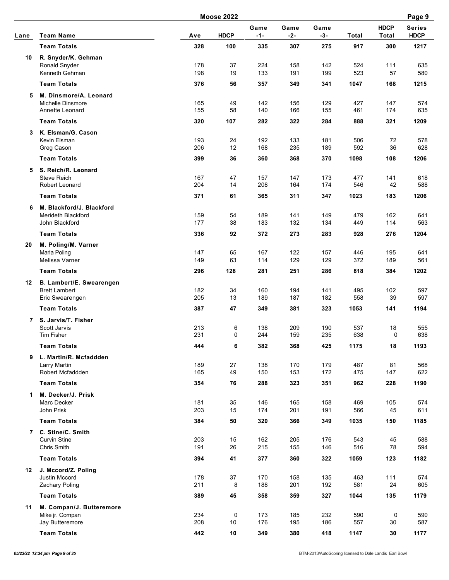|      |                                           |            | <b>Moose 2022</b>                                                                                                                                                                                                                                                                                                                                                                                                                                                                                                                                                                                                                                                                                                                                                                                                                                                                                                                                                                                                                                                 |               |            |               |            |                             | Page 9                       |
|------|-------------------------------------------|------------|-------------------------------------------------------------------------------------------------------------------------------------------------------------------------------------------------------------------------------------------------------------------------------------------------------------------------------------------------------------------------------------------------------------------------------------------------------------------------------------------------------------------------------------------------------------------------------------------------------------------------------------------------------------------------------------------------------------------------------------------------------------------------------------------------------------------------------------------------------------------------------------------------------------------------------------------------------------------------------------------------------------------------------------------------------------------|---------------|------------|---------------|------------|-----------------------------|------------------------------|
| Lane | <b>Team Name</b>                          | Ave        | <b>HDCP</b>                                                                                                                                                                                                                                                                                                                                                                                                                                                                                                                                                                                                                                                                                                                                                                                                                                                                                                                                                                                                                                                       | Game<br>$-1-$ | Game       | Game<br>$-3-$ | Total      | <b>HDCP</b><br><b>Total</b> | <b>Series</b><br><b>HDCP</b> |
|      | <b>Team Totals</b>                        | 328        | 100                                                                                                                                                                                                                                                                                                                                                                                                                                                                                                                                                                                                                                                                                                                                                                                                                                                                                                                                                                                                                                                               | 335           | 307        | 275           | 917        | 300                         | 1217                         |
| 10   | R. Snyder/K. Gehman                       |            |                                                                                                                                                                                                                                                                                                                                                                                                                                                                                                                                                                                                                                                                                                                                                                                                                                                                                                                                                                                                                                                                   |               |            |               |            |                             |                              |
|      | Ronald Snyder                             | 178        | 37                                                                                                                                                                                                                                                                                                                                                                                                                                                                                                                                                                                                                                                                                                                                                                                                                                                                                                                                                                                                                                                                | 224           | 158        | 142           | 524        | 111                         | 635                          |
|      | Kenneth Gehman                            | 198        | 19                                                                                                                                                                                                                                                                                                                                                                                                                                                                                                                                                                                                                                                                                                                                                                                                                                                                                                                                                                                                                                                                | 133           | 191        | 199           | 523        | 57                          | 580                          |
|      | <b>Team Totals</b>                        | 376        | $-2-$<br>56<br>357<br>349<br>341<br>1047<br>168<br>129<br>49<br>142<br>156<br>427<br>147<br>58<br>140<br>166<br>155<br>461<br>174<br>107<br>322<br>282<br>284<br>888<br>321<br>24<br>192<br>133<br>506<br>72<br>181<br>12<br>168<br>235<br>189<br>592<br>36<br>36<br>360<br>368<br>370<br>1098<br>108<br>47<br>157<br>147<br>173<br>141<br>477<br>14<br>174<br>208<br>164<br>546<br>42<br>61<br>311<br>347<br>365<br>1023<br>183<br>189<br>141<br>149<br>162<br>54<br>479<br>38<br>183<br>132<br>134<br>449<br>114<br>92<br>372<br>273<br>283<br>928<br>276<br>65<br>122<br>167<br>157<br>446<br>195<br>63<br>129<br>129<br>372<br>114<br>189<br>128<br>281<br>251<br>286<br>818<br>384<br>34<br>160<br>141<br>194<br>495<br>102<br>189<br>187<br>182<br>558<br>39<br>13<br>47<br>349<br>381<br>323<br>141<br>1053<br>6<br>138<br>209<br>190<br>537<br>18<br>235<br>638<br>0<br>244<br>159<br>0<br>6<br>382<br>368<br>425<br>1175<br>18<br>27<br>138<br>170<br>179<br>487<br>81<br>49<br>153<br>172<br>150<br>475<br>147<br>76<br>288<br>323<br>351<br>962<br>228 | 1215          |            |               |            |                             |                              |
| 5    | M. Dinsmore/A. Leonard                    |            |                                                                                                                                                                                                                                                                                                                                                                                                                                                                                                                                                                                                                                                                                                                                                                                                                                                                                                                                                                                                                                                                   |               |            |               |            |                             |                              |
|      | Michelle Dinsmore                         | 165        |                                                                                                                                                                                                                                                                                                                                                                                                                                                                                                                                                                                                                                                                                                                                                                                                                                                                                                                                                                                                                                                                   |               |            |               |            |                             | 574                          |
|      | Annette Leonard                           | 155        |                                                                                                                                                                                                                                                                                                                                                                                                                                                                                                                                                                                                                                                                                                                                                                                                                                                                                                                                                                                                                                                                   |               |            |               |            |                             | 635                          |
|      | <b>Team Totals</b>                        | 320        |                                                                                                                                                                                                                                                                                                                                                                                                                                                                                                                                                                                                                                                                                                                                                                                                                                                                                                                                                                                                                                                                   |               |            |               |            |                             | 1209                         |
| 3    | K. Elsman/G. Cason                        |            |                                                                                                                                                                                                                                                                                                                                                                                                                                                                                                                                                                                                                                                                                                                                                                                                                                                                                                                                                                                                                                                                   |               |            |               |            |                             |                              |
|      | Kevin Elsman<br>Greg Cason                | 193<br>206 |                                                                                                                                                                                                                                                                                                                                                                                                                                                                                                                                                                                                                                                                                                                                                                                                                                                                                                                                                                                                                                                                   |               |            |               |            |                             | 578<br>628                   |
|      | <b>Team Totals</b>                        | 399        |                                                                                                                                                                                                                                                                                                                                                                                                                                                                                                                                                                                                                                                                                                                                                                                                                                                                                                                                                                                                                                                                   |               |            |               |            |                             | 1206                         |
|      |                                           |            |                                                                                                                                                                                                                                                                                                                                                                                                                                                                                                                                                                                                                                                                                                                                                                                                                                                                                                                                                                                                                                                                   |               |            |               |            |                             |                              |
| 5    | S. Reich/R. Leonard<br><b>Steve Reich</b> | 167        |                                                                                                                                                                                                                                                                                                                                                                                                                                                                                                                                                                                                                                                                                                                                                                                                                                                                                                                                                                                                                                                                   |               |            |               |            |                             | 618                          |
|      | Robert Leonard                            | 204        |                                                                                                                                                                                                                                                                                                                                                                                                                                                                                                                                                                                                                                                                                                                                                                                                                                                                                                                                                                                                                                                                   |               |            |               |            |                             | 588                          |
|      | <b>Team Totals</b>                        | 371        |                                                                                                                                                                                                                                                                                                                                                                                                                                                                                                                                                                                                                                                                                                                                                                                                                                                                                                                                                                                                                                                                   |               |            |               |            |                             | 1206                         |
| 6    | M. Blackford/J. Blackford                 |            |                                                                                                                                                                                                                                                                                                                                                                                                                                                                                                                                                                                                                                                                                                                                                                                                                                                                                                                                                                                                                                                                   |               |            |               |            |                             |                              |
|      | Merideth Blackford                        | 159        |                                                                                                                                                                                                                                                                                                                                                                                                                                                                                                                                                                                                                                                                                                                                                                                                                                                                                                                                                                                                                                                                   |               |            |               |            |                             | 641                          |
|      | John Blackford                            | 177        |                                                                                                                                                                                                                                                                                                                                                                                                                                                                                                                                                                                                                                                                                                                                                                                                                                                                                                                                                                                                                                                                   |               |            |               |            |                             | 563                          |
|      | <b>Team Totals</b>                        | 336        |                                                                                                                                                                                                                                                                                                                                                                                                                                                                                                                                                                                                                                                                                                                                                                                                                                                                                                                                                                                                                                                                   |               |            |               |            |                             | 1204                         |
| 20   | M. Poling/M. Varner                       |            |                                                                                                                                                                                                                                                                                                                                                                                                                                                                                                                                                                                                                                                                                                                                                                                                                                                                                                                                                                                                                                                                   |               |            |               |            |                             |                              |
|      | Marla Poling                              | 147        |                                                                                                                                                                                                                                                                                                                                                                                                                                                                                                                                                                                                                                                                                                                                                                                                                                                                                                                                                                                                                                                                   |               |            |               |            |                             | 641                          |
|      | Melissa Varner                            | 149        |                                                                                                                                                                                                                                                                                                                                                                                                                                                                                                                                                                                                                                                                                                                                                                                                                                                                                                                                                                                                                                                                   |               |            |               |            |                             | 561                          |
|      | <b>Team Totals</b>                        | 296        |                                                                                                                                                                                                                                                                                                                                                                                                                                                                                                                                                                                                                                                                                                                                                                                                                                                                                                                                                                                                                                                                   |               |            |               |            |                             | 1202                         |
| 12   | B. Lambert/E. Swearengen                  |            |                                                                                                                                                                                                                                                                                                                                                                                                                                                                                                                                                                                                                                                                                                                                                                                                                                                                                                                                                                                                                                                                   |               |            |               |            |                             |                              |
|      | <b>Brett Lambert</b>                      | 182        |                                                                                                                                                                                                                                                                                                                                                                                                                                                                                                                                                                                                                                                                                                                                                                                                                                                                                                                                                                                                                                                                   |               |            |               |            |                             | 597                          |
|      | Eric Swearengen                           | 205        |                                                                                                                                                                                                                                                                                                                                                                                                                                                                                                                                                                                                                                                                                                                                                                                                                                                                                                                                                                                                                                                                   |               |            |               |            |                             | 597                          |
|      | <b>Team Totals</b>                        | 387        |                                                                                                                                                                                                                                                                                                                                                                                                                                                                                                                                                                                                                                                                                                                                                                                                                                                                                                                                                                                                                                                                   |               |            |               |            |                             | 1194                         |
| 7    | S. Jarvis/T. Fisher                       |            |                                                                                                                                                                                                                                                                                                                                                                                                                                                                                                                                                                                                                                                                                                                                                                                                                                                                                                                                                                                                                                                                   |               |            |               |            |                             |                              |
|      | Scott Jarvis<br>Tim Fisher                | 213<br>231 |                                                                                                                                                                                                                                                                                                                                                                                                                                                                                                                                                                                                                                                                                                                                                                                                                                                                                                                                                                                                                                                                   |               |            |               |            |                             | 555<br>638                   |
|      | <b>Team Totals</b>                        | 444        |                                                                                                                                                                                                                                                                                                                                                                                                                                                                                                                                                                                                                                                                                                                                                                                                                                                                                                                                                                                                                                                                   |               |            |               |            |                             | 1193                         |
|      |                                           |            |                                                                                                                                                                                                                                                                                                                                                                                                                                                                                                                                                                                                                                                                                                                                                                                                                                                                                                                                                                                                                                                                   |               |            |               |            |                             |                              |
| 9    | L. Martin/R. Mcfaddden<br>Larry Martin    | 189        |                                                                                                                                                                                                                                                                                                                                                                                                                                                                                                                                                                                                                                                                                                                                                                                                                                                                                                                                                                                                                                                                   |               |            |               |            |                             | 568                          |
|      | Robert Mcfaddden                          | 165        |                                                                                                                                                                                                                                                                                                                                                                                                                                                                                                                                                                                                                                                                                                                                                                                                                                                                                                                                                                                                                                                                   |               |            |               |            |                             | 622                          |
|      | <b>Team Totals</b>                        | 354        |                                                                                                                                                                                                                                                                                                                                                                                                                                                                                                                                                                                                                                                                                                                                                                                                                                                                                                                                                                                                                                                                   |               |            |               |            |                             | 1190                         |
| 1    | M. Decker/J. Prisk                        |            |                                                                                                                                                                                                                                                                                                                                                                                                                                                                                                                                                                                                                                                                                                                                                                                                                                                                                                                                                                                                                                                                   |               |            |               |            |                             |                              |
|      | Marc Decker                               | 181        | 35                                                                                                                                                                                                                                                                                                                                                                                                                                                                                                                                                                                                                                                                                                                                                                                                                                                                                                                                                                                                                                                                | 146           | 165        | 158           | 469        | 105                         | 574                          |
|      | John Prisk                                | 203        | 15                                                                                                                                                                                                                                                                                                                                                                                                                                                                                                                                                                                                                                                                                                                                                                                                                                                                                                                                                                                                                                                                | 174           | 201        | 191           | 566        | 45                          | 611                          |
|      | <b>Team Totals</b>                        | 384        | 50                                                                                                                                                                                                                                                                                                                                                                                                                                                                                                                                                                                                                                                                                                                                                                                                                                                                                                                                                                                                                                                                | 320           | 366        | 349           | 1035       | 150                         | 1185                         |
|      | 7 C. Stine/C. Smith                       |            |                                                                                                                                                                                                                                                                                                                                                                                                                                                                                                                                                                                                                                                                                                                                                                                                                                                                                                                                                                                                                                                                   |               |            |               |            |                             |                              |
|      | <b>Curvin Stine</b>                       | 203        | 15                                                                                                                                                                                                                                                                                                                                                                                                                                                                                                                                                                                                                                                                                                                                                                                                                                                                                                                                                                                                                                                                | 162           | 205        | 176           | 543        | 45                          | 588                          |
|      | Chris Smith                               | 191        | 26                                                                                                                                                                                                                                                                                                                                                                                                                                                                                                                                                                                                                                                                                                                                                                                                                                                                                                                                                                                                                                                                | 215           | 155        | 146           | 516        | 78                          | 594                          |
|      | <b>Team Totals</b>                        | 394        | 41                                                                                                                                                                                                                                                                                                                                                                                                                                                                                                                                                                                                                                                                                                                                                                                                                                                                                                                                                                                                                                                                | 377           | 360        | 322           | 1059       | 123                         | 1182                         |
| 12   | J. Mccord/Z. Poling                       |            |                                                                                                                                                                                                                                                                                                                                                                                                                                                                                                                                                                                                                                                                                                                                                                                                                                                                                                                                                                                                                                                                   |               |            |               |            |                             |                              |
|      | Justin Mccord                             | 178        | 37                                                                                                                                                                                                                                                                                                                                                                                                                                                                                                                                                                                                                                                                                                                                                                                                                                                                                                                                                                                                                                                                | 170           | 158        | 135           | 463        | 111                         | 574                          |
|      | Zachary Poling                            | 211        | 8                                                                                                                                                                                                                                                                                                                                                                                                                                                                                                                                                                                                                                                                                                                                                                                                                                                                                                                                                                                                                                                                 | 188           | 201        | 192           | 581        | 24                          | 605                          |
|      | <b>Team Totals</b>                        | 389        | 45                                                                                                                                                                                                                                                                                                                                                                                                                                                                                                                                                                                                                                                                                                                                                                                                                                                                                                                                                                                                                                                                | 358           | 359        | 327           | 1044       | 135                         | 1179                         |
| 11   | M. Compan/J. Butteremore                  |            |                                                                                                                                                                                                                                                                                                                                                                                                                                                                                                                                                                                                                                                                                                                                                                                                                                                                                                                                                                                                                                                                   |               |            |               |            |                             |                              |
|      | Mike jr. Compan<br>Jay Butteremore        | 234<br>208 | 0<br>10                                                                                                                                                                                                                                                                                                                                                                                                                                                                                                                                                                                                                                                                                                                                                                                                                                                                                                                                                                                                                                                           | 173<br>176    | 185<br>195 | 232<br>186    | 590<br>557 | 0<br>30                     | 590<br>587                   |
|      | <b>Team Totals</b>                        | 442        | $10\,$                                                                                                                                                                                                                                                                                                                                                                                                                                                                                                                                                                                                                                                                                                                                                                                                                                                                                                                                                                                                                                                            | 349           | 380        | 418           | 1147       | 30                          | 1177                         |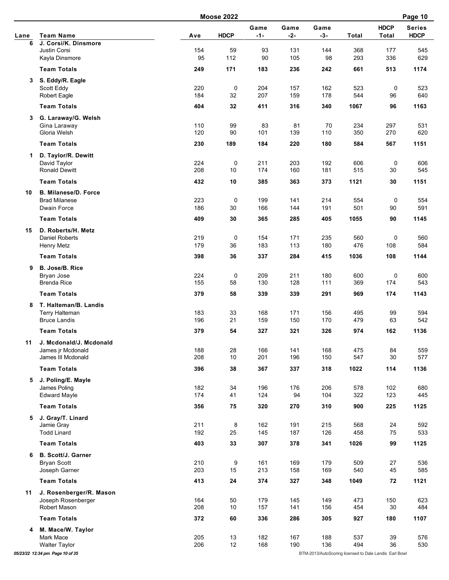| Lane<br>6<br>3 | <b>Team Name</b><br>J. Corsi/K. Dinsmore<br><b>Justin Corsi</b><br>Kayla Dinsmore | Ave        | <b>HDCP</b>                                                                                                                                                                                                                                                                                                                                                                                                                                                        | Game<br>$-1-$ | Game<br>$-2-$ | Game<br>$-3-$ |            | <b>HDCP</b> | <b>Series</b> |
|----------------|-----------------------------------------------------------------------------------|------------|--------------------------------------------------------------------------------------------------------------------------------------------------------------------------------------------------------------------------------------------------------------------------------------------------------------------------------------------------------------------------------------------------------------------------------------------------------------------|---------------|---------------|---------------|------------|-------------|---------------|
|                |                                                                                   |            |                                                                                                                                                                                                                                                                                                                                                                                                                                                                    |               |               |               |            |             |               |
|                |                                                                                   |            |                                                                                                                                                                                                                                                                                                                                                                                                                                                                    |               |               |               | Total      | Total       | <b>HDCP</b>   |
|                |                                                                                   |            | 59                                                                                                                                                                                                                                                                                                                                                                                                                                                                 | 93            | 131           | 144           | 368        | 177         | 545           |
|                |                                                                                   |            |                                                                                                                                                                                                                                                                                                                                                                                                                                                                    |               |               | 98            | 293        | 336         | 629           |
|                | <b>Team Totals</b>                                                                | 249        | 154<br>95<br>112<br>90<br>105<br>171<br>236<br>183<br>220<br>0<br>204<br>157<br>184<br>32<br>207<br>159<br>404<br>32<br>411<br>316<br>83<br>110<br>99<br>81<br>120<br>90<br>101<br>139<br>230<br>189<br>184<br>220<br>0<br>224<br>211<br>203<br>208<br>10<br>174<br>160<br>432<br>10<br>385<br>363<br>223<br>0<br>199<br>141<br>30<br>166<br>186<br>144<br>30<br>365<br>285<br>409<br>0<br>219<br>154<br>171<br>179<br>36<br>183<br>113<br>398<br>36<br>337<br>284 | 242           | 661           | 513           | 1174       |             |               |
|                | S. Eddy/R. Eagle                                                                  |            |                                                                                                                                                                                                                                                                                                                                                                                                                                                                    |               |               |               |            |             |               |
|                | Scott Eddy                                                                        |            |                                                                                                                                                                                                                                                                                                                                                                                                                                                                    |               |               | 162           | 523        | 0           | 523           |
|                | <b>Robert Eagle</b>                                                               |            |                                                                                                                                                                                                                                                                                                                                                                                                                                                                    |               |               | 178           | 544        | 96          | 640           |
|                | <b>Team Totals</b>                                                                |            |                                                                                                                                                                                                                                                                                                                                                                                                                                                                    |               |               | 340           | 1067       | 96          | 1163          |
| 3              | G. Laraway/G. Welsh                                                               |            |                                                                                                                                                                                                                                                                                                                                                                                                                                                                    |               |               |               |            |             |               |
|                | Gina Laraway<br>Gloria Welsh                                                      |            |                                                                                                                                                                                                                                                                                                                                                                                                                                                                    |               |               | 70<br>110     | 234<br>350 | 297<br>270  | 531<br>620    |
|                | <b>Team Totals</b>                                                                |            |                                                                                                                                                                                                                                                                                                                                                                                                                                                                    |               |               | 180           | 584        | 567         | 1151          |
|                |                                                                                   |            |                                                                                                                                                                                                                                                                                                                                                                                                                                                                    |               |               |               |            |             |               |
| 1              | D. Taylor/R. Dewitt<br>David Taylor                                               |            |                                                                                                                                                                                                                                                                                                                                                                                                                                                                    |               |               | 192           | 606        | 0           | 606           |
|                | <b>Ronald Dewitt</b>                                                              |            |                                                                                                                                                                                                                                                                                                                                                                                                                                                                    |               |               | 181           | 515        | 30          | 545           |
|                | <b>Team Totals</b>                                                                |            |                                                                                                                                                                                                                                                                                                                                                                                                                                                                    |               |               | 373           | 1121       | 30          | 1151          |
|                |                                                                                   |            |                                                                                                                                                                                                                                                                                                                                                                                                                                                                    |               |               |               |            |             |               |
| 10             | <b>B. Milanese/D. Force</b><br><b>Brad Milanese</b>                               |            |                                                                                                                                                                                                                                                                                                                                                                                                                                                                    |               |               | 214           | 554        | 0           | 554           |
|                | Dwain Force                                                                       |            |                                                                                                                                                                                                                                                                                                                                                                                                                                                                    |               |               | 191           | 501        | 90          | 591           |
|                | <b>Team Totals</b>                                                                |            |                                                                                                                                                                                                                                                                                                                                                                                                                                                                    |               |               | 405           | 1055       | 90          | 1145          |
| 15             | D. Roberts/H. Metz                                                                |            |                                                                                                                                                                                                                                                                                                                                                                                                                                                                    |               |               |               |            |             |               |
|                | <b>Daniel Roberts</b>                                                             |            |                                                                                                                                                                                                                                                                                                                                                                                                                                                                    |               |               | 235           | 560        | 0           | 560           |
|                | Henry Metz                                                                        |            |                                                                                                                                                                                                                                                                                                                                                                                                                                                                    |               |               | 180           | 476        | 108         | 584           |
|                | <b>Team Totals</b>                                                                |            |                                                                                                                                                                                                                                                                                                                                                                                                                                                                    |               |               | 415           | 1036       | 108         | 1144          |
| 9              | B. Jose/B. Rice                                                                   |            |                                                                                                                                                                                                                                                                                                                                                                                                                                                                    |               |               |               |            |             |               |
|                | Bryan Jose                                                                        | 224        | 0                                                                                                                                                                                                                                                                                                                                                                                                                                                                  | 209           | 211           | 180           | 600        | 0           | 600           |
|                | <b>Brenda Rice</b>                                                                | 155        | 58                                                                                                                                                                                                                                                                                                                                                                                                                                                                 | 130           | 128           | 111           | 369        | 174         | 543           |
|                | <b>Team Totals</b>                                                                | 379        | 58                                                                                                                                                                                                                                                                                                                                                                                                                                                                 | 339           | 339           | 291           | 969        | 174         | 1143          |
| 8              | T. Halteman/B. Landis                                                             |            |                                                                                                                                                                                                                                                                                                                                                                                                                                                                    |               |               |               |            |             |               |
|                | <b>Terry Halteman</b>                                                             | 183        | 33                                                                                                                                                                                                                                                                                                                                                                                                                                                                 | 168           | 171           | 156           | 495        | 99          | 594           |
|                | <b>Bruce Landis</b>                                                               | 196        | 21                                                                                                                                                                                                                                                                                                                                                                                                                                                                 | 159           | 150           | 170           | 479        | 63          | 542           |
|                | <b>Team Totals</b>                                                                | 379        | 54                                                                                                                                                                                                                                                                                                                                                                                                                                                                 | 327           | 321           | 326           | 974        | 162         | 1136          |
| 11             | J. Mcdonald/J. Mcdonald                                                           |            |                                                                                                                                                                                                                                                                                                                                                                                                                                                                    |               |               |               |            |             |               |
|                | James jr Mcdonald                                                                 | 188        | 28                                                                                                                                                                                                                                                                                                                                                                                                                                                                 | 166           | 141           | 168           | 475        | 84          | 559           |
|                | James III Mcdonald                                                                | 208        | 10                                                                                                                                                                                                                                                                                                                                                                                                                                                                 | 201           | 196           | 150           | 547        | 30          | 577           |
|                | <b>Team Totals</b>                                                                | 396        | 38                                                                                                                                                                                                                                                                                                                                                                                                                                                                 | 367           | 337           | 318           | 1022       | 114         | 1136          |
| 5              | J. Poling/E. Mayle                                                                |            |                                                                                                                                                                                                                                                                                                                                                                                                                                                                    |               |               |               |            |             |               |
|                | James Poling                                                                      | 182        | 34                                                                                                                                                                                                                                                                                                                                                                                                                                                                 | 196           | 176           | 206           | 578        | 102         | 680           |
|                | <b>Edward Mayle</b>                                                               | 174        | 41                                                                                                                                                                                                                                                                                                                                                                                                                                                                 | 124           | 94            | 104           | 322        | 123         | 445           |
|                | <b>Team Totals</b>                                                                | 356        | 75                                                                                                                                                                                                                                                                                                                                                                                                                                                                 | 320           | 270           | 310           | 900        | 225         | 1125          |
|                | 5 J. Gray/T. Linard                                                               |            |                                                                                                                                                                                                                                                                                                                                                                                                                                                                    |               |               |               |            |             |               |
|                | Jamie Gray<br><b>Todd Linard</b>                                                  | 211<br>192 | 8<br>25                                                                                                                                                                                                                                                                                                                                                                                                                                                            | 162<br>145    | 191<br>187    | 215<br>126    | 568<br>458 | 24<br>75    | 592<br>533    |
|                |                                                                                   |            |                                                                                                                                                                                                                                                                                                                                                                                                                                                                    |               |               |               |            |             |               |
|                | <b>Team Totals</b>                                                                | 403        | 33                                                                                                                                                                                                                                                                                                                                                                                                                                                                 | 307           | 378           | 341           | 1026       | 99          | 1125          |
| 6              | <b>B. Scott/J. Garner</b>                                                         |            |                                                                                                                                                                                                                                                                                                                                                                                                                                                                    |               |               |               |            |             |               |
|                | <b>Bryan Scott</b><br>Joseph Garner                                               | 210<br>203 | 9<br>15                                                                                                                                                                                                                                                                                                                                                                                                                                                            | 161<br>213    | 169<br>158    | 179<br>169    | 509<br>540 | 27<br>45    | 536<br>585    |
|                | <b>Team Totals</b>                                                                |            |                                                                                                                                                                                                                                                                                                                                                                                                                                                                    | 374           | 327           |               | 1049       | 72          | 1121          |
|                |                                                                                   | 413        | 24                                                                                                                                                                                                                                                                                                                                                                                                                                                                 |               |               | 348           |            |             |               |
| 11             | J. Rosenberger/R. Mason<br>Joseph Rosenberger                                     | 164        | 50                                                                                                                                                                                                                                                                                                                                                                                                                                                                 | 179           | 145           | 149           | 473        | 150         | 623           |
|                | Robert Mason                                                                      | 208        | 10                                                                                                                                                                                                                                                                                                                                                                                                                                                                 | 157           | 141           | 156           | 454        | 30          | 484           |
|                | <b>Team Totals</b>                                                                | 372        | 60                                                                                                                                                                                                                                                                                                                                                                                                                                                                 | 336           | 286           | 305           | 927        | 180         | 1107          |
|                |                                                                                   |            |                                                                                                                                                                                                                                                                                                                                                                                                                                                                    |               |               |               |            |             |               |
|                | 4 M. Mace/W. Taylor<br>Mark Mace                                                  | 205        | 13                                                                                                                                                                                                                                                                                                                                                                                                                                                                 | 182           | 167           | 188           | 537        | 39          | 576           |
|                | <b>Walter Taylor</b>                                                              | 206        | 12                                                                                                                                                                                                                                                                                                                                                                                                                                                                 | 168           | 190           | 136           | 494        | 36          | 530           |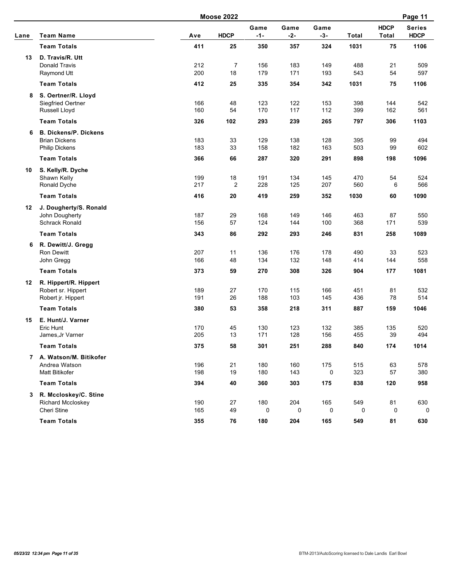|      |                                                                                 |                   | <b>Moose 2022</b>    |                   |                   |                   |                   |                             | Page 11                      |
|------|---------------------------------------------------------------------------------|-------------------|----------------------|-------------------|-------------------|-------------------|-------------------|-----------------------------|------------------------------|
| Lane | <b>Team Name</b>                                                                | Ave               | <b>HDCP</b>          | Game<br>$-1-$     | Game<br>$-2-$     | Game<br>$-3-$     | <b>Total</b>      | <b>HDCP</b><br><b>Total</b> | <b>Series</b><br><b>HDCP</b> |
|      | <b>Team Totals</b>                                                              | 411               | 25                   | 350               | 357               | 324               | 1031              | 75                          | 1106                         |
| 13   | D. Travis/R. Utt<br><b>Donald Travis</b><br>Raymond Utt                         | 212<br>200        | $\overline{7}$<br>18 | 156<br>179        | 183<br>171        | 149<br>193        | 488<br>543        | 21<br>54                    | 509<br>597                   |
|      | <b>Team Totals</b>                                                              | 412               | 25                   | 335               | 354               | 342               | 1031              | 75                          | 1106                         |
| 8    | S. Oertner/R. Lloyd<br>Siegfried Oertner<br>Russell Lloyd<br><b>Team Totals</b> | 166<br>160<br>326 | 48<br>54<br>102      | 123<br>170<br>293 | 122<br>117<br>239 | 153<br>112<br>265 | 398<br>399<br>797 | 144<br>162<br>306           | 542<br>561<br>1103           |
| 6    | <b>B. Dickens/P. Dickens</b>                                                    |                   |                      |                   |                   |                   |                   |                             |                              |
|      | <b>Brian Dickens</b><br><b>Philip Dickens</b>                                   | 183<br>183        | 33<br>33             | 129<br>158        | 138<br>182        | 128<br>163        | 395<br>503        | 99<br>99                    | 494<br>602                   |
|      | <b>Team Totals</b>                                                              | 366               | 66                   | 287               | 320               | 291               | 898               | 198                         | 1096                         |
| 10   | S. Kelly/R. Dyche<br>Shawn Kelly<br>Ronald Dyche                                | 199<br>217        | 18<br>$\overline{2}$ | 191<br>228        | 134<br>125        | 145<br>207        | 470<br>560        | 54<br>6                     | 524<br>566                   |
|      | <b>Team Totals</b>                                                              | 416               | 20                   | 419               | 259               | 352               | 1030              | 60                          | 1090                         |
| 12   | J. Dougherty/S. Ronald<br>John Dougherty<br><b>Schrack Ronald</b>               | 187<br>156        | 29<br>57             | 168<br>124        | 149<br>144        | 146<br>100        | 463<br>368        | 87<br>171                   | 550<br>539                   |
|      | <b>Team Totals</b>                                                              | 343               | 86                   | 292               | 293               | 246               | 831               | 258                         | 1089                         |
| 6    | R. Dewitt/J. Gregg<br>Ron Dewitt<br>John Gregg<br><b>Team Totals</b>            | 207<br>166<br>373 | 11<br>48<br>59       | 136<br>134<br>270 | 176<br>132<br>308 | 178<br>148<br>326 | 490<br>414<br>904 | 33<br>144<br>177            | 523<br>558<br>1081           |
|      |                                                                                 |                   |                      |                   |                   |                   |                   |                             |                              |
| 12   | R. Hippert/R. Hippert<br>Robert sr. Hippert<br>Robert jr. Hippert               | 189<br>191        | 27<br>26             | 170<br>188        | 115<br>103        | 166<br>145        | 451<br>436        | 81<br>78                    | 532<br>514                   |
|      | <b>Team Totals</b>                                                              | 380               | 53                   | 358               | 218               | 311               | 887               | 159                         | 1046                         |
| 15   | E. Hunt/J. Varner<br>Eric Hunt<br>James, Jr Varner                              | 170<br>205        | 45<br>13             | 130<br>171        | 123<br>128        | 132<br>156        | 385<br>455        | 135<br>39                   | 520<br>494                   |
|      | <b>Team Totals</b>                                                              | 375               | 58                   | 301               | 251               | 288               | 840               | 174                         | 1014                         |
|      | 7 A. Watson/M. Bitikofer<br>Andrea Watson<br><b>Matt Bitikofer</b>              | 196<br>198        | 21<br>19             | 180<br>180        | 160<br>143        | 175<br>0          | 515<br>323        | 63<br>57                    | 578<br>380                   |
|      | <b>Team Totals</b>                                                              | 394               | 40                   | 360               | 303               | 175               | 838               | 120                         | 958                          |
| 3    | R. Mccloskey/C. Stine<br><b>Richard Mccloskey</b><br>Cheri Stine                | 190<br>165        | 27<br>49             | 180<br>0          | 204<br>0          | 165<br>0          | 549<br>0          | 81<br>0                     | 630<br>0                     |
|      | <b>Team Totals</b>                                                              | 355               | 76                   | 180               | 204               | 165               | 549               | 81                          | 630                          |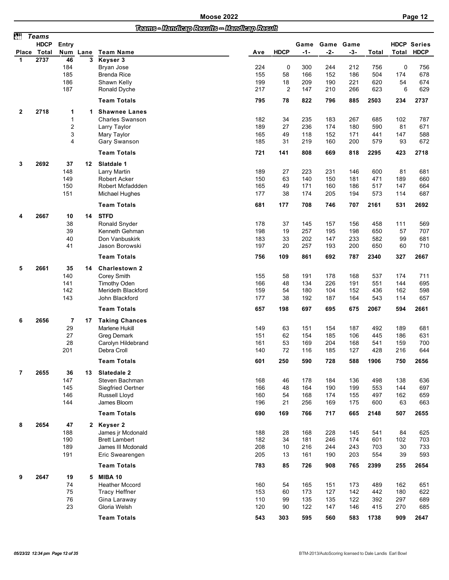## *Teams - Handicap Results -- Handicap Result*

| èü           | <b>Teams</b> |                |      |                                  |            |             |            |            |            |            |           |                    |
|--------------|--------------|----------------|------|----------------------------------|------------|-------------|------------|------------|------------|------------|-----------|--------------------|
|              | <b>HDCP</b>  | Entry          |      |                                  |            |             | Game       | Game Game  |            |            |           | <b>HDCP Series</b> |
| <b>Place</b> | Total        | Num            | Lane | <b>Team Name</b>                 | Ave        | <b>HDCP</b> | $-1-$      | $-2-$      | -3-        | Total      | Total     | <b>HDCP</b>        |
| 1            | 2737         | 46             | 3    | Keyser 3                         |            |             |            |            |            |            |           |                    |
|              |              | 184<br>185     |      | Bryan Jose<br><b>Brenda Rice</b> | 224<br>155 | 0<br>58     | 300<br>166 | 244<br>152 | 212<br>186 | 756<br>504 | 0<br>174  | 756<br>678         |
|              |              | 186            |      | Shawn Kelly                      | 199        | 18          | 209        | 190        | 221        | 620        | 54        | 674                |
|              |              | 187            |      | Ronald Dyche                     | 217        | 2           | 147        | 210        | 266        | 623        | 6         | 629                |
|              |              |                |      |                                  |            |             |            |            |            |            |           |                    |
|              |              |                |      | <b>Team Totals</b>               | 795        | 78          | 822        | 796        | 885        | 2503       | 234       | 2737               |
| 2            | 2718         | 1              | 1.   | <b>Shawnee Lanes</b>             |            |             |            |            |            |            |           |                    |
|              |              | $\mathbf 1$    |      | <b>Charles Swanson</b>           | 182        | 34          | 235        | 183        | 267        | 685        | 102       | 787                |
|              |              | $\overline{c}$ |      | Larry Taylor                     | 189        | 27          | 236        | 174        | 180        | 590        | 81        | 671                |
|              |              | 3<br>4         |      | Mary Taylor<br>Gary Swanson      | 165<br>185 | 49<br>31    | 118<br>219 | 152<br>160 | 171<br>200 | 441<br>579 | 147<br>93 | 588<br>672         |
|              |              |                |      |                                  |            |             |            |            |            |            |           |                    |
|              |              |                |      | <b>Team Totals</b>               | 721        | 141         | 808        | 669        | 818        | 2295       | 423       | 2718               |
| 3            | 2692         | 37             | 12   | Slatdale 1                       |            |             |            |            |            |            |           |                    |
|              |              | 148            |      | Larry Martin                     | 189        | 27          | 223        | 231        | 146        | 600        | 81        | 681                |
|              |              | 149            |      | <b>Robert Acker</b>              | 150        | 63          | 140        | 150        | 181        | 471        | 189       | 660                |
|              |              | 150            |      | Robert Mcfaddden                 | 165        | 49          | 171        | 160        | 186        | 517        | 147       | 664                |
|              |              | 151            |      | Michael Hughes                   | 177        | 38          | 174        | 205        | 194        | 573        | 114       | 687                |
|              |              |                |      | <b>Team Totals</b>               | 681        | 177         | 708        | 746        | 707        | 2161       | 531       | 2692               |
| 4            | 2667         | 10             | 14   | <b>STFD</b>                      |            |             |            |            |            |            |           |                    |
|              |              | 38             |      | Ronald Snyder                    | 178        | 37          | 145        | 157        | 156        | 458        | 111       | 569                |
|              |              | 39             |      | Kenneth Gehman                   | 198        | 19          | 257        | 195        | 198        | 650        | 57        | 707                |
|              |              | 40             |      | Don Vanbuskirk                   | 183        | 33          | 202        | 147        | 233        | 582        | 99        | 681                |
|              |              | 41             |      | Jason Borowski                   | 197        | 20          | 257        | 193        | 200        | 650        | 60        | 710                |
|              |              |                |      | <b>Team Totals</b>               | 756        | 109         | 861        | 692        | 787        | 2340       | 327       | 2667               |
| 5            | 2661         | 35             | 14   | <b>Charlestown 2</b>             |            |             |            |            |            |            |           |                    |
|              |              | 140            |      | Corey Smith                      | 155        | 58          | 191        | 178        | 168        | 537        | 174       | 711                |
|              |              | 141            |      | <b>Timothy Oden</b>              | 166        | 48          | 134        | 226        | 191        | 551        | 144       | 695                |
|              |              | 142            |      | Merideth Blackford               | 159        | 54          | 180        | 104        | 152        | 436        | 162       | 598                |
|              |              | 143            |      | John Blackford                   | 177        | 38          | 192        | 187        | 164        | 543        | 114       | 657                |
|              |              |                |      | <b>Team Totals</b>               | 657        | 198         | 697        | 695        | 675        | 2067       | 594       | 2661               |
| 6            | 2656         | 7              | 17   | <b>Taking Chances</b>            |            |             |            |            |            |            |           |                    |
|              |              | 29             |      | Marlene Hukill                   | 149        | 63          | 151        | 154        | 187        | 492        | 189       | 681                |
|              |              | 27             |      | Greg Demark                      | 151        | 62          | 154        | 185        | 106        | 445        | 186       | 631                |
|              |              | 28             |      | Carolyn Hildebrand               | 161        | 53          | 169        | 204        | 168        | 541        | 159       | 700                |
|              |              | 201            |      | Debra Croll                      | 140        | 72          | 116        | 185        | 127        | 428        | 216       | 644                |
|              |              |                |      | <b>Team Totals</b>               | 601        | 250         | 590        | 728        | 588        | 1906       | 750       | 2656               |
| 7            | 2655         | 36             | 13   | Slatedale 2                      |            |             |            |            |            |            |           |                    |
|              |              | 147            |      | Steven Bachman                   | 168        | 46          | 178        | 184        | 136        | 498        | 138       | 636                |
|              |              | 145            |      | Siegfried Oertner                | 166        | 48          | 164        | 190        | 199        | 553        | 144       | 697                |
|              |              | 146            |      | Russell Lloyd                    | 160        | 54          | 168        | 174        | 155        | 497        | 162       | 659                |
|              |              | 144            |      | James Bloom                      | 196        | 21          | 256        | 169        | 175        | 600        | 63        | 663                |
|              |              |                |      | <b>Team Totals</b>               | 690        | 169         | 766        | 717        | 665        | 2148       | 507       | 2655               |
| 8            | 2654         | 47             |      | 2 Keyser 2                       |            |             |            |            |            |            |           |                    |
|              |              | 188            |      | James jr Mcdonald                | 188        | 28          | 168        | 228        | 145        | 541        | 84        | 625                |
|              |              | 190            |      | <b>Brett Lambert</b>             | 182        | 34          | 181        | 246        | 174        | 601        | 102       | 703                |
|              |              | 189            |      | James III Mcdonald               | 208        | 10          | 216        | 244        | 243        | 703        | 30        | 733                |
|              |              | 191            |      | Eric Swearengen                  | 205        | 13          | 161        | 190        | 203        | 554        | 39        | 593                |
|              |              |                |      | <b>Team Totals</b>               | 783        | 85          | 726        | 908        | 765        | 2399       | 255       | 2654               |
| 9            | 2647         | 19             | 5    | <b>MIBA 10</b>                   |            |             |            |            |            |            |           |                    |
|              |              | 74             |      | <b>Heather Mccord</b>            | 160        | 54          | 165        | 151        | 173        | 489        | 162       | 651                |
|              |              | 75             |      | <b>Tracy Heffner</b>             | 153        | 60          | 173        | 127        | 142        | 442        | 180       | 622                |
|              |              | 76             |      | Gina Laraway                     | 110        | 99          | 135        | 135        | 122        | 392        | 297       | 689                |
|              |              | 23             |      | Gloria Welsh                     | 120        | 90          | 122        | 147        | 146        | 415        | 270       | 685                |
|              |              |                |      | <b>Team Totals</b>               | 543        | 303         | 595        | 560        | 583        | 1738       | 909       | 2647               |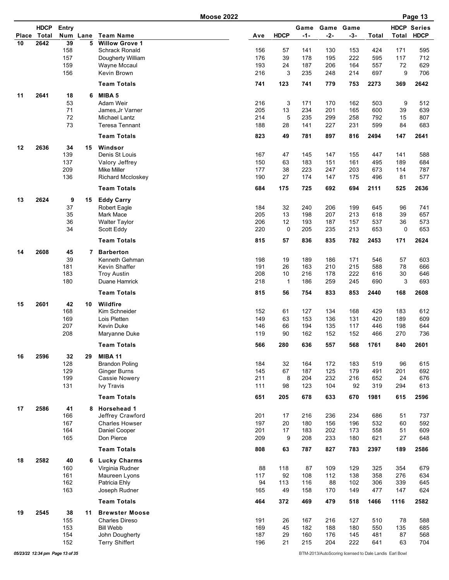|    |                            |            |          | <b>Moose 2022</b>                         |            |                    |               |            |                    |              |           | Page 13                           |
|----|----------------------------|------------|----------|-------------------------------------------|------------|--------------------|---------------|------------|--------------------|--------------|-----------|-----------------------------------|
|    | <b>HDCP</b><br>Place Total | Entry      | Num Lane | <b>Team Name</b>                          | Ave        | <b>HDCP</b>        | Game<br>$-1-$ | $-2-$      | Game Game<br>$-3-$ | <b>Total</b> | Total     | <b>HDCP Series</b><br><b>HDCP</b> |
| 10 | 2642                       | 39         | 5        | <b>Willow Grove 1</b>                     |            |                    |               |            |                    |              |           |                                   |
|    |                            | 158        |          | <b>Schrack Ronald</b>                     | 156        | 57                 | 141           | 130        | 153                | 424          | 171       | 595                               |
|    |                            | 157        |          | Dougherty William                         | 176        | 39                 | 178           | 195        | 222                | 595          | 117       | 712                               |
|    |                            | 159        |          | Wayne Mccaul<br>Kevin Brown               | 193<br>216 | 24<br>3            | 187           | 206        | 164                | 557          | 72<br>9   | 629                               |
|    |                            | 156        |          |                                           |            |                    | 235           | 248        | 214                | 697          |           | 706                               |
|    |                            |            |          | <b>Team Totals</b>                        | 741        | 123                | 741           | 779        | 753                | 2273         | 369       | 2642                              |
| 11 | 2641                       | 18<br>53   | 6        | MIBA 5<br>Adam Weir                       | 216        |                    | 171           |            | 162                | 503          |           |                                   |
|    |                            | 71         |          | James.Jr Varner                           | 205        | 3<br>13            | 234           | 170<br>201 | 165                | 600          | 9<br>39   | 512<br>639                        |
|    |                            | 72         |          | Michael Lantz                             | 214        | 5                  | 235           | 299        | 258                | 792          | 15        | 807                               |
|    |                            | 73         |          | <b>Teresa Tennant</b>                     | 188        | 28                 | 141           | 227        | 231                | 599          | 84        | 683                               |
|    |                            |            |          | <b>Team Totals</b>                        | 823        | 49                 | 781           | 897        | 816                | 2494         | 147       | 2641                              |
| 12 | 2636                       | 34         | 15       | Windsor                                   |            |                    |               |            |                    |              |           |                                   |
|    |                            | 139        |          | Denis St Louis                            | 167        | 47                 | 145           | 147        | 155                | 447          | 141       | 588                               |
|    |                            | 137        |          | Valory Jeffrey                            | 150        | 63                 | 183           | 151        | 161                | 495          | 189       | 684                               |
|    |                            | 209<br>136 |          | <b>Mike Miller</b><br>Richard Mccloskey   | 177<br>190 | 38<br>27           | 223<br>174    | 247<br>147 | 203<br>175         | 673<br>496   | 114<br>81 | 787<br>577                        |
|    |                            |            |          | <b>Team Totals</b>                        | 684        | 175                | 725           | 692        | 694                | 2111         | 525       | 2636                              |
|    |                            |            |          |                                           |            |                    |               |            |                    |              |           |                                   |
| 13 | 2624                       | 9<br>37    | 15       | <b>Eddy Carry</b><br><b>Robert Eagle</b>  | 184        | 32                 | 240           | 206        | 199                | 645          | 96        | 741                               |
|    |                            | 35         |          | <b>Mark Mace</b>                          | 205        | 13                 | 198           | 207        | 213                | 618          | 39        | 657                               |
|    |                            | 36         |          | <b>Walter Taylor</b>                      | 206        | 12                 | 193           | 187        | 157                | 537          | 36        | 573                               |
|    |                            | 34         |          | Scott Eddy                                | 220        | 0                  | 205           | 235        | 213                | 653          | 0         | 653                               |
|    |                            |            |          | <b>Team Totals</b>                        | 815        | 57                 | 836           | 835        | 782                | 2453         | 171       | 2624                              |
| 14 | 2608                       | 45         | 7        | <b>Barberton</b>                          |            |                    |               |            |                    |              |           |                                   |
|    |                            | 39         |          | Kenneth Gehman                            | 198        | 19                 | 189           | 186        | 171                | 546          | 57        | 603                               |
|    |                            | 181        |          | Kevin Shaffer                             | 191<br>208 | 26                 | 163           | 210        | 215                | 588          | 78        | 666                               |
|    |                            | 183<br>180 |          | <b>Troy Austin</b><br>Duane Hamrick       | 218        | 10<br>$\mathbf{1}$ | 216<br>186    | 178<br>259 | 222<br>245         | 616<br>690   | 30<br>3   | 646<br>693                        |
|    |                            |            |          | <b>Team Totals</b>                        | 815        | 56                 | 754           | 833        | 853                | 2440         | 168       | 2608                              |
| 15 | 2601                       | 42         | 10       | Wildfire                                  |            |                    |               |            |                    |              |           |                                   |
|    |                            | 168        |          | Kim Schneider                             | 152        | 61                 | 127           | 134        | 168                | 429          | 183       | 612                               |
|    |                            | 169        |          | Lois Pletten                              | 149        | 63                 | 153           | 136        | 131                | 420          | 189       | 609                               |
|    |                            | 207        |          | <b>Kevin Duke</b>                         | 146        | 66                 | 194           | 135        | 117                | 446          | 198       | 644                               |
|    |                            | 208        |          | Maryanne Duke                             | 119        | 90                 | 162           | 152        | 152                | 466          | 270       | 736                               |
|    |                            |            |          | <b>Team Totals</b>                        | 566        | 280                | 636           | 557        | 568                | 1761         | 840       | 2601                              |
| 16 | 2596                       | 32         | 29       | <b>MIBA 11</b><br><b>Brandon Poling</b>   | 184        |                    | 164           | 172        | 183                |              |           |                                   |
|    |                            | 128<br>129 |          | <b>Ginger Burns</b>                       | 145        | 32<br>67           | 187           | 125        | 179                | 519<br>491   | 96<br>201 | 615<br>692                        |
|    |                            | 199        |          | <b>Cassie Nowery</b>                      | 211        | 8                  | 204           | 232        | 216                | 652          | 24        | 676                               |
|    |                            | 131        |          | <b>Ivy Travis</b>                         | 111        | 98                 | 123           | 104        | 92                 | 319          | 294       | 613                               |
|    |                            |            |          | <b>Team Totals</b>                        | 651        | 205                | 678           | 633        | 670                | 1981         | 615       | 2596                              |
| 17 | 2586                       | 41         |          | 8 Horsehead 1                             |            |                    |               |            |                    |              |           |                                   |
|    |                            | 166        |          | Jeffrey Crawford                          | 201        | 17                 | 216           | 236        | 234                | 686          | 51        | 737                               |
|    |                            | 167<br>164 |          | <b>Charles Howser</b>                     | 197<br>201 | 20                 | 180           | 156        | 196                | 532<br>558   | 60        | 592                               |
|    |                            | 165        |          | Daniel Cooper<br>Don Pierce               | 209        | 17<br>9            | 183<br>208    | 202<br>233 | 173<br>180         | 621          | 51<br>27  | 609<br>648                        |
|    |                            |            |          | <b>Team Totals</b>                        | 808        | 63                 | 787           | 827        | 783                | 2397         | 189       | 2586                              |
| 18 | 2582                       | 40         |          |                                           |            |                    |               |            |                    |              |           |                                   |
|    |                            | 160        |          | 6 Lucky Charms<br>Virginia Rudner         | 88         | 118                | 87            | 109        | 129                | 325          | 354       | 679                               |
|    |                            | 161        |          | Maureen Lyons                             | 117        | 92                 | 108           | 112        | 138                | 358          | 276       | 634                               |
|    |                            | 162        |          | Patricia Ehly                             | 94         | 113                | 116           | 88         | 102                | 306          | 339       | 645                               |
|    |                            | 163        |          | Joseph Rudner                             | 165        | 49                 | 158           | 170        | 149                | 477          | 147       | 624                               |
|    |                            |            |          | <b>Team Totals</b>                        | 464        | 372                | 469           | 479        | 518                | 1466         | 1116      | 2582                              |
| 19 | 2545                       | 38         | 11       | <b>Brewster Moose</b>                     |            |                    |               |            |                    |              |           |                                   |
|    |                            | 155<br>153 |          | <b>Charles Direso</b><br><b>Bill Webb</b> | 191<br>169 | 26<br>45           | 167<br>182    | 216<br>188 | 127<br>180         | 510<br>550   | 78<br>135 | 588<br>685                        |
|    |                            | 154        |          | John Dougherty                            | 187        | 29                 | 160           | 176        | 145                | 481          | 87        | 568                               |
|    |                            | 152        |          | <b>Terry Shiffert</b>                     | 196        | 21                 | 215           | 204        | 222                | 641          | 63        | 704                               |
|    |                            |            |          |                                           |            |                    |               |            |                    |              |           |                                   |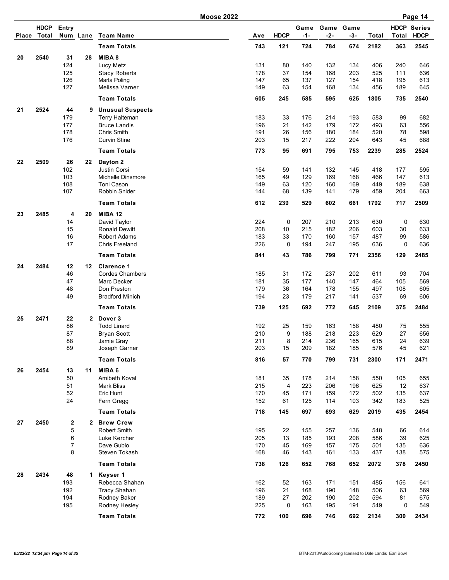|              |                      |                   |                 |                                       | <b>Moose 2022</b> |             |               |            |                    |            |             | Page 14                           |
|--------------|----------------------|-------------------|-----------------|---------------------------------------|-------------------|-------------|---------------|------------|--------------------|------------|-------------|-----------------------------------|
| <b>Place</b> | <b>HDCP</b><br>Total | Entry<br>Num Lane |                 | <b>Team Name</b>                      | Ave               | <b>HDCP</b> | Game<br>$-1-$ | $-2-$      | Game Game<br>$-3-$ | Total      | Total       | <b>HDCP Series</b><br><b>HDCP</b> |
|              |                      |                   |                 | <b>Team Totals</b>                    | 743               | 121         | 724           | 784        | 674                | 2182       | 363         | 2545                              |
|              |                      |                   |                 |                                       |                   |             |               |            |                    |            |             |                                   |
| 20           | 2540                 | 31<br>124         | 28              | MIBA 8                                |                   |             |               |            |                    |            |             |                                   |
|              |                      | 125               |                 | Lucy Metz                             | 131<br>178        | 80<br>37    | 140<br>154    | 132<br>168 | 134<br>203         | 406<br>525 | 240<br>111  | 646<br>636                        |
|              |                      | 126               |                 | <b>Stacy Roberts</b><br>Marla Poling  | 147               | 65          | 137           | 127        | 154                | 418        | 195         | 613                               |
|              |                      | 127               |                 | Melissa Varner                        | 149               | 63          | 154           | 168        | 134                | 456        | 189         | 645                               |
|              |                      |                   |                 | <b>Team Totals</b>                    | 605               | 245         | 585           | 595        | 625                | 1805       | 735         | 2540                              |
| 21           | 2524                 | 44                |                 | 9 Unusual Suspects                    |                   |             |               |            |                    |            |             |                                   |
|              |                      | 179               |                 | Terry Halteman                        | 183               | 33          | 176           | 214        | 193                | 583        | 99          | 682                               |
|              |                      | 177               |                 | <b>Bruce Landis</b>                   | 196               | 21          | 142           | 179        | 172                | 493        | 63          | 556                               |
|              |                      | 178               |                 | Chris Smith                           | 191               | 26          | 156           | 180        | 184                | 520        | 78          | 598                               |
|              |                      | 176               |                 | <b>Curvin Stine</b>                   | 203               | 15          | 217           | 222        | 204                | 643        | 45          | 688                               |
|              |                      |                   |                 | <b>Team Totals</b>                    | 773               | 95          | 691           | 795        | 753                | 2239       | 285         | 2524                              |
| 22           | 2509                 | 26                | 22              | Dayton 2                              |                   |             |               |            |                    |            |             |                                   |
|              |                      | 102               |                 | Justin Corsi                          | 154               | 59          | 141           | 132        | 145                | 418        | 177         | 595                               |
|              |                      | 103               |                 | Michelle Dinsmore                     | 165               | 49          | 129           | 169        | 168                | 466        | 147         | 613                               |
|              |                      | 108               |                 | Toni Cason                            | 149               | 63          | 120           | 160        | 169                | 449        | 189         | 638                               |
|              |                      | 107               |                 | Robbin Snider                         | 144               | 68          | 139           | 141        | 179                | 459        | 204         | 663                               |
|              |                      |                   |                 | <b>Team Totals</b>                    | 612               | 239         | 529           | 602        | 661                | 1792       | 717         | 2509                              |
| 23           | 2485                 | 4                 | 20              | <b>MIBA 12</b>                        |                   |             |               |            |                    |            |             |                                   |
|              |                      | 14                |                 | David Taylor                          | 224               | 0           | 207           | 210        | 213                | 630        | 0           | 630                               |
|              |                      | 15                |                 | <b>Ronald Dewitt</b>                  | 208               | 10          | 215           | 182        | 206                | 603        | 30          | 633                               |
|              |                      | 16                |                 | <b>Robert Adams</b>                   | 183               | 33          | 170           | 160        | 157                | 487        | 99          | 586                               |
|              |                      | 17                |                 | Chris Freeland                        | 226               | 0           | 194           | 247        | 195                | 636        | $\mathbf 0$ | 636                               |
|              |                      |                   |                 | <b>Team Totals</b>                    | 841               | 43          | 786           | 799        | 771                | 2356       | 129         | 2485                              |
| 24           | 2484                 | 12                | 12 <sup>°</sup> | <b>Clarence 1</b>                     |                   |             |               |            |                    |            |             |                                   |
|              |                      | 46<br>47          |                 | <b>Cordes Chambers</b><br>Marc Decker | 185<br>181        | 31<br>35    | 172<br>177    | 237        | 202<br>147         | 611        | 93          | 704<br>569                        |
|              |                      | 48                |                 | Don Preston                           | 179               | 36          | 164           | 140<br>178 | 155                | 464<br>497 | 105<br>108  | 605                               |
|              |                      | 49                |                 | <b>Bradford Minich</b>                | 194               | 23          | 179           | 217        | 141                | 537        | 69          | 606                               |
|              |                      |                   |                 | <b>Team Totals</b>                    | 739               | 125         | 692           | 772        | 645                | 2109       | 375         | 2484                              |
| 25           | 2471                 | 22                | $\mathbf{2}$    | Dover 3                               |                   |             |               |            |                    |            |             |                                   |
|              |                      | 86                |                 | <b>Todd Linard</b>                    | 192               | 25          | 159           | 163        | 158                | 480        | 75          | 555                               |
|              |                      | 87                |                 | <b>Bryan Scott</b>                    | 210               | 9           | 188           | 218        | 223                | 629        | 27          | 656                               |
|              |                      | 88                |                 | Jamie Gray                            | 211               | 8           | 214           | 236        | 165                | 615        | 24          | 639                               |
|              |                      | 89                |                 | Joseph Garner                         | 203               | 15          | 209           | 182        | 185                | 576        | 45          | 621                               |
|              |                      |                   |                 | <b>Team Totals</b>                    | 816               | 57          | 770           | 799        | 731                | 2300       | 171         | 2471                              |
| 26           | 2454                 | 13                | 11              | MIBA 6                                |                   |             |               |            |                    |            |             |                                   |
|              |                      | 50                |                 | Amibeth Koval                         | 181               | 35          | 178           | 214        | 158                | 550        | 105         | 655                               |
|              |                      | 51                |                 | Mark Bliss                            | 215               | 4           | 223           | 206        | 196                | 625        | 12          | 637                               |
|              |                      | 52                |                 | Eric Hunt                             | 170               | 45          | 171           | 159        | 172                | 502        | 135         | 637                               |
|              |                      | 24                |                 | Fern Gregg                            | 152               | 61          | 125           | 114        | 103                | 342        | 183         | 525                               |
|              |                      |                   |                 | <b>Team Totals</b>                    | 718               | 145         | 697           | 693        | 629                | 2019       | 435         | 2454                              |
| 27           | 2450                 | 2                 | $\mathbf{2}$    | <b>Brew Crew</b>                      |                   |             |               |            |                    |            |             |                                   |
|              |                      | 5                 |                 | Robert Smith                          | 195               | 22          | 155           | 257        | 136                | 548        | 66          | 614                               |
|              |                      | 6<br>7            |                 | Luke Kercher<br>Dave Gublo            | 205<br>170        | 13<br>45    | 185<br>169    | 193<br>157 | 208<br>175         | 586<br>501 | 39<br>135   | 625<br>636                        |
|              |                      | 8                 |                 | Steven Tokash                         | 168               | 46          | 143           | 161        | 133                | 437        | 138         | 575                               |
|              |                      |                   |                 | <b>Team Totals</b>                    | 738               | 126         | 652           | 768        | 652                | 2072       | 378         | 2450                              |
| 28           | 2434                 | 48                |                 | 1 Keyser 1                            |                   |             |               |            |                    |            |             |                                   |
|              |                      | 193               |                 | Rebecca Shahan                        | 162               | 52          | 163           | 171        | 151                | 485        | 156         | 641                               |
|              |                      | 192               |                 | <b>Tracy Shahan</b>                   | 196               | 21          | 168           | 190        | 148                | 506        | 63          | 569                               |
|              |                      | 194               |                 | Rodney Baker                          | 189               | 27          | 202           | 190        | 202                | 594        | 81          | 675                               |
|              |                      | 195               |                 | Rodney Hesley                         | 225               | 0           | 163           | 195        | 191                | 549        | 0           | 549                               |
|              |                      |                   |                 |                                       |                   |             |               |            |                    |            |             |                                   |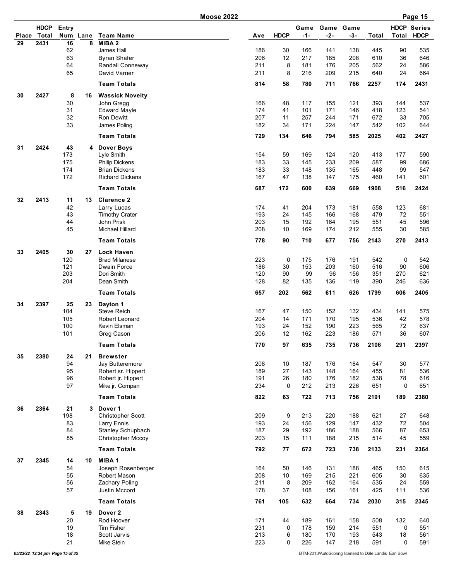|    |                            |            |          | <b>Moose 2022</b>                     |            |             |             |            |                  |              |              | Page 15                           |
|----|----------------------------|------------|----------|---------------------------------------|------------|-------------|-------------|------------|------------------|--------------|--------------|-----------------------------------|
|    | <b>HDCP</b><br>Place Total | Entry      | Num Lane | <b>Team Name</b>                      | Ave        | <b>HDCP</b> | Game<br>-1- | $-2-$      | Game Game<br>-3- | <b>Total</b> | <b>Total</b> | <b>HDCP Series</b><br><b>HDCP</b> |
| 29 | 2431                       | 16         | 8        | MIBA <sub>2</sub>                     |            |             |             |            |                  |              |              |                                   |
|    |                            | 62         |          | James Hall                            | 186        | 30          | 166         | 141        | 138              | 445          | 90           | 535                               |
|    |                            | 63         |          | <b>Byran Shafer</b>                   | 206        | 12          | 217         | 185        | 208              | 610          | 36           | 646                               |
|    |                            | 64         |          | Randall Conneway                      | 211        | 8           | 181         | 176        | 205              | 562          | 24           | 586                               |
|    |                            | 65         |          | David Varner                          | 211        | 8           | 216         | 209        | 215              | 640          | 24           | 664                               |
|    |                            |            |          | <b>Team Totals</b>                    | 814        | 58          | 780         | 711        | 766              | 2257         | 174          | 2431                              |
| 30 | 2427                       | 8<br>30    | 16       | <b>Wassick Novelty</b><br>John Gregg  | 166        | 48          | 117         | 155        | 121              | 393          | 144          | 537                               |
|    |                            | 31         |          | <b>Edward Mayle</b>                   | 174        | 41          | 101         | 171        | 146              | 418          | 123          | 541                               |
|    |                            | 32         |          | <b>Ron Dewitt</b>                     | 207        | 11          | 257         | 244        | 171              | 672          | 33           | 705                               |
|    |                            | 33         |          | James Poling                          | 182        | 34          | 171         | 224        | 147              | 542          | 102          | 644                               |
|    |                            |            |          | <b>Team Totals</b>                    | 729        | 134         | 646         | 794        | 585              | 2025         | 402          | 2427                              |
| 31 | 2424                       | 43         | 4        | Dover Boys                            |            |             |             |            |                  |              |              |                                   |
|    |                            | 173        |          | Lyle Smith                            | 154        | 59          | 169         | 124        | 120              | 413          | 177          | 590                               |
|    |                            | 175        |          | <b>Philip Dickens</b>                 | 183        | 33          | 145         | 233        | 209              | 587          | 99           | 686                               |
|    |                            | 174        |          | <b>Brian Dickens</b>                  | 183        | 33          | 148         | 135        | 165              | 448          | 99           | 547                               |
|    |                            | 172        |          | <b>Richard Dickens</b>                | 167        | 47          | 138         | 147        | 175              | 460          | 141          | 601                               |
|    |                            |            |          | <b>Team Totals</b>                    | 687        | 172         | 600         | 639        | 669              | 1908         | 516          | 2424                              |
| 32 | 2413                       | 11<br>42   | 13       | <b>Clarence 2</b><br>Larry Lucas      | 174        | 41          | 204         | 173        | 181              | 558          | 123          | 681                               |
|    |                            | 43         |          | <b>Timothy Crater</b>                 | 193        | 24          | 145         | 166        | 168              | 479          | 72           | 551                               |
|    |                            | 44         |          | John Prisk                            | 203        | 15          | 192         | 164        | 195              | 551          | 45           | 596                               |
|    |                            | 45         |          | Michael Hillard                       | 208        | 10          | 169         | 174        | 212              | 555          | 30           | 585                               |
|    |                            |            |          | <b>Team Totals</b>                    | 778        | 90          | 710         | 677        | 756              | 2143         | 270          | 2413                              |
| 33 | 2405                       | 30         | 27       | <b>Lock Haven</b>                     |            |             |             |            |                  |              |              |                                   |
|    |                            | 120        |          | <b>Brad Milanese</b>                  | 223        | $\mathbf 0$ | 175         | 176        | 191              | 542          | 0            | 542                               |
|    |                            | 121        |          | Dwain Force                           | 186        | 30          | 153         | 203        | 160              | 516          | 90           | 606                               |
|    |                            | 203<br>204 |          | Dori Smith<br>Dean Smith              | 120<br>128 | 90<br>82    | 99<br>135   | 96<br>136  | 156<br>119       | 351<br>390   | 270<br>246   | 621<br>636                        |
|    |                            |            |          | <b>Team Totals</b>                    | 657        | 202         | 562         | 611        | 626              | 1799         | 606          | 2405                              |
| 34 | 2397                       | 25         | 23       | Dayton 1                              |            |             |             |            |                  |              |              |                                   |
|    |                            | 104        |          | <b>Steve Reich</b>                    | 167        | 47          | 150         | 152        | 132              | 434          | 141          | 575                               |
|    |                            | 105        |          | Robert Leonard                        | 204        | 14          | 171         | 170        | 195              | 536          | 42           | 578                               |
|    |                            | 100        |          | Kevin Elsman                          | 193        | 24          | 152         | 190        | 223              | 565          | 72           | 637                               |
|    |                            | 101        |          | Greg Cason                            | 206        | 12          | 162         | 223        | 186              | 571          | 36           | 607                               |
|    |                            |            |          | <b>Team Totals</b>                    | 770        | 97          | 635         | 735        | 736              | 2106         | 291          | 2397                              |
| 35 | 2380                       | 24         | 21       | <b>Brewster</b>                       |            |             |             |            |                  |              |              |                                   |
|    |                            | 94         |          | Jay Butteremore                       | 208        | 10          | 187         | 176        | 184              | 547          | 30           | 577                               |
|    |                            | 95         |          | Robert sr. Hippert                    | 189<br>191 | 27          | 143         | 148        | 164              | 455          | 81           | 536                               |
|    |                            | 96<br>97   |          | Robert jr. Hippert<br>Mike jr. Compan | 234        | 26<br>0     | 180<br>212  | 176<br>213 | 182<br>226       | 538<br>651   | 78<br>0      | 616<br>651                        |
|    |                            |            |          | <b>Team Totals</b>                    | 822        | 63          | 722         | 713        | 756              | 2191         | 189          | 2380                              |
| 36 | 2364                       | 21         | 3        | Dover 1                               |            |             |             |            |                  |              |              |                                   |
|    |                            | 198        |          | Christopher Scott                     | 209        | 9           | 213         | 220        | 188              | 621          | 27           | 648                               |
|    |                            | 83         |          | Larry Ennis                           | 193        | 24          | 156         | 129        | 147              | 432          | 72           | 504                               |
|    |                            | 84         |          | Stanley Schupbach                     | 187        | 29          | 192         | 186        | 188              | 566          | 87           | 653                               |
|    |                            | 85         |          | Christopher Mccoy                     | 203        | 15          | 111         | 188        | 215              | 514          | 45           | 559                               |
|    |                            |            |          | <b>Team Totals</b>                    | 792        | 77          | 672         | 723        | 738              | 2133         | 231          | 2364                              |
| 37 | 2345                       | 14         | 10       | MIBA <sub>1</sub>                     |            |             |             |            |                  |              |              |                                   |
|    |                            | 54         |          | Joseph Rosenberger                    | 164        | 50          | 146         | 131        | 188              | 465          | 150          | 615                               |
|    |                            | 55         |          | Robert Mason                          | 208        | 10          | 169         | 215        | 221              | 605          | 30           | 635                               |
|    |                            | 56         |          | Zachary Poling                        | 211        | 8           | 209         | 162        | 164              | 535          | 24           | 559                               |
|    |                            | 57         |          | Justin Mccord                         | 178        | 37          | 108         | 156        | 161              | 425          | 111          | 536                               |
|    |                            |            |          | <b>Team Totals</b>                    | 761        | 105         | 632         | 664        | 734              | 2030         | 315          | 2345                              |
| 38 | 2343                       | 5<br>20    | 19       | Dover <sub>2</sub><br>Rod Hoover      | 171        | 44          | 189         | 161        | 158              | 508          | 132          | 640                               |
|    |                            | 19         |          | Tim Fisher                            | 231        | 0           | 178         | 159        | 214              | 551          | 0            | 551                               |
|    |                            | 18         |          | Scott Jarvis                          | 213        | 6           | 180         | 170        | 193              | 543          | 18           | 561                               |
|    |                            | 21         |          | Mike Stein                            | 223        | 0           | 226         | 147        | 218              | 591          | 0            | 591                               |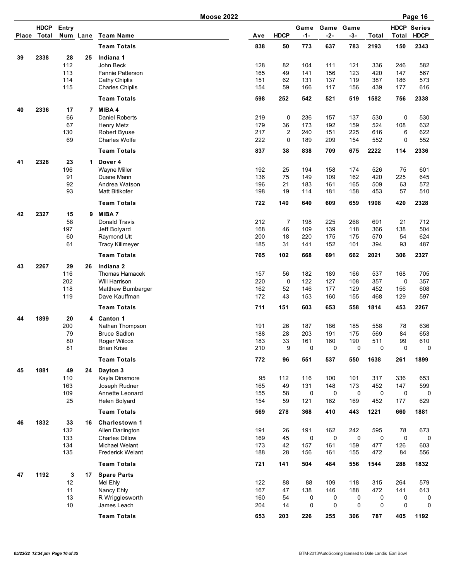| <b>HDCP</b><br><b>HDCP Series</b><br>Entry<br>Game<br>Game<br>Game<br>Total<br><b>HDCP</b><br>$-1-$<br>$-3-$<br><b>HDCP</b><br>Num Lane<br><b>Team Name</b><br>$-2-$<br>Total<br>Total<br><b>Place</b><br>Ave<br><b>Team Totals</b><br>838<br>50<br>773<br>637<br>783<br>2193<br>150<br>2343<br>2338<br>28<br>39<br>25<br>Indiana 1<br>112<br>John Beck<br>128<br>82<br>104<br>111<br>121<br>336<br>582<br>246<br>113<br>Fannie Patterson<br>165<br>49<br>141<br>156<br>123<br>420<br>147<br>567<br>114<br>62<br>387<br>Cathy Chiplis<br>151<br>131<br>137<br>119<br>186<br>573<br>115<br>59<br>166<br>616<br><b>Charles Chiplis</b><br>154<br>117<br>156<br>439<br>177<br><b>Team Totals</b><br>598<br>252<br>542<br>521<br>519<br>1582<br>756<br>2338<br>17<br>MIBA 4<br>40<br>2336<br>$\overline{7}$<br>66<br><b>Daniel Roberts</b><br>219<br>0<br>236<br>137<br>530<br>0<br>530<br>157<br>67<br>179<br>36<br>173<br>192<br>159<br>524<br>108<br>632<br><b>Henry Metz</b><br>$\overline{2}$<br>130<br>217<br>240<br>225<br>622<br>151<br>616<br>6<br><b>Robert Byuse</b><br>69<br>222<br>0<br>154<br>552<br>$\mathbf 0$<br>552<br><b>Charles Wolfe</b><br>189<br>209<br><b>Team Totals</b><br>837<br>38<br>838<br>675<br>2222<br>114<br>2336<br>709<br>23<br>2328<br>41<br>$\mathbf{1}$<br>Dover 4<br>196<br>192<br>25<br>194<br>174<br>526<br>75<br>601<br><b>Wayne Miller</b><br>158<br>75<br>91<br>Duane Mann<br>136<br>149<br>109<br>162<br>420<br>645<br>225<br>92<br>196<br>21<br>165<br>509<br>Andrea Watson<br>183<br>161<br>63<br>572<br>93<br>57<br>510<br><b>Matt Bitikofer</b><br>198<br>19<br>114<br>181<br>158<br>453<br><b>Team Totals</b><br>722<br>140<br>640<br>609<br>659<br>1908<br>420<br>2328<br>42<br>2327<br>15<br>MIBA 7<br>9<br>58<br>Donald Travis<br>212<br>$\overline{7}$<br>198<br>225<br>268<br>691<br>21<br>712<br>197<br>168<br>46<br>109<br>139<br>118<br>366<br>504<br>Jeff Bolyard<br>138<br>60<br>18<br>220<br>175<br>570<br>624<br>200<br>175<br>54<br>Raymond Utt<br>61<br>185<br>31<br>101<br>394<br>487<br><b>Tracy Killmeyer</b><br>141<br>152<br>93<br>662<br><b>Team Totals</b><br>765<br>102<br>668<br>691<br>2021<br>306<br>2327<br>29<br>2267<br>Indiana <sub>2</sub><br>43<br>26<br>116<br>Thomas Hamacek<br>157<br>56<br>182<br>166<br>537<br>189<br>168<br>705<br>202<br>220<br>0<br>122<br>127<br>108<br>357<br>357<br>Will Harrison<br>0<br>118<br>162<br>52<br>146<br>608<br>Matthew Bumbarger<br>177<br>129<br>452<br>156<br>119<br>172<br>43<br>468<br>597<br>Dave Kauffman<br>153<br>160<br>155<br>129<br><b>Team Totals</b><br>711<br>558<br>453<br>2267<br>151<br>603<br>653<br>1814<br>1899<br>20<br>44<br><b>Canton 1</b><br>4<br>200<br>191<br>26<br>187<br>186<br>185<br>636<br>Nathan Thompson<br>558<br>78<br>79<br><b>Bruce Sadlon</b><br>188<br>28<br>203<br>191<br>175<br>569<br>84<br>653<br>Roger Wilcox<br>161<br>511<br>610<br>80<br>183<br>33<br>160<br>190<br>99<br>81<br>9<br><b>Brian Krise</b><br>210<br>0<br>0<br>0<br>0<br>$\mathbf 0$<br>0<br><b>Team Totals</b><br>772<br>96<br>551<br>537<br>550<br>1638<br>261<br>1899<br>45<br>1881<br>49<br>24<br>Dayton 3<br>110<br>Kayla Dinsmore<br>95<br>112<br>116<br>101<br>317<br>100<br>336<br>653<br>163<br>131<br>Joseph Rudner<br>165<br>49<br>148<br>173<br>452<br>147<br>599<br>109<br>155<br>58<br>0<br>0<br>0<br>0<br>0<br>Annette Leonard<br>0<br>25<br>59<br>121<br>169<br>452<br>629<br>Helen Bolyard<br>154<br>162<br>177<br><b>Team Totals</b><br>569<br>278<br>368<br>410<br>443<br>1221<br>660<br>1881<br>1832<br>33<br>46<br>16<br>Charlestown 1<br>132<br>191<br>26<br>191<br>162<br>242<br>595<br>673<br>Allen Darlington<br>78<br>133<br>0<br>0<br>$\mathbf 0$<br>$\mathbf 0$<br><b>Charles Dillow</b><br>169<br>45<br>0<br>0<br>134<br>173<br>42<br>157<br>159<br>477<br>603<br>Michael Welant<br>161<br>126<br>135<br>188<br>28<br>156<br>161<br>155<br>472<br>556<br><b>Frederick Welant</b><br>84<br>721<br><b>Team Totals</b><br>141<br>504<br>484<br>556<br>1544<br>288<br>1832<br>47<br>1192<br>3<br>17<br><b>Spare Parts</b><br>12<br>122<br>88<br>88<br>109<br>118<br>Mel Ehly<br>315<br>264<br>579<br>472<br>11<br>Nancy Ehly<br>167<br>47<br>138<br>146<br>188<br>141<br>613<br>13<br>54<br>R Wrigglesworth<br>160<br>0<br>0<br>0<br>0<br>0<br>0<br>0<br>$\mathsf 0$<br>$\mathsf 0$<br>0<br>10<br>204<br>14<br>0<br>James Leach<br>0<br><b>Team Totals</b><br>653<br>203<br>226<br>306<br>405<br>1192<br>255<br>787 |  |  | <b>Moose 2022</b> |  |  |  | Page 16 |
|---------------------------------------------------------------------------------------------------------------------------------------------------------------------------------------------------------------------------------------------------------------------------------------------------------------------------------------------------------------------------------------------------------------------------------------------------------------------------------------------------------------------------------------------------------------------------------------------------------------------------------------------------------------------------------------------------------------------------------------------------------------------------------------------------------------------------------------------------------------------------------------------------------------------------------------------------------------------------------------------------------------------------------------------------------------------------------------------------------------------------------------------------------------------------------------------------------------------------------------------------------------------------------------------------------------------------------------------------------------------------------------------------------------------------------------------------------------------------------------------------------------------------------------------------------------------------------------------------------------------------------------------------------------------------------------------------------------------------------------------------------------------------------------------------------------------------------------------------------------------------------------------------------------------------------------------------------------------------------------------------------------------------------------------------------------------------------------------------------------------------------------------------------------------------------------------------------------------------------------------------------------------------------------------------------------------------------------------------------------------------------------------------------------------------------------------------------------------------------------------------------------------------------------------------------------------------------------------------------------------------------------------------------------------------------------------------------------------------------------------------------------------------------------------------------------------------------------------------------------------------------------------------------------------------------------------------------------------------------------------------------------------------------------------------------------------------------------------------------------------------------------------------------------------------------------------------------------------------------------------------------------------------------------------------------------------------------------------------------------------------------------------------------------------------------------------------------------------------------------------------------------------------------------------------------------------------------------------------------------------------------------------------------------------------------------------------------------------------------------------------------------------------------------------------------------------------------------------------------------------------------------------------------------------------------------------------------------------------------------------------------------------------------------------------------------------------------------------------------------------------------------------------------------------------------------------------------------------------------------------------------------------------------------------------------------------------------------------------------------------------------------------------------------------------------------------------------------------------------|--|--|-------------------|--|--|--|---------|
|                                                                                                                                                                                                                                                                                                                                                                                                                                                                                                                                                                                                                                                                                                                                                                                                                                                                                                                                                                                                                                                                                                                                                                                                                                                                                                                                                                                                                                                                                                                                                                                                                                                                                                                                                                                                                                                                                                                                                                                                                                                                                                                                                                                                                                                                                                                                                                                                                                                                                                                                                                                                                                                                                                                                                                                                                                                                                                                                                                                                                                                                                                                                                                                                                                                                                                                                                                                                                                                                                                                                                                                                                                                                                                                                                                                                                                                                                                                                                                                                                                                                                                                                                                                                                                                                                                                                                                                                                                                                                 |  |  |                   |  |  |  |         |
|                                                                                                                                                                                                                                                                                                                                                                                                                                                                                                                                                                                                                                                                                                                                                                                                                                                                                                                                                                                                                                                                                                                                                                                                                                                                                                                                                                                                                                                                                                                                                                                                                                                                                                                                                                                                                                                                                                                                                                                                                                                                                                                                                                                                                                                                                                                                                                                                                                                                                                                                                                                                                                                                                                                                                                                                                                                                                                                                                                                                                                                                                                                                                                                                                                                                                                                                                                                                                                                                                                                                                                                                                                                                                                                                                                                                                                                                                                                                                                                                                                                                                                                                                                                                                                                                                                                                                                                                                                                                                 |  |  |                   |  |  |  |         |
|                                                                                                                                                                                                                                                                                                                                                                                                                                                                                                                                                                                                                                                                                                                                                                                                                                                                                                                                                                                                                                                                                                                                                                                                                                                                                                                                                                                                                                                                                                                                                                                                                                                                                                                                                                                                                                                                                                                                                                                                                                                                                                                                                                                                                                                                                                                                                                                                                                                                                                                                                                                                                                                                                                                                                                                                                                                                                                                                                                                                                                                                                                                                                                                                                                                                                                                                                                                                                                                                                                                                                                                                                                                                                                                                                                                                                                                                                                                                                                                                                                                                                                                                                                                                                                                                                                                                                                                                                                                                                 |  |  |                   |  |  |  |         |
|                                                                                                                                                                                                                                                                                                                                                                                                                                                                                                                                                                                                                                                                                                                                                                                                                                                                                                                                                                                                                                                                                                                                                                                                                                                                                                                                                                                                                                                                                                                                                                                                                                                                                                                                                                                                                                                                                                                                                                                                                                                                                                                                                                                                                                                                                                                                                                                                                                                                                                                                                                                                                                                                                                                                                                                                                                                                                                                                                                                                                                                                                                                                                                                                                                                                                                                                                                                                                                                                                                                                                                                                                                                                                                                                                                                                                                                                                                                                                                                                                                                                                                                                                                                                                                                                                                                                                                                                                                                                                 |  |  |                   |  |  |  |         |
|                                                                                                                                                                                                                                                                                                                                                                                                                                                                                                                                                                                                                                                                                                                                                                                                                                                                                                                                                                                                                                                                                                                                                                                                                                                                                                                                                                                                                                                                                                                                                                                                                                                                                                                                                                                                                                                                                                                                                                                                                                                                                                                                                                                                                                                                                                                                                                                                                                                                                                                                                                                                                                                                                                                                                                                                                                                                                                                                                                                                                                                                                                                                                                                                                                                                                                                                                                                                                                                                                                                                                                                                                                                                                                                                                                                                                                                                                                                                                                                                                                                                                                                                                                                                                                                                                                                                                                                                                                                                                 |  |  |                   |  |  |  |         |
|                                                                                                                                                                                                                                                                                                                                                                                                                                                                                                                                                                                                                                                                                                                                                                                                                                                                                                                                                                                                                                                                                                                                                                                                                                                                                                                                                                                                                                                                                                                                                                                                                                                                                                                                                                                                                                                                                                                                                                                                                                                                                                                                                                                                                                                                                                                                                                                                                                                                                                                                                                                                                                                                                                                                                                                                                                                                                                                                                                                                                                                                                                                                                                                                                                                                                                                                                                                                                                                                                                                                                                                                                                                                                                                                                                                                                                                                                                                                                                                                                                                                                                                                                                                                                                                                                                                                                                                                                                                                                 |  |  |                   |  |  |  |         |
|                                                                                                                                                                                                                                                                                                                                                                                                                                                                                                                                                                                                                                                                                                                                                                                                                                                                                                                                                                                                                                                                                                                                                                                                                                                                                                                                                                                                                                                                                                                                                                                                                                                                                                                                                                                                                                                                                                                                                                                                                                                                                                                                                                                                                                                                                                                                                                                                                                                                                                                                                                                                                                                                                                                                                                                                                                                                                                                                                                                                                                                                                                                                                                                                                                                                                                                                                                                                                                                                                                                                                                                                                                                                                                                                                                                                                                                                                                                                                                                                                                                                                                                                                                                                                                                                                                                                                                                                                                                                                 |  |  |                   |  |  |  |         |
|                                                                                                                                                                                                                                                                                                                                                                                                                                                                                                                                                                                                                                                                                                                                                                                                                                                                                                                                                                                                                                                                                                                                                                                                                                                                                                                                                                                                                                                                                                                                                                                                                                                                                                                                                                                                                                                                                                                                                                                                                                                                                                                                                                                                                                                                                                                                                                                                                                                                                                                                                                                                                                                                                                                                                                                                                                                                                                                                                                                                                                                                                                                                                                                                                                                                                                                                                                                                                                                                                                                                                                                                                                                                                                                                                                                                                                                                                                                                                                                                                                                                                                                                                                                                                                                                                                                                                                                                                                                                                 |  |  |                   |  |  |  |         |
|                                                                                                                                                                                                                                                                                                                                                                                                                                                                                                                                                                                                                                                                                                                                                                                                                                                                                                                                                                                                                                                                                                                                                                                                                                                                                                                                                                                                                                                                                                                                                                                                                                                                                                                                                                                                                                                                                                                                                                                                                                                                                                                                                                                                                                                                                                                                                                                                                                                                                                                                                                                                                                                                                                                                                                                                                                                                                                                                                                                                                                                                                                                                                                                                                                                                                                                                                                                                                                                                                                                                                                                                                                                                                                                                                                                                                                                                                                                                                                                                                                                                                                                                                                                                                                                                                                                                                                                                                                                                                 |  |  |                   |  |  |  |         |
|                                                                                                                                                                                                                                                                                                                                                                                                                                                                                                                                                                                                                                                                                                                                                                                                                                                                                                                                                                                                                                                                                                                                                                                                                                                                                                                                                                                                                                                                                                                                                                                                                                                                                                                                                                                                                                                                                                                                                                                                                                                                                                                                                                                                                                                                                                                                                                                                                                                                                                                                                                                                                                                                                                                                                                                                                                                                                                                                                                                                                                                                                                                                                                                                                                                                                                                                                                                                                                                                                                                                                                                                                                                                                                                                                                                                                                                                                                                                                                                                                                                                                                                                                                                                                                                                                                                                                                                                                                                                                 |  |  |                   |  |  |  |         |
|                                                                                                                                                                                                                                                                                                                                                                                                                                                                                                                                                                                                                                                                                                                                                                                                                                                                                                                                                                                                                                                                                                                                                                                                                                                                                                                                                                                                                                                                                                                                                                                                                                                                                                                                                                                                                                                                                                                                                                                                                                                                                                                                                                                                                                                                                                                                                                                                                                                                                                                                                                                                                                                                                                                                                                                                                                                                                                                                                                                                                                                                                                                                                                                                                                                                                                                                                                                                                                                                                                                                                                                                                                                                                                                                                                                                                                                                                                                                                                                                                                                                                                                                                                                                                                                                                                                                                                                                                                                                                 |  |  |                   |  |  |  |         |
|                                                                                                                                                                                                                                                                                                                                                                                                                                                                                                                                                                                                                                                                                                                                                                                                                                                                                                                                                                                                                                                                                                                                                                                                                                                                                                                                                                                                                                                                                                                                                                                                                                                                                                                                                                                                                                                                                                                                                                                                                                                                                                                                                                                                                                                                                                                                                                                                                                                                                                                                                                                                                                                                                                                                                                                                                                                                                                                                                                                                                                                                                                                                                                                                                                                                                                                                                                                                                                                                                                                                                                                                                                                                                                                                                                                                                                                                                                                                                                                                                                                                                                                                                                                                                                                                                                                                                                                                                                                                                 |  |  |                   |  |  |  |         |
|                                                                                                                                                                                                                                                                                                                                                                                                                                                                                                                                                                                                                                                                                                                                                                                                                                                                                                                                                                                                                                                                                                                                                                                                                                                                                                                                                                                                                                                                                                                                                                                                                                                                                                                                                                                                                                                                                                                                                                                                                                                                                                                                                                                                                                                                                                                                                                                                                                                                                                                                                                                                                                                                                                                                                                                                                                                                                                                                                                                                                                                                                                                                                                                                                                                                                                                                                                                                                                                                                                                                                                                                                                                                                                                                                                                                                                                                                                                                                                                                                                                                                                                                                                                                                                                                                                                                                                                                                                                                                 |  |  |                   |  |  |  |         |
|                                                                                                                                                                                                                                                                                                                                                                                                                                                                                                                                                                                                                                                                                                                                                                                                                                                                                                                                                                                                                                                                                                                                                                                                                                                                                                                                                                                                                                                                                                                                                                                                                                                                                                                                                                                                                                                                                                                                                                                                                                                                                                                                                                                                                                                                                                                                                                                                                                                                                                                                                                                                                                                                                                                                                                                                                                                                                                                                                                                                                                                                                                                                                                                                                                                                                                                                                                                                                                                                                                                                                                                                                                                                                                                                                                                                                                                                                                                                                                                                                                                                                                                                                                                                                                                                                                                                                                                                                                                                                 |  |  |                   |  |  |  |         |
|                                                                                                                                                                                                                                                                                                                                                                                                                                                                                                                                                                                                                                                                                                                                                                                                                                                                                                                                                                                                                                                                                                                                                                                                                                                                                                                                                                                                                                                                                                                                                                                                                                                                                                                                                                                                                                                                                                                                                                                                                                                                                                                                                                                                                                                                                                                                                                                                                                                                                                                                                                                                                                                                                                                                                                                                                                                                                                                                                                                                                                                                                                                                                                                                                                                                                                                                                                                                                                                                                                                                                                                                                                                                                                                                                                                                                                                                                                                                                                                                                                                                                                                                                                                                                                                                                                                                                                                                                                                                                 |  |  |                   |  |  |  |         |
|                                                                                                                                                                                                                                                                                                                                                                                                                                                                                                                                                                                                                                                                                                                                                                                                                                                                                                                                                                                                                                                                                                                                                                                                                                                                                                                                                                                                                                                                                                                                                                                                                                                                                                                                                                                                                                                                                                                                                                                                                                                                                                                                                                                                                                                                                                                                                                                                                                                                                                                                                                                                                                                                                                                                                                                                                                                                                                                                                                                                                                                                                                                                                                                                                                                                                                                                                                                                                                                                                                                                                                                                                                                                                                                                                                                                                                                                                                                                                                                                                                                                                                                                                                                                                                                                                                                                                                                                                                                                                 |  |  |                   |  |  |  |         |
|                                                                                                                                                                                                                                                                                                                                                                                                                                                                                                                                                                                                                                                                                                                                                                                                                                                                                                                                                                                                                                                                                                                                                                                                                                                                                                                                                                                                                                                                                                                                                                                                                                                                                                                                                                                                                                                                                                                                                                                                                                                                                                                                                                                                                                                                                                                                                                                                                                                                                                                                                                                                                                                                                                                                                                                                                                                                                                                                                                                                                                                                                                                                                                                                                                                                                                                                                                                                                                                                                                                                                                                                                                                                                                                                                                                                                                                                                                                                                                                                                                                                                                                                                                                                                                                                                                                                                                                                                                                                                 |  |  |                   |  |  |  |         |
|                                                                                                                                                                                                                                                                                                                                                                                                                                                                                                                                                                                                                                                                                                                                                                                                                                                                                                                                                                                                                                                                                                                                                                                                                                                                                                                                                                                                                                                                                                                                                                                                                                                                                                                                                                                                                                                                                                                                                                                                                                                                                                                                                                                                                                                                                                                                                                                                                                                                                                                                                                                                                                                                                                                                                                                                                                                                                                                                                                                                                                                                                                                                                                                                                                                                                                                                                                                                                                                                                                                                                                                                                                                                                                                                                                                                                                                                                                                                                                                                                                                                                                                                                                                                                                                                                                                                                                                                                                                                                 |  |  |                   |  |  |  |         |
|                                                                                                                                                                                                                                                                                                                                                                                                                                                                                                                                                                                                                                                                                                                                                                                                                                                                                                                                                                                                                                                                                                                                                                                                                                                                                                                                                                                                                                                                                                                                                                                                                                                                                                                                                                                                                                                                                                                                                                                                                                                                                                                                                                                                                                                                                                                                                                                                                                                                                                                                                                                                                                                                                                                                                                                                                                                                                                                                                                                                                                                                                                                                                                                                                                                                                                                                                                                                                                                                                                                                                                                                                                                                                                                                                                                                                                                                                                                                                                                                                                                                                                                                                                                                                                                                                                                                                                                                                                                                                 |  |  |                   |  |  |  |         |
|                                                                                                                                                                                                                                                                                                                                                                                                                                                                                                                                                                                                                                                                                                                                                                                                                                                                                                                                                                                                                                                                                                                                                                                                                                                                                                                                                                                                                                                                                                                                                                                                                                                                                                                                                                                                                                                                                                                                                                                                                                                                                                                                                                                                                                                                                                                                                                                                                                                                                                                                                                                                                                                                                                                                                                                                                                                                                                                                                                                                                                                                                                                                                                                                                                                                                                                                                                                                                                                                                                                                                                                                                                                                                                                                                                                                                                                                                                                                                                                                                                                                                                                                                                                                                                                                                                                                                                                                                                                                                 |  |  |                   |  |  |  |         |
|                                                                                                                                                                                                                                                                                                                                                                                                                                                                                                                                                                                                                                                                                                                                                                                                                                                                                                                                                                                                                                                                                                                                                                                                                                                                                                                                                                                                                                                                                                                                                                                                                                                                                                                                                                                                                                                                                                                                                                                                                                                                                                                                                                                                                                                                                                                                                                                                                                                                                                                                                                                                                                                                                                                                                                                                                                                                                                                                                                                                                                                                                                                                                                                                                                                                                                                                                                                                                                                                                                                                                                                                                                                                                                                                                                                                                                                                                                                                                                                                                                                                                                                                                                                                                                                                                                                                                                                                                                                                                 |  |  |                   |  |  |  |         |
|                                                                                                                                                                                                                                                                                                                                                                                                                                                                                                                                                                                                                                                                                                                                                                                                                                                                                                                                                                                                                                                                                                                                                                                                                                                                                                                                                                                                                                                                                                                                                                                                                                                                                                                                                                                                                                                                                                                                                                                                                                                                                                                                                                                                                                                                                                                                                                                                                                                                                                                                                                                                                                                                                                                                                                                                                                                                                                                                                                                                                                                                                                                                                                                                                                                                                                                                                                                                                                                                                                                                                                                                                                                                                                                                                                                                                                                                                                                                                                                                                                                                                                                                                                                                                                                                                                                                                                                                                                                                                 |  |  |                   |  |  |  |         |
|                                                                                                                                                                                                                                                                                                                                                                                                                                                                                                                                                                                                                                                                                                                                                                                                                                                                                                                                                                                                                                                                                                                                                                                                                                                                                                                                                                                                                                                                                                                                                                                                                                                                                                                                                                                                                                                                                                                                                                                                                                                                                                                                                                                                                                                                                                                                                                                                                                                                                                                                                                                                                                                                                                                                                                                                                                                                                                                                                                                                                                                                                                                                                                                                                                                                                                                                                                                                                                                                                                                                                                                                                                                                                                                                                                                                                                                                                                                                                                                                                                                                                                                                                                                                                                                                                                                                                                                                                                                                                 |  |  |                   |  |  |  |         |
|                                                                                                                                                                                                                                                                                                                                                                                                                                                                                                                                                                                                                                                                                                                                                                                                                                                                                                                                                                                                                                                                                                                                                                                                                                                                                                                                                                                                                                                                                                                                                                                                                                                                                                                                                                                                                                                                                                                                                                                                                                                                                                                                                                                                                                                                                                                                                                                                                                                                                                                                                                                                                                                                                                                                                                                                                                                                                                                                                                                                                                                                                                                                                                                                                                                                                                                                                                                                                                                                                                                                                                                                                                                                                                                                                                                                                                                                                                                                                                                                                                                                                                                                                                                                                                                                                                                                                                                                                                                                                 |  |  |                   |  |  |  |         |
|                                                                                                                                                                                                                                                                                                                                                                                                                                                                                                                                                                                                                                                                                                                                                                                                                                                                                                                                                                                                                                                                                                                                                                                                                                                                                                                                                                                                                                                                                                                                                                                                                                                                                                                                                                                                                                                                                                                                                                                                                                                                                                                                                                                                                                                                                                                                                                                                                                                                                                                                                                                                                                                                                                                                                                                                                                                                                                                                                                                                                                                                                                                                                                                                                                                                                                                                                                                                                                                                                                                                                                                                                                                                                                                                                                                                                                                                                                                                                                                                                                                                                                                                                                                                                                                                                                                                                                                                                                                                                 |  |  |                   |  |  |  |         |
|                                                                                                                                                                                                                                                                                                                                                                                                                                                                                                                                                                                                                                                                                                                                                                                                                                                                                                                                                                                                                                                                                                                                                                                                                                                                                                                                                                                                                                                                                                                                                                                                                                                                                                                                                                                                                                                                                                                                                                                                                                                                                                                                                                                                                                                                                                                                                                                                                                                                                                                                                                                                                                                                                                                                                                                                                                                                                                                                                                                                                                                                                                                                                                                                                                                                                                                                                                                                                                                                                                                                                                                                                                                                                                                                                                                                                                                                                                                                                                                                                                                                                                                                                                                                                                                                                                                                                                                                                                                                                 |  |  |                   |  |  |  |         |
|                                                                                                                                                                                                                                                                                                                                                                                                                                                                                                                                                                                                                                                                                                                                                                                                                                                                                                                                                                                                                                                                                                                                                                                                                                                                                                                                                                                                                                                                                                                                                                                                                                                                                                                                                                                                                                                                                                                                                                                                                                                                                                                                                                                                                                                                                                                                                                                                                                                                                                                                                                                                                                                                                                                                                                                                                                                                                                                                                                                                                                                                                                                                                                                                                                                                                                                                                                                                                                                                                                                                                                                                                                                                                                                                                                                                                                                                                                                                                                                                                                                                                                                                                                                                                                                                                                                                                                                                                                                                                 |  |  |                   |  |  |  |         |
|                                                                                                                                                                                                                                                                                                                                                                                                                                                                                                                                                                                                                                                                                                                                                                                                                                                                                                                                                                                                                                                                                                                                                                                                                                                                                                                                                                                                                                                                                                                                                                                                                                                                                                                                                                                                                                                                                                                                                                                                                                                                                                                                                                                                                                                                                                                                                                                                                                                                                                                                                                                                                                                                                                                                                                                                                                                                                                                                                                                                                                                                                                                                                                                                                                                                                                                                                                                                                                                                                                                                                                                                                                                                                                                                                                                                                                                                                                                                                                                                                                                                                                                                                                                                                                                                                                                                                                                                                                                                                 |  |  |                   |  |  |  |         |
|                                                                                                                                                                                                                                                                                                                                                                                                                                                                                                                                                                                                                                                                                                                                                                                                                                                                                                                                                                                                                                                                                                                                                                                                                                                                                                                                                                                                                                                                                                                                                                                                                                                                                                                                                                                                                                                                                                                                                                                                                                                                                                                                                                                                                                                                                                                                                                                                                                                                                                                                                                                                                                                                                                                                                                                                                                                                                                                                                                                                                                                                                                                                                                                                                                                                                                                                                                                                                                                                                                                                                                                                                                                                                                                                                                                                                                                                                                                                                                                                                                                                                                                                                                                                                                                                                                                                                                                                                                                                                 |  |  |                   |  |  |  |         |
|                                                                                                                                                                                                                                                                                                                                                                                                                                                                                                                                                                                                                                                                                                                                                                                                                                                                                                                                                                                                                                                                                                                                                                                                                                                                                                                                                                                                                                                                                                                                                                                                                                                                                                                                                                                                                                                                                                                                                                                                                                                                                                                                                                                                                                                                                                                                                                                                                                                                                                                                                                                                                                                                                                                                                                                                                                                                                                                                                                                                                                                                                                                                                                                                                                                                                                                                                                                                                                                                                                                                                                                                                                                                                                                                                                                                                                                                                                                                                                                                                                                                                                                                                                                                                                                                                                                                                                                                                                                                                 |  |  |                   |  |  |  |         |
|                                                                                                                                                                                                                                                                                                                                                                                                                                                                                                                                                                                                                                                                                                                                                                                                                                                                                                                                                                                                                                                                                                                                                                                                                                                                                                                                                                                                                                                                                                                                                                                                                                                                                                                                                                                                                                                                                                                                                                                                                                                                                                                                                                                                                                                                                                                                                                                                                                                                                                                                                                                                                                                                                                                                                                                                                                                                                                                                                                                                                                                                                                                                                                                                                                                                                                                                                                                                                                                                                                                                                                                                                                                                                                                                                                                                                                                                                                                                                                                                                                                                                                                                                                                                                                                                                                                                                                                                                                                                                 |  |  |                   |  |  |  |         |
|                                                                                                                                                                                                                                                                                                                                                                                                                                                                                                                                                                                                                                                                                                                                                                                                                                                                                                                                                                                                                                                                                                                                                                                                                                                                                                                                                                                                                                                                                                                                                                                                                                                                                                                                                                                                                                                                                                                                                                                                                                                                                                                                                                                                                                                                                                                                                                                                                                                                                                                                                                                                                                                                                                                                                                                                                                                                                                                                                                                                                                                                                                                                                                                                                                                                                                                                                                                                                                                                                                                                                                                                                                                                                                                                                                                                                                                                                                                                                                                                                                                                                                                                                                                                                                                                                                                                                                                                                                                                                 |  |  |                   |  |  |  |         |
|                                                                                                                                                                                                                                                                                                                                                                                                                                                                                                                                                                                                                                                                                                                                                                                                                                                                                                                                                                                                                                                                                                                                                                                                                                                                                                                                                                                                                                                                                                                                                                                                                                                                                                                                                                                                                                                                                                                                                                                                                                                                                                                                                                                                                                                                                                                                                                                                                                                                                                                                                                                                                                                                                                                                                                                                                                                                                                                                                                                                                                                                                                                                                                                                                                                                                                                                                                                                                                                                                                                                                                                                                                                                                                                                                                                                                                                                                                                                                                                                                                                                                                                                                                                                                                                                                                                                                                                                                                                                                 |  |  |                   |  |  |  |         |
|                                                                                                                                                                                                                                                                                                                                                                                                                                                                                                                                                                                                                                                                                                                                                                                                                                                                                                                                                                                                                                                                                                                                                                                                                                                                                                                                                                                                                                                                                                                                                                                                                                                                                                                                                                                                                                                                                                                                                                                                                                                                                                                                                                                                                                                                                                                                                                                                                                                                                                                                                                                                                                                                                                                                                                                                                                                                                                                                                                                                                                                                                                                                                                                                                                                                                                                                                                                                                                                                                                                                                                                                                                                                                                                                                                                                                                                                                                                                                                                                                                                                                                                                                                                                                                                                                                                                                                                                                                                                                 |  |  |                   |  |  |  |         |
|                                                                                                                                                                                                                                                                                                                                                                                                                                                                                                                                                                                                                                                                                                                                                                                                                                                                                                                                                                                                                                                                                                                                                                                                                                                                                                                                                                                                                                                                                                                                                                                                                                                                                                                                                                                                                                                                                                                                                                                                                                                                                                                                                                                                                                                                                                                                                                                                                                                                                                                                                                                                                                                                                                                                                                                                                                                                                                                                                                                                                                                                                                                                                                                                                                                                                                                                                                                                                                                                                                                                                                                                                                                                                                                                                                                                                                                                                                                                                                                                                                                                                                                                                                                                                                                                                                                                                                                                                                                                                 |  |  |                   |  |  |  |         |
|                                                                                                                                                                                                                                                                                                                                                                                                                                                                                                                                                                                                                                                                                                                                                                                                                                                                                                                                                                                                                                                                                                                                                                                                                                                                                                                                                                                                                                                                                                                                                                                                                                                                                                                                                                                                                                                                                                                                                                                                                                                                                                                                                                                                                                                                                                                                                                                                                                                                                                                                                                                                                                                                                                                                                                                                                                                                                                                                                                                                                                                                                                                                                                                                                                                                                                                                                                                                                                                                                                                                                                                                                                                                                                                                                                                                                                                                                                                                                                                                                                                                                                                                                                                                                                                                                                                                                                                                                                                                                 |  |  |                   |  |  |  |         |
|                                                                                                                                                                                                                                                                                                                                                                                                                                                                                                                                                                                                                                                                                                                                                                                                                                                                                                                                                                                                                                                                                                                                                                                                                                                                                                                                                                                                                                                                                                                                                                                                                                                                                                                                                                                                                                                                                                                                                                                                                                                                                                                                                                                                                                                                                                                                                                                                                                                                                                                                                                                                                                                                                                                                                                                                                                                                                                                                                                                                                                                                                                                                                                                                                                                                                                                                                                                                                                                                                                                                                                                                                                                                                                                                                                                                                                                                                                                                                                                                                                                                                                                                                                                                                                                                                                                                                                                                                                                                                 |  |  |                   |  |  |  |         |
|                                                                                                                                                                                                                                                                                                                                                                                                                                                                                                                                                                                                                                                                                                                                                                                                                                                                                                                                                                                                                                                                                                                                                                                                                                                                                                                                                                                                                                                                                                                                                                                                                                                                                                                                                                                                                                                                                                                                                                                                                                                                                                                                                                                                                                                                                                                                                                                                                                                                                                                                                                                                                                                                                                                                                                                                                                                                                                                                                                                                                                                                                                                                                                                                                                                                                                                                                                                                                                                                                                                                                                                                                                                                                                                                                                                                                                                                                                                                                                                                                                                                                                                                                                                                                                                                                                                                                                                                                                                                                 |  |  |                   |  |  |  |         |
|                                                                                                                                                                                                                                                                                                                                                                                                                                                                                                                                                                                                                                                                                                                                                                                                                                                                                                                                                                                                                                                                                                                                                                                                                                                                                                                                                                                                                                                                                                                                                                                                                                                                                                                                                                                                                                                                                                                                                                                                                                                                                                                                                                                                                                                                                                                                                                                                                                                                                                                                                                                                                                                                                                                                                                                                                                                                                                                                                                                                                                                                                                                                                                                                                                                                                                                                                                                                                                                                                                                                                                                                                                                                                                                                                                                                                                                                                                                                                                                                                                                                                                                                                                                                                                                                                                                                                                                                                                                                                 |  |  |                   |  |  |  |         |
|                                                                                                                                                                                                                                                                                                                                                                                                                                                                                                                                                                                                                                                                                                                                                                                                                                                                                                                                                                                                                                                                                                                                                                                                                                                                                                                                                                                                                                                                                                                                                                                                                                                                                                                                                                                                                                                                                                                                                                                                                                                                                                                                                                                                                                                                                                                                                                                                                                                                                                                                                                                                                                                                                                                                                                                                                                                                                                                                                                                                                                                                                                                                                                                                                                                                                                                                                                                                                                                                                                                                                                                                                                                                                                                                                                                                                                                                                                                                                                                                                                                                                                                                                                                                                                                                                                                                                                                                                                                                                 |  |  |                   |  |  |  |         |
|                                                                                                                                                                                                                                                                                                                                                                                                                                                                                                                                                                                                                                                                                                                                                                                                                                                                                                                                                                                                                                                                                                                                                                                                                                                                                                                                                                                                                                                                                                                                                                                                                                                                                                                                                                                                                                                                                                                                                                                                                                                                                                                                                                                                                                                                                                                                                                                                                                                                                                                                                                                                                                                                                                                                                                                                                                                                                                                                                                                                                                                                                                                                                                                                                                                                                                                                                                                                                                                                                                                                                                                                                                                                                                                                                                                                                                                                                                                                                                                                                                                                                                                                                                                                                                                                                                                                                                                                                                                                                 |  |  |                   |  |  |  |         |
|                                                                                                                                                                                                                                                                                                                                                                                                                                                                                                                                                                                                                                                                                                                                                                                                                                                                                                                                                                                                                                                                                                                                                                                                                                                                                                                                                                                                                                                                                                                                                                                                                                                                                                                                                                                                                                                                                                                                                                                                                                                                                                                                                                                                                                                                                                                                                                                                                                                                                                                                                                                                                                                                                                                                                                                                                                                                                                                                                                                                                                                                                                                                                                                                                                                                                                                                                                                                                                                                                                                                                                                                                                                                                                                                                                                                                                                                                                                                                                                                                                                                                                                                                                                                                                                                                                                                                                                                                                                                                 |  |  |                   |  |  |  |         |
|                                                                                                                                                                                                                                                                                                                                                                                                                                                                                                                                                                                                                                                                                                                                                                                                                                                                                                                                                                                                                                                                                                                                                                                                                                                                                                                                                                                                                                                                                                                                                                                                                                                                                                                                                                                                                                                                                                                                                                                                                                                                                                                                                                                                                                                                                                                                                                                                                                                                                                                                                                                                                                                                                                                                                                                                                                                                                                                                                                                                                                                                                                                                                                                                                                                                                                                                                                                                                                                                                                                                                                                                                                                                                                                                                                                                                                                                                                                                                                                                                                                                                                                                                                                                                                                                                                                                                                                                                                                                                 |  |  |                   |  |  |  |         |
|                                                                                                                                                                                                                                                                                                                                                                                                                                                                                                                                                                                                                                                                                                                                                                                                                                                                                                                                                                                                                                                                                                                                                                                                                                                                                                                                                                                                                                                                                                                                                                                                                                                                                                                                                                                                                                                                                                                                                                                                                                                                                                                                                                                                                                                                                                                                                                                                                                                                                                                                                                                                                                                                                                                                                                                                                                                                                                                                                                                                                                                                                                                                                                                                                                                                                                                                                                                                                                                                                                                                                                                                                                                                                                                                                                                                                                                                                                                                                                                                                                                                                                                                                                                                                                                                                                                                                                                                                                                                                 |  |  |                   |  |  |  |         |
|                                                                                                                                                                                                                                                                                                                                                                                                                                                                                                                                                                                                                                                                                                                                                                                                                                                                                                                                                                                                                                                                                                                                                                                                                                                                                                                                                                                                                                                                                                                                                                                                                                                                                                                                                                                                                                                                                                                                                                                                                                                                                                                                                                                                                                                                                                                                                                                                                                                                                                                                                                                                                                                                                                                                                                                                                                                                                                                                                                                                                                                                                                                                                                                                                                                                                                                                                                                                                                                                                                                                                                                                                                                                                                                                                                                                                                                                                                                                                                                                                                                                                                                                                                                                                                                                                                                                                                                                                                                                                 |  |  |                   |  |  |  |         |
|                                                                                                                                                                                                                                                                                                                                                                                                                                                                                                                                                                                                                                                                                                                                                                                                                                                                                                                                                                                                                                                                                                                                                                                                                                                                                                                                                                                                                                                                                                                                                                                                                                                                                                                                                                                                                                                                                                                                                                                                                                                                                                                                                                                                                                                                                                                                                                                                                                                                                                                                                                                                                                                                                                                                                                                                                                                                                                                                                                                                                                                                                                                                                                                                                                                                                                                                                                                                                                                                                                                                                                                                                                                                                                                                                                                                                                                                                                                                                                                                                                                                                                                                                                                                                                                                                                                                                                                                                                                                                 |  |  |                   |  |  |  |         |
|                                                                                                                                                                                                                                                                                                                                                                                                                                                                                                                                                                                                                                                                                                                                                                                                                                                                                                                                                                                                                                                                                                                                                                                                                                                                                                                                                                                                                                                                                                                                                                                                                                                                                                                                                                                                                                                                                                                                                                                                                                                                                                                                                                                                                                                                                                                                                                                                                                                                                                                                                                                                                                                                                                                                                                                                                                                                                                                                                                                                                                                                                                                                                                                                                                                                                                                                                                                                                                                                                                                                                                                                                                                                                                                                                                                                                                                                                                                                                                                                                                                                                                                                                                                                                                                                                                                                                                                                                                                                                 |  |  |                   |  |  |  |         |
|                                                                                                                                                                                                                                                                                                                                                                                                                                                                                                                                                                                                                                                                                                                                                                                                                                                                                                                                                                                                                                                                                                                                                                                                                                                                                                                                                                                                                                                                                                                                                                                                                                                                                                                                                                                                                                                                                                                                                                                                                                                                                                                                                                                                                                                                                                                                                                                                                                                                                                                                                                                                                                                                                                                                                                                                                                                                                                                                                                                                                                                                                                                                                                                                                                                                                                                                                                                                                                                                                                                                                                                                                                                                                                                                                                                                                                                                                                                                                                                                                                                                                                                                                                                                                                                                                                                                                                                                                                                                                 |  |  |                   |  |  |  |         |
|                                                                                                                                                                                                                                                                                                                                                                                                                                                                                                                                                                                                                                                                                                                                                                                                                                                                                                                                                                                                                                                                                                                                                                                                                                                                                                                                                                                                                                                                                                                                                                                                                                                                                                                                                                                                                                                                                                                                                                                                                                                                                                                                                                                                                                                                                                                                                                                                                                                                                                                                                                                                                                                                                                                                                                                                                                                                                                                                                                                                                                                                                                                                                                                                                                                                                                                                                                                                                                                                                                                                                                                                                                                                                                                                                                                                                                                                                                                                                                                                                                                                                                                                                                                                                                                                                                                                                                                                                                                                                 |  |  |                   |  |  |  |         |
|                                                                                                                                                                                                                                                                                                                                                                                                                                                                                                                                                                                                                                                                                                                                                                                                                                                                                                                                                                                                                                                                                                                                                                                                                                                                                                                                                                                                                                                                                                                                                                                                                                                                                                                                                                                                                                                                                                                                                                                                                                                                                                                                                                                                                                                                                                                                                                                                                                                                                                                                                                                                                                                                                                                                                                                                                                                                                                                                                                                                                                                                                                                                                                                                                                                                                                                                                                                                                                                                                                                                                                                                                                                                                                                                                                                                                                                                                                                                                                                                                                                                                                                                                                                                                                                                                                                                                                                                                                                                                 |  |  |                   |  |  |  |         |
|                                                                                                                                                                                                                                                                                                                                                                                                                                                                                                                                                                                                                                                                                                                                                                                                                                                                                                                                                                                                                                                                                                                                                                                                                                                                                                                                                                                                                                                                                                                                                                                                                                                                                                                                                                                                                                                                                                                                                                                                                                                                                                                                                                                                                                                                                                                                                                                                                                                                                                                                                                                                                                                                                                                                                                                                                                                                                                                                                                                                                                                                                                                                                                                                                                                                                                                                                                                                                                                                                                                                                                                                                                                                                                                                                                                                                                                                                                                                                                                                                                                                                                                                                                                                                                                                                                                                                                                                                                                                                 |  |  |                   |  |  |  |         |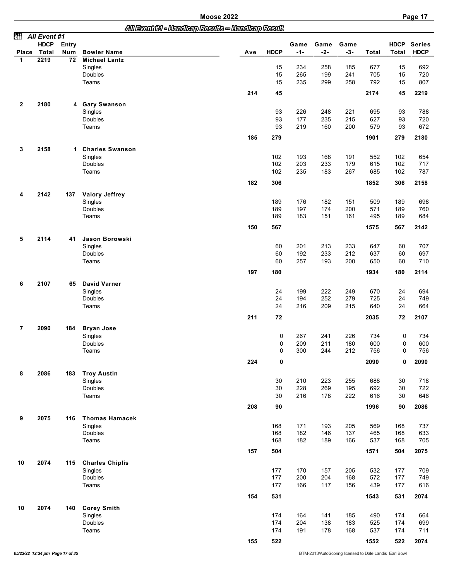|              |              |       |                        | All Event M - Handleep Results - Handleep Result |             |       |       |       |       |             |               |
|--------------|--------------|-------|------------------------|--------------------------------------------------|-------------|-------|-------|-------|-------|-------------|---------------|
| èt           | All Event #1 |       |                        |                                                  |             |       |       |       |       |             |               |
|              | <b>HDCP</b>  | Entry |                        |                                                  |             | Game  | Game  | Game  |       | <b>HDCP</b> | <b>Series</b> |
| Place        | Total        | Num   | <b>Bowler Name</b>     | Ave                                              | <b>HDCP</b> | $-1-$ | $-2-$ | $-3-$ | Total | Total       | <b>HDCP</b>   |
| 1            | 2219         | 72    | <b>Michael Lantz</b>   |                                                  | 15          | 234   | 258   | 185   | 677   | 15          |               |
|              |              |       | Singles<br>Doubles     |                                                  | 15          | 265   | 199   | 241   | 705   | 15          | 692<br>720    |
|              |              |       | Teams                  |                                                  | 15          | 235   | 299   | 258   | 792   | 15          | 807           |
|              |              |       |                        |                                                  |             |       |       |       |       |             |               |
|              |              |       |                        | 214                                              | 45          |       |       |       | 2174  | 45          | 2219          |
| $\mathbf{2}$ | 2180         |       | 4 Gary Swanson         |                                                  |             |       |       |       |       |             |               |
|              |              |       | Singles                |                                                  | 93          | 226   | 248   | 221   | 695   | 93          | 788           |
|              |              |       | Doubles                |                                                  | 93          | 177   | 235   | 215   | 627   | 93          | 720           |
|              |              |       | Teams                  |                                                  | 93          | 219   | 160   | 200   | 579   | 93          | 672           |
|              |              |       |                        |                                                  |             |       |       |       |       |             |               |
|              |              |       |                        | 185                                              | 279         |       |       |       | 1901  | 279         | 2180          |
| 3            | 2158         |       | 1 Charles Swanson      |                                                  |             |       |       |       |       |             |               |
|              |              |       | Singles                |                                                  | 102         | 193   | 168   | 191   | 552   | 102         | 654           |
|              |              |       | Doubles                |                                                  | 102         | 203   | 233   | 179   | 615   | 102         | 717           |
|              |              |       | Teams                  |                                                  | 102         | 235   | 183   | 267   | 685   | 102         | 787           |
|              |              |       |                        |                                                  |             |       |       |       |       |             |               |
|              |              |       |                        | 182                                              | 306         |       |       |       | 1852  | 306         | 2158          |
| 4            | 2142         | 137   | <b>Valory Jeffrey</b>  |                                                  |             |       |       |       |       |             |               |
|              |              |       | Singles                |                                                  | 189         | 176   | 182   | 151   | 509   | 189         | 698           |
|              |              |       | Doubles                |                                                  | 189         | 197   | 174   | 200   | 571   | 189         | 760           |
|              |              |       | Teams                  |                                                  | 189         | 183   | 151   | 161   | 495   | 189         | 684           |
|              |              |       |                        | 150                                              | 567         |       |       |       | 1575  | 567         | 2142          |
|              |              |       |                        |                                                  |             |       |       |       |       |             |               |
| 5            | 2114         | 41    | Jason Borowski         |                                                  |             |       |       |       |       |             |               |
|              |              |       | Singles                |                                                  | 60          | 201   | 213   | 233   | 647   | 60          | 707           |
|              |              |       | Doubles                |                                                  | 60          | 192   | 233   | 212   | 637   | 60          | 697           |
|              |              |       | Teams                  |                                                  | 60          | 257   | 193   | 200   | 650   | 60          | 710           |
|              |              |       |                        | 197                                              | 180         |       |       |       | 1934  | 180         | 2114          |
|              |              |       |                        |                                                  |             |       |       |       |       |             |               |
| 6            | 2107         | 65    | <b>David Varner</b>    |                                                  |             |       |       |       |       |             |               |
|              |              |       | Singles                |                                                  | 24          | 199   | 222   | 249   | 670   | 24          | 694           |
|              |              |       | Doubles                |                                                  | 24          | 194   | 252   | 279   | 725   | 24          | 749           |
|              |              |       | Teams                  |                                                  | 24          | 216   | 209   | 215   | 640   | 24          | 664           |
|              |              |       |                        | 211                                              | 72          |       |       |       | 2035  | 72          | 2107          |
|              |              |       |                        |                                                  |             |       |       |       |       |             |               |
| 7            | 2090         | 184   | <b>Bryan Jose</b>      |                                                  |             |       |       |       |       |             |               |
|              |              |       | Singles                |                                                  | 0           | 267   | 241   | 226   | 734   | 0           | 734           |
|              |              |       | <b>Doubles</b>         |                                                  | 0           | 209   | 211   | 180   | 600   | 0           | 600           |
|              |              |       | Teams                  |                                                  | $\Omega$    | 300   | 244   | 212   | 756   | 0           | 756           |
|              |              |       |                        | 224                                              | 0           |       |       |       | 2090  | 0           | 2090          |
| 8            | 2086         | 183   | <b>Troy Austin</b>     |                                                  |             |       |       |       |       |             |               |
|              |              |       | Singles                |                                                  | 30          | 210   | 223   | 255   | 688   | 30          | 718           |
|              |              |       | Doubles                |                                                  | 30          | 228   | 269   | 195   | 692   | 30          | 722           |
|              |              |       | Teams                  |                                                  | 30          | 216   | 178   | 222   | 616   | 30          | 646           |
|              |              |       |                        |                                                  |             |       |       |       |       |             |               |
|              |              |       |                        | 208                                              | 90          |       |       |       | 1996  | 90          | 2086          |
| 9            | 2075         | 116   | <b>Thomas Hamacek</b>  |                                                  |             |       |       |       |       |             |               |
|              |              |       | Singles                |                                                  | 168         | 171   | 193   | 205   | 569   | 168         | 737           |
|              |              |       | Doubles                |                                                  | 168         | 182   | 146   | 137   | 465   | 168         | 633           |
|              |              |       | Teams                  |                                                  | 168         | 182   | 189   | 166   | 537   | 168         | 705           |
|              |              |       |                        |                                                  |             |       |       |       |       |             |               |
|              |              |       |                        | 157                                              | 504         |       |       |       | 1571  | 504         | 2075          |
| 10           | 2074         | 115   | <b>Charles Chiplis</b> |                                                  |             |       |       |       |       |             |               |
|              |              |       | Singles                |                                                  | 177         | 170   | 157   | 205   | 532   | 177         | 709           |
|              |              |       | Doubles                |                                                  | 177         | 200   | 204   | 168   | 572   | 177         | 749           |
|              |              |       | Teams                  |                                                  | 177         | 166   | 117   | 156   | 439   | 177         | 616           |
|              |              |       |                        |                                                  |             |       |       |       |       |             |               |
|              |              |       |                        | 154                                              | 531         |       |       |       | 1543  | 531         | 2074          |
| 10           | 2074         | 140   | <b>Corey Smith</b>     |                                                  |             |       |       |       |       |             |               |
|              |              |       | Singles                |                                                  | 174         | 164   | 141   | 185   | 490   | 174         | 664           |
|              |              |       | Doubles                |                                                  | 174         | 204   | 138   | 183   | 525   | 174         | 699           |
|              |              |       | Teams                  |                                                  | 174         | 191   | 178   | 168   | 537   | 174         | 711           |
|              |              |       |                        | 155                                              | 522         |       |       |       | 1552  | 522         | 2074          |
|              |              |       |                        |                                                  |             |       |       |       |       |             |               |

**05/23/22 12:34 pm Page 17 of 35** BTM-2013/AutoScoring licensed to Dale Landis Earl Bowl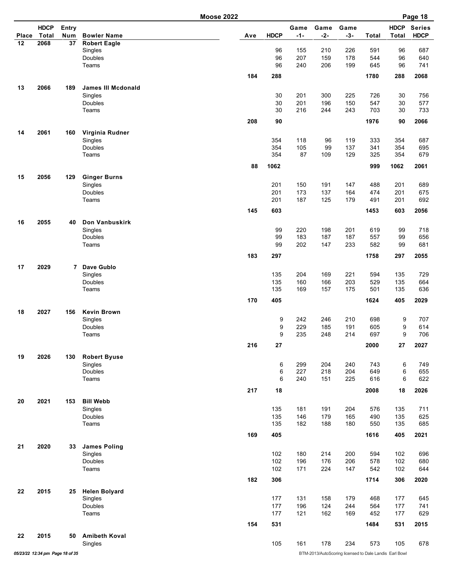**Moose 2022** 

| Page |  |
|------|--|
|------|--|

|       |                                 |              | <b>IVIOUSE ZUZZ</b>       |     |             |               |               |                                                        |              |                      | raye 10                      |
|-------|---------------------------------|--------------|---------------------------|-----|-------------|---------------|---------------|--------------------------------------------------------|--------------|----------------------|------------------------------|
| Place | <b>HDCP</b><br>Total            | Entry<br>Num | <b>Bowler Name</b>        | Ave | <b>HDCP</b> | Game<br>$-1-$ | Game<br>$-2-$ | Game<br>$-3-$                                          | <b>Total</b> | <b>HDCP</b><br>Total | <b>Series</b><br><b>HDCP</b> |
| 12    | 2068                            | 37           | <b>Robert Eagle</b>       |     |             |               |               |                                                        |              |                      |                              |
|       |                                 |              | Singles                   |     | 96          | 155           | 210           | 226                                                    | 591          | 96                   | 687                          |
|       |                                 |              | Doubles                   |     | 96          | 207           | 159           | 178                                                    | 544          | 96                   | 640                          |
|       |                                 |              | Teams                     |     | 96          | 240           | 206           | 199                                                    | 645          | 96                   | 741                          |
|       |                                 |              |                           | 184 | 288         |               |               |                                                        | 1780         | 288                  | 2068                         |
| 13    | 2066                            | 189          | <b>James III Mcdonald</b> |     |             |               |               |                                                        |              |                      |                              |
|       |                                 |              | Singles                   |     | 30          | 201           | 300           | 225                                                    | 726          | 30                   | 756                          |
|       |                                 |              | Doubles                   |     | 30          | 201           | 196           | 150                                                    | 547          | 30                   | 577                          |
|       |                                 |              | Teams                     |     | 30          | 216           | 244           | 243                                                    | 703          | 30                   | 733                          |
|       |                                 |              |                           | 208 | 90          |               |               |                                                        | 1976         | 90                   | 2066                         |
| 14    | 2061                            | 160          | Virginia Rudner           |     |             |               |               |                                                        | 333          | 354                  | 687                          |
|       |                                 |              | Singles<br>Doubles        |     | 354<br>354  | 118<br>105    | 96<br>99      | 119<br>137                                             | 341          | 354                  | 695                          |
|       |                                 |              | Teams                     |     | 354         | 87            | 109           | 129                                                    | 325          | 354                  | 679                          |
|       |                                 |              |                           |     |             |               |               |                                                        |              |                      |                              |
|       |                                 |              |                           | 88  | 1062        |               |               |                                                        | 999          | 1062                 | 2061                         |
| 15    | 2056                            | 129          | <b>Ginger Burns</b>       |     |             |               |               |                                                        |              |                      |                              |
|       |                                 |              | Singles                   |     | 201         | 150           | 191           | 147                                                    | 488          | 201                  | 689                          |
|       |                                 |              | Doubles                   |     | 201<br>201  | 173<br>187    | 137<br>125    | 164<br>179                                             | 474<br>491   | 201                  | 675                          |
|       |                                 |              | Teams                     |     |             |               |               |                                                        |              | 201                  | 692                          |
|       |                                 |              |                           | 145 | 603         |               |               |                                                        | 1453         | 603                  | 2056                         |
| 16    | 2055                            | 40           | Don Vanbuskirk            |     |             |               |               |                                                        |              |                      |                              |
|       |                                 |              | Singles                   |     | 99          | 220           | 198           | 201                                                    | 619          | 99                   | 718                          |
|       |                                 |              | Doubles                   |     | 99          | 183           | 187           | 187                                                    | 557          | 99                   | 656                          |
|       |                                 |              | Teams                     |     | 99          | 202           | 147           | 233                                                    | 582          | 99                   | 681                          |
|       |                                 |              |                           | 183 | 297         |               |               |                                                        | 1758         | 297                  | 2055                         |
| 17    | 2029                            | 7            | Dave Gublo                |     |             |               |               |                                                        |              |                      |                              |
|       |                                 |              | Singles                   |     | 135         | 204           | 169           | 221                                                    | 594          | 135                  | 729                          |
|       |                                 |              | Doubles                   |     | 135         | 160           | 166           | 203                                                    | 529          | 135                  | 664                          |
|       |                                 |              | Teams                     |     | 135         | 169           | 157           | 175                                                    | 501          | 135                  | 636                          |
|       |                                 |              |                           | 170 | 405         |               |               |                                                        | 1624         | 405                  | 2029                         |
| 18    | 2027                            | 156          | <b>Kevin Brown</b>        |     |             |               |               |                                                        |              |                      |                              |
|       |                                 |              | Singles                   |     | 9           | 242           | 246           | 210                                                    | 698          | 9                    | 707                          |
|       |                                 |              | Doubles                   |     | 9           | 229           | 185           | 191                                                    | 605          | 9                    | 614                          |
|       |                                 |              | Teams                     |     | 9           | 235           | 248           | 214                                                    | 697          | 9                    | 706                          |
|       |                                 |              |                           | 216 | 27          |               |               |                                                        | 2000         | 27                   | 2027                         |
| 19    | 2026                            | 130          | <b>Robert Byuse</b>       |     |             |               |               |                                                        |              |                      |                              |
|       |                                 |              | Singles                   |     | 6           | 299           | 204           | 240                                                    | 743          | 6                    | 749                          |
|       |                                 |              | Doubles<br>Teams          |     | 6<br>6      | 227<br>240    | 218<br>151    | 204<br>225                                             | 649<br>616   | 6<br>6               | 655<br>622                   |
|       |                                 |              |                           |     |             |               |               |                                                        |              |                      |                              |
|       |                                 |              |                           | 217 | 18          |               |               |                                                        | 2008         | 18                   | 2026                         |
| 20    | 2021                            | 153          | <b>Bill Webb</b>          |     |             |               |               |                                                        |              |                      |                              |
|       |                                 |              | Singles                   |     | 135         | 181           | 191           | 204                                                    | 576          | 135                  | 711                          |
|       |                                 |              | Doubles                   |     | 135         | 146           | 179           | 165                                                    | 490          | 135                  | 625                          |
|       |                                 |              | Teams                     |     | 135         | 182           | 188           | 180                                                    | 550          | 135                  | 685                          |
|       |                                 |              |                           | 169 | 405         |               |               |                                                        | 1616         | 405                  | 2021                         |
| 21    | 2020                            | 33           | <b>James Poling</b>       |     |             |               |               |                                                        |              |                      |                              |
|       |                                 |              | Singles                   |     | 102         | 180           | 214           | 200                                                    | 594          | 102                  | 696                          |
|       |                                 |              | Doubles                   |     | 102         | 196           | 176           | 206                                                    | 578          | 102                  | 680                          |
|       |                                 |              | Teams                     |     | 102         | 171           | 224           | 147                                                    | 542          | 102                  | 644                          |
|       |                                 |              |                           | 182 | 306         |               |               |                                                        | 1714         | 306                  | 2020                         |
| 22    | 2015                            | 25           | <b>Helen Bolyard</b>      |     |             |               |               |                                                        |              |                      |                              |
|       |                                 |              | Singles                   |     | 177         | 131           | 158           | 179                                                    | 468          | 177                  | 645                          |
|       |                                 |              | Doubles                   |     | 177         | 196           | 124           | 244                                                    | 564          | 177                  | 741                          |
|       |                                 |              | Teams                     |     | 177         | 121           | 162           | 169                                                    | 452          | 177                  | 629                          |
|       |                                 |              |                           | 154 | 531         |               |               |                                                        | 1484         | 531                  | 2015                         |
| 22    | 2015                            | 50           | <b>Amibeth Koval</b>      |     |             |               |               |                                                        |              |                      |                              |
|       |                                 |              | Singles                   |     | 105         | 161           | 178           | 234                                                    | 573          | 105                  | 678                          |
|       | 05/23/22 12:34 pm Page 18 of 35 |              |                           |     |             |               |               | BTM-2013/AutoScoring licensed to Dale Landis Earl Bowl |              |                      |                              |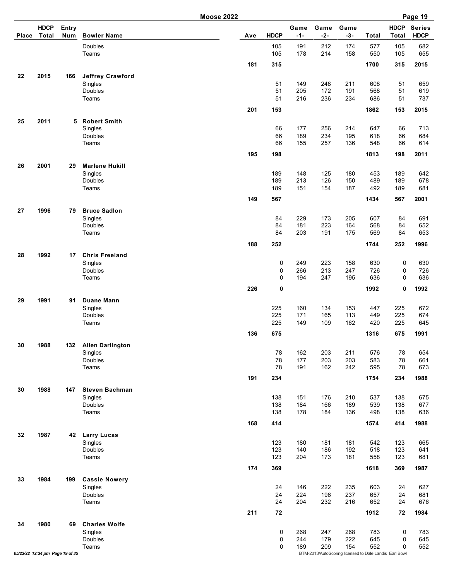|       |                                 |              |                                  | <b>Moose 2022</b> |             |               |                                                               |               |            |                             | Page 19                      |
|-------|---------------------------------|--------------|----------------------------------|-------------------|-------------|---------------|---------------------------------------------------------------|---------------|------------|-----------------------------|------------------------------|
| Place | <b>HDCP</b><br>Total            | Entry<br>Num | <b>Bowler Name</b>               | Ave               | <b>HDCP</b> | Game<br>$-1-$ | Game<br>$-2-$                                                 | Game<br>$-3-$ | Total      | <b>HDCP</b><br><b>Total</b> | <b>Series</b><br><b>HDCP</b> |
|       |                                 |              | Doubles                          |                   | 105         | 191           | 212                                                           | 174           | 577        | 105                         | 682                          |
|       |                                 |              | Teams                            |                   | 105         | 178           | 214                                                           | 158           | 550        | 105                         | 655                          |
|       |                                 |              |                                  | 181               | 315         |               |                                                               |               | 1700       | 315                         | 2015                         |
| 22    | 2015                            | 166          | <b>Jeffrey Crawford</b>          |                   | 51          | 149           | 248                                                           | 211           | 608        | 51                          | 659                          |
|       |                                 |              | Singles<br><b>Doubles</b>        |                   | 51          | 205           | 172                                                           | 191           | 568        | 51                          | 619                          |
|       |                                 |              | Teams                            |                   | 51          | 216           | 236                                                           | 234           | 686        | 51                          | 737                          |
|       |                                 |              |                                  | 201               | 153         |               |                                                               |               | 1862       | 153                         | 2015                         |
| 25    | 2011                            | 5            | <b>Robert Smith</b>              |                   |             |               |                                                               |               |            |                             |                              |
|       |                                 |              | Singles<br>Doubles               |                   | 66<br>66    | 177<br>189    | 256<br>234                                                    | 214<br>195    | 647<br>618 | 66<br>66                    | 713<br>684                   |
|       |                                 |              | Teams                            |                   | 66          | 155           | 257                                                           | 136           | 548        | 66                          | 614                          |
|       |                                 |              |                                  | 195               | 198         |               |                                                               |               | 1813       | 198                         | 2011                         |
| 26    | 2001                            | 29           | <b>Marlene Hukill</b>            |                   |             |               |                                                               |               |            |                             |                              |
|       |                                 |              | Singles                          |                   | 189         | 148           | 125                                                           | 180           | 453        | 189                         | 642                          |
|       |                                 |              | Doubles<br>Teams                 |                   | 189         | 213<br>151    | 126<br>154                                                    | 150           | 489<br>492 | 189                         | 678                          |
|       |                                 |              |                                  |                   | 189         |               |                                                               | 187           |            | 189                         | 681                          |
|       |                                 |              |                                  | 149               | 567         |               |                                                               |               | 1434       | 567                         | 2001                         |
| 27    | 1996                            | 79           | <b>Bruce Sadlon</b><br>Singles   |                   | 84          | 229           | 173                                                           | 205           | 607        | 84                          | 691                          |
|       |                                 |              | Doubles                          |                   | 84          | 181           | 223                                                           | 164           | 568        | 84                          | 652                          |
|       |                                 |              | Teams                            |                   | 84          | 203           | 191                                                           | 175           | 569        | 84                          | 653                          |
|       |                                 |              |                                  | 188               | 252         |               |                                                               |               | 1744       | 252                         | 1996                         |
| 28    | 1992                            | 17           | <b>Chris Freeland</b>            |                   |             |               |                                                               |               |            |                             |                              |
|       |                                 |              | Singles<br>Doubles               |                   | 0<br>0      | 249<br>266    | 223<br>213                                                    | 158<br>247    | 630<br>726 | 0<br>0                      | 630<br>726                   |
|       |                                 |              | Teams                            |                   | 0           | 194           | 247                                                           | 195           | 636        | $\mathbf 0$                 | 636                          |
|       |                                 |              |                                  | 226               | 0           |               |                                                               |               | 1992       | 0                           | 1992                         |
| 29    | 1991                            | 91           | <b>Duane Mann</b>                |                   |             |               |                                                               |               |            |                             |                              |
|       |                                 |              | Singles<br>Doubles               |                   | 225<br>225  | 160<br>171    | 134<br>165                                                    | 153<br>113    | 447<br>449 | 225<br>225                  | 672<br>674                   |
|       |                                 |              | Teams                            |                   | 225         | 149           | 109                                                           | 162           | 420        | 225                         | 645                          |
|       |                                 |              |                                  | 136               | 675         |               |                                                               |               | 1316       | 675                         | 1991                         |
| 30    | 1988                            | 132          | <b>Allen Darlington</b>          |                   |             |               |                                                               |               |            |                             |                              |
|       |                                 |              | Singles                          |                   | 78          | 162           | 203                                                           | 211           | 576        | 78                          | 654                          |
|       |                                 |              | <b>Doubles</b><br>Teams          |                   | 78<br>78    | 177<br>191    | 203<br>162                                                    | 203<br>242    | 583<br>595 | 78<br>78                    | 661<br>673                   |
|       |                                 |              |                                  | 191               | 234         |               |                                                               |               | 1754       | 234                         | 1988                         |
|       |                                 |              |                                  |                   |             |               |                                                               |               |            |                             |                              |
| 30    | 1988                            | 147          | <b>Steven Bachman</b><br>Singles |                   | 138         | 151           | 176                                                           | 210           | 537        | 138                         | 675                          |
|       |                                 |              | Doubles                          |                   | 138         | 184           | 166                                                           | 189           | 539        | 138                         | 677                          |
|       |                                 |              | Teams                            |                   | 138         | 178           | 184                                                           | 136           | 498        | 138                         | 636                          |
|       |                                 |              |                                  | 168               | 414         |               |                                                               |               | 1574       | 414                         | 1988                         |
| 32    | 1987                            | 42           | <b>Larry Lucas</b>               |                   |             |               |                                                               |               |            |                             |                              |
|       |                                 |              | Singles<br>Doubles               |                   | 123<br>123  | 180<br>140    | 181<br>186                                                    | 181<br>192    | 542<br>518 | 123<br>123                  | 665<br>641                   |
|       |                                 |              | Teams                            |                   | 123         | 204           | 173                                                           | 181           | 558        | 123                         | 681                          |
|       |                                 |              |                                  | 174               | 369         |               |                                                               |               | 1618       | 369                         | 1987                         |
| 33    | 1984                            | 199          | <b>Cassie Nowery</b>             |                   |             |               |                                                               |               |            |                             |                              |
|       |                                 |              | Singles                          |                   | 24          | 146           | 222                                                           | 235           | 603        | 24                          | 627                          |
|       |                                 |              | Doubles<br>Teams                 |                   | 24<br>24    | 224<br>204    | 196<br>232                                                    | 237<br>216    | 657<br>652 | 24<br>24                    | 681<br>676                   |
|       |                                 |              |                                  | 211               | 72          |               |                                                               |               | 1912       | 72                          | 1984                         |
| 34    | 1980                            | 69           | <b>Charles Wolfe</b>             |                   |             |               |                                                               |               |            |                             |                              |
|       |                                 |              | Singles                          |                   | 0           | 268           | 247                                                           | 268           | 783        | 0                           | 783                          |
|       |                                 |              | Doubles                          |                   | 0           | 244           | 179                                                           | 222           | 645        | 0                           | 645                          |
|       | 05/23/22 12:34 pm Page 19 of 35 |              | Teams                            |                   | 0           | 189           | 209<br>BTM-2013/AutoScoring licensed to Dale Landis Earl Bowl | 154           | 552        | $\Omega$                    | 552                          |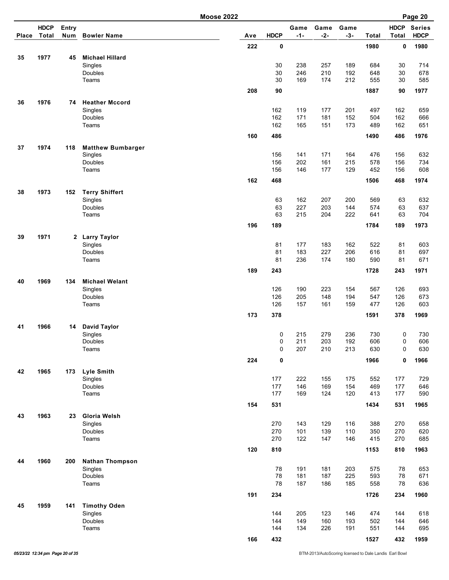|              |                      |              |                                  | <b>Moose 2022</b> |             |               |               |               |            |                             | Page 20                      |
|--------------|----------------------|--------------|----------------------------------|-------------------|-------------|---------------|---------------|---------------|------------|-----------------------------|------------------------------|
| <b>Place</b> | <b>HDCP</b><br>Total | Entry<br>Num | <b>Bowler Name</b>               | Ave               | <b>HDCP</b> | Game<br>$-1-$ | Game<br>$-2-$ | Game<br>$-3-$ | Total      | <b>HDCP</b><br><b>Total</b> | <b>Series</b><br><b>HDCP</b> |
|              |                      |              |                                  | 222               | 0           |               |               |               | 1980       | 0                           | 1980                         |
| 35           | 1977                 | 45           | <b>Michael Hillard</b>           |                   |             |               |               |               |            |                             |                              |
|              |                      |              | Singles                          |                   | 30          | 238           | 257           | 189           | 684        | 30                          | 714                          |
|              |                      |              | Doubles                          |                   | 30          | 246           | 210           | 192           | 648        | 30                          | 678                          |
|              |                      |              | Teams                            |                   | 30          | 169           | 174           | 212           | 555        | 30                          | 585                          |
|              |                      |              |                                  | 208               | 90          |               |               |               | 1887       | 90                          | 1977                         |
| 36           | 1976                 | 74           | <b>Heather Mccord</b>            |                   |             |               |               |               |            |                             |                              |
|              |                      |              | Singles<br>Doubles               |                   | 162<br>162  | 119<br>171    | 177<br>181    | 201<br>152    | 497<br>504 | 162<br>162                  | 659<br>666                   |
|              |                      |              | Teams                            |                   | 162         | 165           | 151           | 173           | 489        | 162                         | 651                          |
|              |                      |              |                                  | 160               | 486         |               |               |               | 1490       | 486                         | 1976                         |
| 37           | 1974                 | 118          | <b>Matthew Bumbarger</b>         |                   |             |               |               |               |            |                             |                              |
|              |                      |              | Singles                          |                   | 156         | 141           | 171           | 164           | 476        | 156                         | 632                          |
|              |                      |              | Doubles                          |                   | 156         | 202           | 161           | 215           | 578        | 156                         | 734                          |
|              |                      |              | Teams                            |                   | 156         | 146           | 177           | 129           | 452        | 156                         | 608                          |
|              |                      |              |                                  | 162               | 468         |               |               |               | 1506       | 468                         | 1974                         |
| 38           | 1973                 | 152          | <b>Terry Shiffert</b>            |                   |             |               |               |               |            |                             |                              |
|              |                      |              | Singles                          |                   | 63          | 162           | 207           | 200           | 569        | 63                          | 632                          |
|              |                      |              | Doubles<br>Teams                 |                   | 63<br>63    | 227<br>215    | 203<br>204    | 144<br>222    | 574<br>641 | 63<br>63                    | 637<br>704                   |
|              |                      |              |                                  |                   |             |               |               |               |            |                             |                              |
|              |                      |              |                                  | 196               | 189         |               |               |               | 1784       | 189                         | 1973                         |
| 39           | 1971                 |              | 2 Larry Taylor                   |                   |             |               |               |               |            |                             |                              |
|              |                      |              | Singles<br>Doubles               |                   | 81<br>81    | 177<br>183    | 183<br>227    | 162<br>206    | 522<br>616 | 81<br>81                    | 603<br>697                   |
|              |                      |              | Teams                            |                   | 81          | 236           | 174           | 180           | 590        | 81                          | 671                          |
|              |                      |              |                                  | 189               | 243         |               |               |               | 1728       | 243                         | 1971                         |
|              |                      |              |                                  |                   |             |               |               |               |            |                             |                              |
| 40           | 1969                 | 134          | <b>Michael Welant</b><br>Singles |                   | 126         | 190           | 223           | 154           | 567        | 126                         | 693                          |
|              |                      |              | Doubles                          |                   | 126         | 205           | 148           | 194           | 547        | 126                         | 673                          |
|              |                      |              | Teams                            |                   | 126         | 157           | 161           | 159           | 477        | 126                         | 603                          |
|              |                      |              |                                  | 173               | 378         |               |               |               | 1591       | 378                         | 1969                         |
| 41           | 1966                 | 14           | <b>David Taylor</b>              |                   |             |               |               |               |            |                             |                              |
|              |                      |              | Singles                          |                   | 0           | 215           | 279           | 236           | 730        | 0                           | 730                          |
|              |                      |              | Doubles                          |                   | 0           | 211           | 203           | 192           | 606        | 0                           | 606                          |
|              |                      |              | Teams                            |                   | 0           | 207           | 210           | 213           | 630        | 0                           | 630                          |
|              |                      |              |                                  | 224               | $\pmb{0}$   |               |               |               | 1966       | 0                           | 1966                         |
| 42           | 1965                 | 173          | <b>Lyle Smith</b>                |                   |             |               |               |               |            |                             |                              |
|              |                      |              | Singles<br>Doubles               |                   | 177<br>177  | 222<br>146    | 155<br>169    | 175<br>154    | 552<br>469 | 177<br>177                  | 729<br>646                   |
|              |                      |              | Teams                            |                   | 177         | 169           | 124           | 120           | 413        | 177                         | 590                          |
|              |                      |              |                                  | 154               | 531         |               |               |               | 1434       | 531                         | 1965                         |
| 43           | 1963                 | 23           | Gloria Welsh                     |                   |             |               |               |               |            |                             |                              |
|              |                      |              | Singles                          |                   | 270         | 143           | 129           | 116           | 388        | 270                         | 658                          |
|              |                      |              | Doubles                          |                   | 270         | 101           | 139           | 110           | 350        | 270                         | 620                          |
|              |                      |              | Teams                            |                   | 270         | 122           | 147           | 146           | 415        | 270                         | 685                          |
|              |                      |              |                                  | 120               | 810         |               |               |               | 1153       | 810                         | 1963                         |
| 44           | 1960                 | 200          | <b>Nathan Thompson</b>           |                   |             |               |               |               |            |                             |                              |
|              |                      |              | Singles                          |                   | 78          | 191           | 181           | 203           | 575        | 78                          | 653                          |
|              |                      |              | Doubles<br>Teams                 |                   | 78<br>78    | 181<br>187    | 187           | 225<br>185    | 593        | 78<br>78                    | 671                          |
|              |                      |              |                                  |                   |             |               | 186           |               | 558        |                             | 636                          |
|              |                      |              |                                  | 191               | 234         |               |               |               | 1726       | 234                         | 1960                         |
| 45           | 1959                 | 141          | <b>Timothy Oden</b>              |                   |             |               |               |               |            |                             |                              |
|              |                      |              | Singles<br>Doubles               |                   | 144<br>144  | 205<br>149    | 123<br>160    | 146<br>193    | 474<br>502 | 144<br>144                  | 618<br>646                   |
|              |                      |              | Teams                            |                   | 144         | 134           | 226           | 191           | 551        | 144                         | 695                          |
|              |                      |              |                                  | 166               | 432         |               |               |               | 1527       | 432                         | 1959                         |
|              |                      |              |                                  |                   |             |               |               |               |            |                             |                              |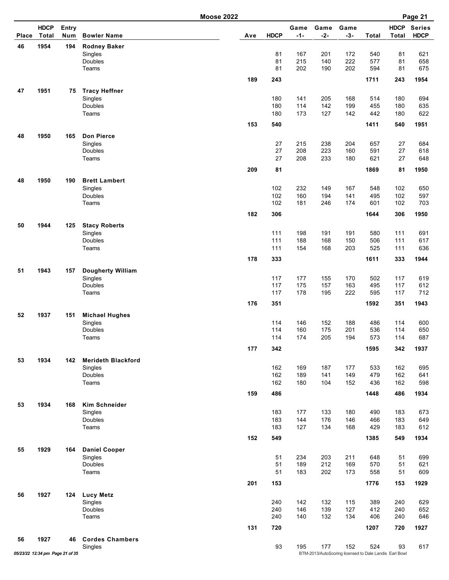| Place | <b>HDCP</b><br><b>Total</b>     | Entry<br>Num | <b>Bowler Name</b>                   | Ave | <b>HDCP</b> | Game<br>-1- | Game<br>$-2-$ | Game<br>$-3-$                                          | <b>Total</b> | <b>HDCP</b><br><b>Total</b> | <b>Series</b><br><b>HDCP</b> |
|-------|---------------------------------|--------------|--------------------------------------|-----|-------------|-------------|---------------|--------------------------------------------------------|--------------|-----------------------------|------------------------------|
| 46    | 1954                            | 194          | <b>Rodney Baker</b>                  |     |             |             |               |                                                        |              |                             |                              |
|       |                                 |              | Singles                              |     | 81          | 167         | 201           | 172                                                    | 540          | 81                          | 621                          |
|       |                                 |              | Doubles                              |     | 81          | 215         | 140           | 222                                                    | 577          | 81                          | 658                          |
|       |                                 |              | Teams                                |     | 81          | 202         | 190           | 202                                                    | 594          | 81                          | 675                          |
|       |                                 |              |                                      | 189 | 243         |             |               |                                                        | 1711         | 243                         | 1954                         |
| 47    | 1951                            | 75           | <b>Tracy Heffner</b>                 |     |             |             |               |                                                        |              |                             |                              |
|       |                                 |              | Singles                              |     | 180         | 141         | 205           | 168                                                    | 514          | 180                         | 694                          |
|       |                                 |              | Doubles                              |     | 180         | 114         | 142           | 199                                                    | 455          | 180                         | 635                          |
|       |                                 |              | Teams                                |     | 180         | 173         | 127           | 142                                                    | 442          | 180                         | 622                          |
|       |                                 |              |                                      | 153 | 540         |             |               |                                                        | 1411         | 540                         | 1951                         |
|       | 1950                            |              | <b>Don Pierce</b>                    |     |             |             |               |                                                        |              |                             |                              |
| 48    |                                 | 165          |                                      |     | 27          | 215         | 238           | 204                                                    | 657          | 27                          | 684                          |
|       |                                 |              | Singles<br>Doubles                   |     | 27          | 208         | 223           | 160                                                    | 591          | 27                          | 618                          |
|       |                                 |              | Teams                                |     | 27          | 208         | 233           | 180                                                    | 621          | 27                          | 648                          |
|       |                                 |              |                                      |     |             |             |               |                                                        |              |                             |                              |
|       |                                 |              |                                      | 209 | 81          |             |               |                                                        | 1869         | 81                          | 1950                         |
| 48    | 1950                            | 190          | <b>Brett Lambert</b><br>Singles      |     | 102         | 232         | 149           | 167                                                    | 548          | 102                         | 650                          |
|       |                                 |              | Doubles                              |     | 102         | 160         | 194           | 141                                                    | 495          | 102                         | 597                          |
|       |                                 |              | Teams                                |     | 102         | 181         | 246           | 174                                                    | 601          | 102                         | 703                          |
|       |                                 |              |                                      | 182 | 306         |             |               |                                                        | 1644         | 306                         | 1950                         |
| 50    | 1944                            | 125          | <b>Stacy Roberts</b>                 |     |             |             |               |                                                        |              |                             |                              |
|       |                                 |              | Singles                              |     | 111         | 198         | 191           | 191                                                    | 580          | 111                         | 691                          |
|       |                                 |              | Doubles                              |     | 111         | 188         | 168           | 150                                                    | 506          | 111                         | 617                          |
|       |                                 |              | Teams                                |     | 111         | 154         | 168           | 203                                                    | 525          | 111                         | 636                          |
|       |                                 |              |                                      | 178 | 333         |             |               |                                                        | 1611         | 333                         | 1944                         |
|       |                                 |              |                                      |     |             |             |               |                                                        |              |                             |                              |
| 51    | 1943                            | 157          | <b>Dougherty William</b>             |     |             |             |               |                                                        |              |                             |                              |
|       |                                 |              | Singles<br>Doubles                   |     | 117<br>117  | 177<br>175  | 155<br>157    | 170<br>163                                             | 502<br>495   | 117<br>117                  | 619<br>612                   |
|       |                                 |              | Teams                                |     | 117         | 178         | 195           | 222                                                    | 595          | 117                         | 712                          |
|       |                                 |              |                                      | 176 | 351         |             |               |                                                        | 1592         | 351                         | 1943                         |
| 52    | 1937                            | 151          |                                      |     |             |             |               |                                                        |              |                             |                              |
|       |                                 |              | <b>Michael Hughes</b><br>Singles     |     | 114         | 146         | 152           | 188                                                    | 486          | 114                         | 600                          |
|       |                                 |              | Doubles                              |     | 114         | 160         | 175           | 201                                                    | 536          | 114                         | 650                          |
|       |                                 |              | Teams                                |     | 114         | 174         | 205           | 194                                                    | 573          | 114                         | 687                          |
|       |                                 |              |                                      | 177 | 342         |             |               |                                                        | 1595         | 342                         | 1937                         |
| 53    | 1934                            |              |                                      |     |             |             |               |                                                        |              |                             |                              |
|       |                                 | 142          | <b>Merideth Blackford</b><br>Singles |     | 162         | 169         | 187           | 177                                                    | 533          | 162                         | 695                          |
|       |                                 |              | Doubles                              |     | 162         | 189         | 141           | 149                                                    | 479          | 162                         | 641                          |
|       |                                 |              | Teams                                |     | 162         | 180         | 104           | 152                                                    | 436          | 162                         | 598                          |
|       |                                 |              |                                      | 159 | 486         |             |               |                                                        | 1448         | 486                         | 1934                         |
|       |                                 |              |                                      |     |             |             |               |                                                        |              |                             |                              |
| 53    | 1934                            | 168          | Kim Schneider                        |     | 183         | 177         | 133           | 180                                                    | 490          | 183                         | 673                          |
|       |                                 |              | Singles<br>Doubles                   |     | 183         | 144         | 176           | 146                                                    | 466          | 183                         | 649                          |
|       |                                 |              | Teams                                |     | 183         | 127         | 134           | 168                                                    | 429          | 183                         | 612                          |
|       |                                 |              |                                      |     |             |             |               |                                                        |              |                             |                              |
|       |                                 |              |                                      | 152 | 549         |             |               |                                                        | 1385         | 549                         | 1934                         |
| 55    | 1929                            | 164          | <b>Daniel Cooper</b>                 |     |             |             |               |                                                        |              |                             |                              |
|       |                                 |              | Singles                              |     | 51          | 234         | 203           | 211                                                    | 648          | 51                          | 699                          |
|       |                                 |              | Doubles                              |     | 51          | 189         | 212           | 169                                                    | 570          | 51                          | 621                          |
|       |                                 |              | Teams                                |     | 51          | 183         | 202           | 173                                                    | 558          | 51                          | 609                          |
|       |                                 |              |                                      | 201 | 153         |             |               |                                                        | 1776         | 153                         | 1929                         |
| 56    | 1927                            | 124          | <b>Lucy Metz</b>                     |     |             |             |               |                                                        |              |                             |                              |
|       |                                 |              | Singles<br>Doubles                   |     | 240<br>240  | 142<br>146  | 132<br>139    | 115<br>127                                             | 389<br>412   | 240<br>240                  | 629<br>652                   |
|       |                                 |              | Teams                                |     | 240         | 140         | 132           | 134                                                    | 406          | 240                         | 646                          |
|       |                                 |              |                                      | 131 | 720         |             |               |                                                        | 1207         | 720                         | 1927                         |
|       | 1927                            | 46           | <b>Cordes Chambers</b>               |     |             |             |               |                                                        |              |                             |                              |
| 56    |                                 |              | Singles                              |     | 93          | 195         | 177           | 152                                                    | 524          | 93                          | 617                          |
|       | 05/23/22 12:34 pm Page 21 of 35 |              |                                      |     |             |             |               | BTM-2013/AutoScoring licensed to Dale Landis Earl Bowl |              |                             |                              |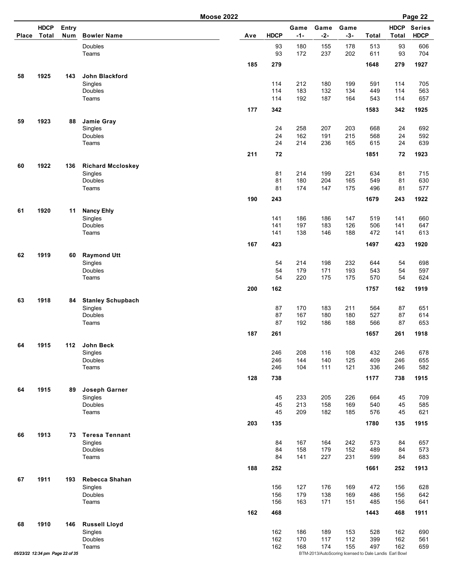|              |                                 |                     | <b>Moose 2022</b>                   |     |             |               |               |                                                        |              |                             | Page 22                      |
|--------------|---------------------------------|---------------------|-------------------------------------|-----|-------------|---------------|---------------|--------------------------------------------------------|--------------|-----------------------------|------------------------------|
| <b>Place</b> | <b>HDCP</b><br><b>Total</b>     | <b>Entry</b><br>Num | <b>Bowler Name</b>                  | Ave | <b>HDCP</b> | Game<br>$-1-$ | Game<br>$-2-$ | Game<br>$-3-$                                          | <b>Total</b> | <b>HDCP</b><br><b>Total</b> | <b>Series</b><br><b>HDCP</b> |
|              |                                 |                     | Doubles<br>Teams                    |     | 93<br>93    | 180<br>172    | 155<br>237    | 178<br>202                                             | 513<br>611   | 93<br>93                    | 606<br>704                   |
|              |                                 |                     |                                     | 185 | 279         |               |               |                                                        | 1648         | 279                         | 1927                         |
| 58           | 1925                            | 143                 | John Blackford<br>Singles           |     | 114         | 212           | 180           | 199                                                    | 591          | 114                         | 705                          |
|              |                                 |                     | <b>Doubles</b>                      |     | 114         | 183           | 132           | 134                                                    | 449          | 114                         | 563                          |
|              |                                 |                     | Teams                               | 177 | 114<br>342  | 192           | 187           | 164                                                    | 543<br>1583  | 114<br>342                  | 657<br>1925                  |
| 59           | 1923                            | 88                  | Jamie Gray                          |     |             |               |               |                                                        |              |                             |                              |
|              |                                 |                     | Singles<br>Doubles                  |     | 24<br>24    | 258<br>162    | 207<br>191    | 203<br>215                                             | 668<br>568   | 24<br>24                    | 692<br>592                   |
|              |                                 |                     | Teams                               |     | 24          | 214           | 236           | 165                                                    | 615          | 24                          | 639                          |
|              |                                 |                     |                                     | 211 | 72          |               |               |                                                        | 1851         | 72                          | 1923                         |
| 60           | 1922                            | 136                 | <b>Richard Mccloskey</b><br>Singles |     | 81          | 214           | 199           | 221                                                    | 634          | 81                          | 715                          |
|              |                                 |                     | Doubles                             |     | 81          | 180           | 204           | 165                                                    | 549          | 81                          | 630                          |
|              |                                 |                     | Teams                               | 190 | 81<br>243   | 174           | 147           | 175                                                    | 496<br>1679  | 81<br>243                   | 577<br>1922                  |
| 61           | 1920                            | 11                  | <b>Nancy Ehly</b>                   |     |             |               |               |                                                        |              |                             |                              |
|              |                                 |                     | Singles<br>Doubles                  |     | 141<br>141  | 186<br>197    | 186<br>183    | 147<br>126                                             | 519<br>506   | 141<br>141                  | 660<br>647                   |
|              |                                 |                     | Teams                               |     | 141         | 138           | 146           | 188                                                    | 472          | 141                         | 613                          |
|              |                                 |                     |                                     | 167 | 423         |               |               |                                                        | 1497         | 423                         | 1920                         |
| 62           | 1919                            | 60                  | <b>Raymond Utt</b><br>Singles       |     | 54          | 214           | 198           | 232                                                    | 644          | 54                          | 698                          |
|              |                                 |                     | Doubles                             |     | 54          | 179           | 171           | 193                                                    | 543          | 54                          | 597                          |
|              |                                 |                     | Teams                               | 200 | 54<br>162   | 220           | 175           | 175                                                    | 570<br>1757  | 54<br>162                   | 624<br>1919                  |
| 63           | 1918                            | 84                  | <b>Stanley Schupbach</b>            |     |             |               |               |                                                        |              |                             |                              |
|              |                                 |                     | Singles                             |     | 87          | 170           | 183           | 211                                                    | 564          | 87                          | 651                          |
|              |                                 |                     | Doubles<br>Teams                    |     | 87<br>87    | 167<br>192    | 180<br>186    | 180<br>188                                             | 527<br>566   | 87<br>87                    | 614<br>653                   |
|              |                                 |                     |                                     | 187 | 261         |               |               |                                                        | 1657         | 261                         | 1918                         |
| 64           | 1915                            | 112                 | John Beck                           |     |             | 208           | 116           | 108                                                    | 432          |                             | 678                          |
|              |                                 |                     | Singles<br>Doubles                  |     | 246<br>246  | 144           | 140           | 125                                                    | 409          | 246<br>246                  | 655                          |
|              |                                 |                     | Teams                               |     | 246         | 104           | 111           | 121                                                    | 336          | 246                         | 582                          |
|              |                                 |                     |                                     | 128 | 738         |               |               |                                                        | 1177         | 738                         | 1915                         |
| 64           | 1915                            | 89                  | Joseph Garner<br>Singles            |     | 45          | 233           | 205           | 226                                                    | 664          | 45                          | 709                          |
|              |                                 |                     | Doubles<br>Teams                    |     | 45<br>45    | 213<br>209    | 158<br>182    | 169<br>185                                             | 540<br>576   | 45<br>45                    | 585<br>621                   |
|              |                                 |                     |                                     | 203 | 135         |               |               |                                                        | 1780         | 135                         | 1915                         |
| 66           | 1913                            | 73                  | <b>Teresa Tennant</b>               |     |             |               |               |                                                        |              |                             |                              |
|              |                                 |                     | Singles                             |     | 84<br>84    | 167<br>158    | 164<br>179    | 242<br>152                                             | 573<br>489   | 84                          | 657                          |
|              |                                 |                     | Doubles<br>Teams                    |     | 84          | 141           | 227           | 231                                                    | 599          | 84<br>84                    | 573<br>683                   |
|              |                                 |                     |                                     | 188 | 252         |               |               |                                                        | 1661         | 252                         | 1913                         |
| 67           | 1911                            | 193                 | Rebecca Shahan<br>Singles           |     | 156         | 127           | 176           | 169                                                    | 472          | 156                         | 628                          |
|              |                                 |                     | Doubles                             |     | 156         | 179           | 138           | 169                                                    | 486          | 156                         | 642                          |
|              |                                 |                     | Teams                               | 162 | 156<br>468  | 163           | 171           | 151                                                    | 485<br>1443  | 156<br>468                  | 641<br>1911                  |
| 68           | 1910                            | 146                 | <b>Russell Lloyd</b>                |     |             |               |               |                                                        |              |                             |                              |
|              |                                 |                     | Singles                             |     | 162         | 186           | 189           | 153                                                    | 528          | 162                         | 690                          |
|              |                                 |                     | Doubles<br>Teams                    |     | 162<br>162  | 170<br>168    | 117<br>174    | 112<br>155                                             | 399<br>497   | 162<br>162                  | 561<br>659                   |
|              | 05/23/22 12:34 pm Page 22 of 35 |                     |                                     |     |             |               |               | BTM-2013/AutoScoring licensed to Dale Landis Earl Bowl |              |                             |                              |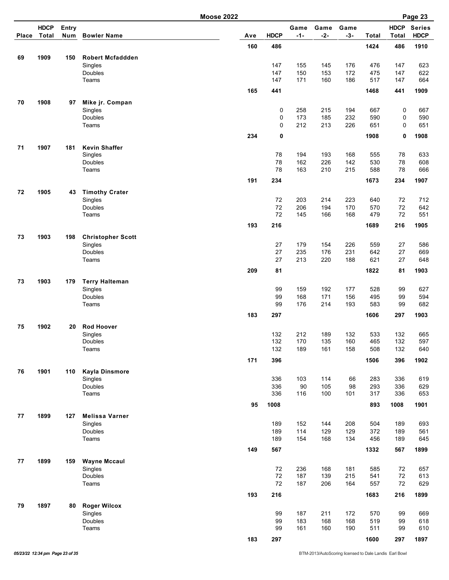|       |                      |                     |                                     | <b>Moose 2022</b> |             |               |               |               |            |                      | Page 23                      |
|-------|----------------------|---------------------|-------------------------------------|-------------------|-------------|---------------|---------------|---------------|------------|----------------------|------------------------------|
| Place | <b>HDCP</b><br>Total | <b>Entry</b><br>Num | <b>Bowler Name</b>                  | Ave               | <b>HDCP</b> | Game<br>$-1-$ | Game<br>$-2-$ | Game<br>$-3-$ | Total      | <b>HDCP</b><br>Total | <b>Series</b><br><b>HDCP</b> |
|       |                      |                     |                                     | 160               | 486         |               |               |               | 1424       | 486                  | 1910                         |
| 69    | 1909                 | 150                 | <b>Robert Mcfaddden</b>             |                   |             |               |               |               |            |                      |                              |
|       |                      |                     | Singles                             |                   | 147         | 155           | 145           | 176           | 476        | 147                  | 623                          |
|       |                      |                     | Doubles                             |                   | 147         | 150           | 153           | 172           | 475        | 147                  | 622                          |
|       |                      |                     | Teams                               |                   | 147         | 171           | 160           | 186           | 517        | 147                  | 664                          |
|       |                      |                     |                                     | 165               | 441         |               |               |               | 1468       | 441                  | 1909                         |
| 70    | 1908                 | 97                  | Mike jr. Compan                     |                   |             |               |               |               |            |                      |                              |
|       |                      |                     | Singles                             |                   | 0           | 258<br>173    | 215<br>185    | 194<br>232    | 667        | 0<br>0               | 667                          |
|       |                      |                     | Doubles<br>Teams                    |                   | 0<br>0      | 212           | 213           | 226           | 590<br>651 | 0                    | 590<br>651                   |
|       |                      |                     |                                     | 234               | 0           |               |               |               | 1908       | 0                    | 1908                         |
|       |                      |                     |                                     |                   |             |               |               |               |            |                      |                              |
| 71    | 1907                 | 181                 | <b>Kevin Shaffer</b>                |                   |             |               | 193           |               |            |                      |                              |
|       |                      |                     | Singles<br>Doubles                  |                   | 78<br>78    | 194<br>162    | 226           | 168<br>142    | 555<br>530 | 78<br>78             | 633<br>608                   |
|       |                      |                     | Teams                               |                   | 78          | 163           | 210           | 215           | 588        | 78                   | 666                          |
|       |                      |                     |                                     | 191               | 234         |               |               |               | 1673       | 234                  | 1907                         |
|       |                      |                     |                                     |                   |             |               |               |               |            |                      |                              |
| 72    | 1905                 | 43                  | <b>Timothy Crater</b><br>Singles    |                   | 72          | 203           | 214           | 223           | 640        | 72                   | 712                          |
|       |                      |                     | Doubles                             |                   | 72          | 206           | 194           | 170           | 570        | 72                   | 642                          |
|       |                      |                     | Teams                               |                   | 72          | 145           | 166           | 168           | 479        | 72                   | 551                          |
|       |                      |                     |                                     | 193               | 216         |               |               |               | 1689       | 216                  | 1905                         |
|       |                      | 198                 |                                     |                   |             |               |               |               |            |                      |                              |
|       | 1903<br>73           |                     | <b>Christopher Scott</b><br>Singles |                   | 27          | 179           | 154           | 226           | 559        | 27                   | 586                          |
|       |                      |                     | Doubles                             |                   | 27          | 235           | 176           | 231           | 642        | 27                   | 669                          |
|       |                      |                     | Teams                               |                   | 27          | 213           | 220           | 188           | 621        | 27                   | 648                          |
|       |                      |                     |                                     | 209               | 81          |               |               |               | 1822       | 81                   | 1903                         |
| 73    | 1903                 | 179                 | <b>Terry Halteman</b>               |                   |             |               |               |               |            |                      |                              |
|       |                      |                     | Singles                             |                   | 99          | 159           | 192           | 177           | 528        | 99                   | 627                          |
|       |                      |                     | Doubles                             |                   | 99          | 168           | 171           | 156           | 495        | 99                   | 594                          |
|       |                      |                     | Teams                               |                   | 99          | 176           | 214           | 193           | 583        | 99                   | 682                          |
|       |                      |                     |                                     | 183               | 297         |               |               |               | 1606       | 297                  | 1903                         |
| 75    | 1902                 | 20                  | <b>Rod Hoover</b>                   |                   |             |               |               |               |            |                      |                              |
|       |                      |                     | Singles                             |                   | 132         | 212           | 189           | 132           | 533        | 132                  | 665                          |
|       |                      |                     | Doubles<br>Teams                    |                   | 132<br>132  | 170<br>189    | 135<br>161    | 160<br>158    | 465<br>508 | 132<br>132           | 597<br>640                   |
|       |                      |                     |                                     |                   |             |               |               |               |            |                      |                              |
|       |                      |                     |                                     | 171               | 396         |               |               |               | 1506       | 396                  | 1902                         |
| 76    | 1901                 | 110                 | <b>Kayla Dinsmore</b>               |                   |             |               | 114           |               |            |                      |                              |
|       |                      |                     | Singles<br>Doubles                  |                   | 336<br>336  | 103<br>90     | 105           | 66<br>98      | 283<br>293 | 336<br>336           | 619<br>629                   |
|       |                      |                     | Teams                               |                   | 336         | 116           | 100           | 101           | 317        | 336                  | 653                          |
|       |                      |                     |                                     | 95                | 1008        |               |               |               | 893        | 1008                 | 1901                         |
|       |                      |                     |                                     |                   |             |               |               |               |            |                      |                              |
| 77    | 1899                 | 127                 | <b>Melissa Varner</b><br>Singles    |                   | 189         | 152           | 144           | 208           | 504        | 189                  | 693                          |
|       |                      |                     | Doubles                             |                   | 189         | 114           | 129           | 129           | 372        | 189                  | 561                          |
|       |                      |                     | Teams                               |                   | 189         | 154           | 168           | 134           | 456        | 189                  | 645                          |
|       |                      |                     |                                     | 149               | 567         |               |               |               | 1332       | 567                  | 1899                         |
| 77    | 1899                 | 159                 | <b>Wayne Mccaul</b>                 |                   |             |               |               |               |            |                      |                              |
|       |                      |                     | Singles                             |                   | 72          | 236           | 168           | 181           | 585        | 72                   | 657                          |
|       |                      |                     | Doubles                             |                   | 72          | 187           | 139           | 215           | 541        | $72\,$               | 613                          |
|       |                      |                     | Teams                               |                   | 72          | 187           | 206           | 164           | 557        | 72                   | 629                          |
|       |                      |                     |                                     | 193               | 216         |               |               |               | 1683       | 216                  | 1899                         |
| 79    | 1897                 | 80                  | <b>Roger Wilcox</b>                 |                   |             |               |               |               |            |                      |                              |
|       |                      |                     | Singles                             |                   | 99          | 187           | 211           | 172           | 570        | 99                   | 669                          |
|       |                      |                     | Doubles                             |                   | 99          | 183           | 168           | 168           | 519        | 99                   | 618                          |
|       |                      |                     | Teams                               |                   | 99          | 161           | 160           | 190           | 511        | 99                   | 610                          |
|       |                      |                     |                                     | 183               | 297         |               |               |               | 1600       | 297                  | 1897                         |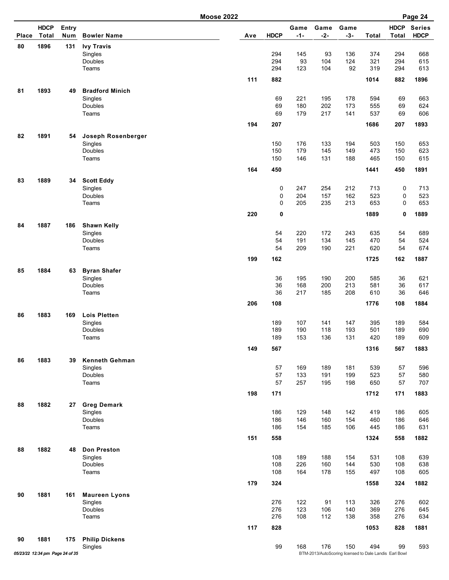|       |                             |              |                                  | <b>Moose 2022</b> |             |               |               |               |            |                             | Page 24                      |
|-------|-----------------------------|--------------|----------------------------------|-------------------|-------------|---------------|---------------|---------------|------------|-----------------------------|------------------------------|
| Place | <b>HDCP</b><br><b>Total</b> | Entry<br>Num | <b>Bowler Name</b>               | Ave               | <b>HDCP</b> | Game<br>$-1-$ | Game<br>$-2-$ | Game<br>$-3-$ | Total      | <b>HDCP</b><br><b>Total</b> | <b>Series</b><br><b>HDCP</b> |
| 80    | 1896                        | 131          | <b>Ivy Travis</b>                |                   |             |               |               |               |            |                             |                              |
|       |                             |              | Singles                          |                   | 294         | 145           | 93            | 136           | 374        | 294                         | 668                          |
|       |                             |              | Doubles                          |                   | 294         | 93            | 104           | 124           | 321        | 294                         | 615                          |
|       |                             |              | Teams                            |                   | 294         | 123           | 104           | 92            | 319        | 294                         | 613                          |
|       |                             |              |                                  | 111               | 882         |               |               |               | 1014       | 882                         | 1896                         |
| 81    | 1893                        | 49           | <b>Bradford Minich</b>           |                   |             |               |               |               |            |                             |                              |
|       |                             |              | Singles                          |                   | 69          | 221           | 195           | 178           | 594        | 69                          | 663                          |
|       |                             |              | Doubles                          |                   | 69          | 180           | 202           | 173           | 555        | 69                          | 624                          |
|       |                             |              | Teams                            |                   | 69          | 179           | 217           | 141           | 537        | 69                          | 606                          |
|       |                             |              |                                  | 194               | 207         |               |               |               | 1686       | 207                         | 1893                         |
| 82    | 1891                        | 54           | Joseph Rosenberger               |                   |             |               |               |               |            |                             |                              |
|       |                             |              | Singles                          |                   | 150         | 176           | 133           | 194           | 503        | 150                         | 653                          |
|       |                             |              | Doubles                          |                   | 150         | 179           | 145           | 149           | 473        | 150                         | 623                          |
|       |                             |              | Teams                            |                   | 150         | 146           | 131           | 188           | 465        | 150                         | 615                          |
|       |                             |              |                                  | 164               | 450         |               |               |               | 1441       | 450                         | 1891                         |
| 83    | 1889                        | 34           | <b>Scott Eddy</b>                |                   |             |               |               |               |            |                             |                              |
|       |                             |              | Singles                          |                   | 0           | 247           | 254           | 212           | 713        | 0                           | 713                          |
|       |                             |              | Doubles                          |                   | 0           | 204           | 157           | 162           | 523        | 0                           | 523                          |
|       |                             |              | Teams                            |                   | 0           | 205           | 235           | 213           | 653        | 0                           | 653                          |
|       |                             |              |                                  | 220               | 0           |               |               |               | 1889       | 0                           | 1889                         |
| 84    | 1887                        | 186          | <b>Shawn Kelly</b>               |                   |             |               |               |               |            |                             |                              |
|       |                             |              | Singles                          |                   | 54          | 220           | 172           | 243           | 635        | 54                          | 689                          |
|       |                             |              | Doubles                          |                   | 54          | 191           | 134           | 145           | 470        | 54                          | 524                          |
|       |                             |              | Teams                            |                   | 54          | 209           | 190           | 221           | 620        | 54                          | 674                          |
|       |                             |              |                                  | 199               | 162         |               |               |               | 1725       | 162                         | 1887                         |
| 85    | 1884                        | 63           | <b>Byran Shafer</b>              |                   |             |               |               |               |            |                             |                              |
|       |                             |              | Singles                          |                   | 36          | 195           | 190           | 200           | 585        | 36                          | 621                          |
|       |                             |              | Doubles                          |                   | 36<br>36    | 168<br>217    | 200           | 213<br>208    | 581        | 36<br>36                    | 617                          |
|       |                             |              | Teams                            |                   |             |               | 185           |               | 610        |                             | 646                          |
|       |                             |              |                                  | 206               | 108         |               |               |               | 1776       | 108                         | 1884                         |
| 86    | 1883                        | 169          | <b>Lois Pletten</b>              |                   |             |               |               |               |            |                             |                              |
|       |                             |              | Singles<br>Doubles               |                   | 189<br>189  | 107<br>190    | 141<br>118    | 147<br>193    | 395<br>501 | 189<br>189                  | 584<br>690                   |
|       |                             |              | Teams                            |                   | 189         | 153           | 136           | 131           | 420        | 189                         | 609                          |
|       |                             |              |                                  | 149               | 567         |               |               |               | 1316       | 567                         | 1883                         |
|       |                             |              |                                  |                   |             |               |               |               |            |                             |                              |
| 86    | 1883                        | 39           | <b>Kenneth Gehman</b><br>Singles |                   | 57          | 169           | 189           | 181           | 539        | 57                          | 596                          |
|       |                             |              | Doubles                          |                   | 57          | 133           | 191           | 199           | 523        | 57                          | 580                          |
|       |                             |              | Teams                            |                   | 57          | 257           | 195           | 198           | 650        | 57                          | 707                          |
|       |                             |              |                                  | 198               | 171         |               |               |               | 1712       | 171                         | 1883                         |
| 88    | 1882                        | 27           | <b>Greg Demark</b>               |                   |             |               |               |               |            |                             |                              |
|       |                             |              | Singles                          |                   | 186         | 129           | 148           | 142           | 419        | 186                         | 605                          |
|       |                             |              | Doubles                          |                   | 186         | 146           | 160           | 154           | 460        | 186                         | 646                          |
|       |                             |              | Teams                            |                   | 186         | 154           | 185           | 106           | 445        | 186                         | 631                          |
|       |                             |              |                                  | 151               | 558         |               |               |               | 1324       | 558                         | 1882                         |
|       | 1882                        |              | <b>Don Preston</b>               |                   |             |               |               |               |            |                             |                              |
| 88    |                             | 48           | Singles                          |                   | 108         | 189           | 188           | 154           | 531        | 108                         | 639                          |
|       |                             |              | Doubles                          |                   | 108         | 226           | 160           | 144           | 530        | 108                         | 638                          |
|       |                             |              | Teams                            |                   | 108         | 164           | 178           | 155           | 497        | 108                         | 605                          |
|       |                             |              |                                  | 179               | 324         |               |               |               | 1558       | 324                         | 1882                         |
| 90    | 1881                        | 161          | <b>Maureen Lyons</b>             |                   |             |               |               |               |            |                             |                              |
|       |                             |              | Singles                          |                   | 276         | 122           | 91            | 113           | 326        | 276                         | 602                          |
|       |                             |              | Doubles                          |                   | 276         | 123           | 106           | 140           | 369        | 276                         | 645                          |
|       |                             |              | Teams                            |                   | 276         | 108           | 112           | 138           | 358        | 276                         | 634                          |
|       |                             |              |                                  | 117               | 828         |               |               |               | 1053       | 828                         | 1881                         |

**90 1881 175 Philip Dickens** Singles 1593 - 99 168 176 150 - 168 176 150 150 - 593<br>*05/23/22 12:34 pm Page 24 of 35* BTM-2013/AutoScoring licensed to Dale Landis Earl Bowl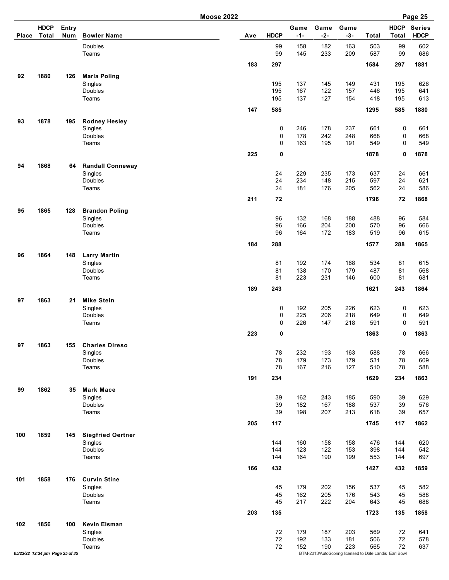| <b>HDCP</b><br><b>HDCP</b><br>Entry<br>Game<br>Game<br>Game<br>Total<br><b>HDCP</b><br>$-1-$<br>$-2-$<br>$-3-$<br>Num<br><b>Bowler Name</b><br><b>Total</b><br><b>Total</b><br>Place<br>Ave<br>Doubles<br>99<br>182<br>163<br>503<br>99<br>158<br>99<br>145<br>233<br>209<br>587<br>99<br>Teams<br>183<br>297<br>1584<br>297<br>92<br>1880<br>126<br><b>Marla Poling</b><br>137<br>145<br>149<br>431<br>195<br>Singles<br>195<br>167<br>122<br>157<br>195<br>Doubles<br>195<br>446<br>137<br>127<br>154<br>Teams<br>195<br>418<br>195<br>147<br>585<br>585<br>1295<br>93<br>1878<br>195<br><b>Rodney Hesley</b><br>246<br>178<br>237<br>661<br>0<br>0<br>Singles<br>Doubles<br>0<br>178<br>242<br>248<br>668<br>0<br>195<br>191<br>Teams<br>0<br>163<br>549<br>0<br>225<br>0<br>1878<br>0<br>1868<br>94<br><b>Randall Conneway</b><br>64<br>24<br>229<br>235<br>173<br>637<br>24<br>Singles<br>24<br>234<br>148<br>215<br>597<br>24<br>Doubles<br>24<br>181<br>176<br>205<br>24<br>Teams<br>562<br>211<br>1796<br>72<br>72<br>1865<br>95<br><b>Brandon Poling</b><br>128<br>168<br>188<br>488<br>Singles<br>96<br>132<br>96<br>96<br>166<br>204<br>200<br>96<br>Doubles<br>570<br>Teams<br>96<br>172<br>183<br>519<br>164<br>96<br>184<br>288<br>288<br>1577<br>1864<br>96<br>148<br><b>Larry Martin</b><br>81<br>192<br>174<br>168<br>534<br>Singles<br>81<br>Doubles<br>81<br>138<br>170<br>179<br>487<br>81<br>223<br>231<br>81<br>Teams<br>81<br>146<br>600<br>189<br>243<br>1621<br>243<br>97<br>1863<br><b>Mike Stein</b><br>21<br>192<br>205<br>226<br>623<br>0<br>0<br>Singles<br>0<br>225<br>206<br>218<br>0<br>Doubles<br>649<br>0<br>226<br>0<br>Teams<br>147<br>218<br>591<br>223<br>0<br>1863<br>0<br>97<br>1863<br>155<br><b>Charles Direso</b><br>78<br>232<br>193<br>163<br>588<br>78<br>Singles<br>179<br>173<br>179<br>78<br>Doubles<br>78<br>531<br>Teams<br>78<br>167<br>216<br>127<br>78<br>510<br>191<br>234<br>1629<br>234<br>1862<br>99<br>35<br><b>Mark Mace</b><br>162<br>243<br>Singles<br>39<br>185<br>590<br>39<br>167<br>Doubles<br>39<br>182<br>188<br>537<br>39<br>39<br>198<br>207<br>213<br>618<br>39<br>Teams<br>205<br>117<br>117<br>1745<br>1859<br>100<br><b>Siegfried Oertner</b><br>145<br>160<br>158<br>158<br>476<br>Singles<br>144<br>144<br>123<br>122<br>153<br>398<br>Doubles<br>144<br>144<br>Teams<br>164<br>190<br>199<br>553<br>144<br>144<br>166<br>1427<br>432<br>432<br>1858<br><b>Curvin Stine</b><br>101<br>176 |  | <b>Moose 2022</b> |  |     |     |     | Page 25                      |
|------------------------------------------------------------------------------------------------------------------------------------------------------------------------------------------------------------------------------------------------------------------------------------------------------------------------------------------------------------------------------------------------------------------------------------------------------------------------------------------------------------------------------------------------------------------------------------------------------------------------------------------------------------------------------------------------------------------------------------------------------------------------------------------------------------------------------------------------------------------------------------------------------------------------------------------------------------------------------------------------------------------------------------------------------------------------------------------------------------------------------------------------------------------------------------------------------------------------------------------------------------------------------------------------------------------------------------------------------------------------------------------------------------------------------------------------------------------------------------------------------------------------------------------------------------------------------------------------------------------------------------------------------------------------------------------------------------------------------------------------------------------------------------------------------------------------------------------------------------------------------------------------------------------------------------------------------------------------------------------------------------------------------------------------------------------------------------------------------------------------------------------------------------------------------------------------------------------------------------------------------------------------------------------------------------------------------------------------------------------------------------------------------------------------------------------------------------------------|--|-------------------|--|-----|-----|-----|------------------------------|
|                                                                                                                                                                                                                                                                                                                                                                                                                                                                                                                                                                                                                                                                                                                                                                                                                                                                                                                                                                                                                                                                                                                                                                                                                                                                                                                                                                                                                                                                                                                                                                                                                                                                                                                                                                                                                                                                                                                                                                                                                                                                                                                                                                                                                                                                                                                                                                                                                                                                        |  |                   |  |     |     |     | <b>Series</b><br><b>HDCP</b> |
|                                                                                                                                                                                                                                                                                                                                                                                                                                                                                                                                                                                                                                                                                                                                                                                                                                                                                                                                                                                                                                                                                                                                                                                                                                                                                                                                                                                                                                                                                                                                                                                                                                                                                                                                                                                                                                                                                                                                                                                                                                                                                                                                                                                                                                                                                                                                                                                                                                                                        |  |                   |  |     |     |     | 602<br>686                   |
|                                                                                                                                                                                                                                                                                                                                                                                                                                                                                                                                                                                                                                                                                                                                                                                                                                                                                                                                                                                                                                                                                                                                                                                                                                                                                                                                                                                                                                                                                                                                                                                                                                                                                                                                                                                                                                                                                                                                                                                                                                                                                                                                                                                                                                                                                                                                                                                                                                                                        |  |                   |  |     |     |     | 1881                         |
|                                                                                                                                                                                                                                                                                                                                                                                                                                                                                                                                                                                                                                                                                                                                                                                                                                                                                                                                                                                                                                                                                                                                                                                                                                                                                                                                                                                                                                                                                                                                                                                                                                                                                                                                                                                                                                                                                                                                                                                                                                                                                                                                                                                                                                                                                                                                                                                                                                                                        |  |                   |  |     |     |     | 626                          |
|                                                                                                                                                                                                                                                                                                                                                                                                                                                                                                                                                                                                                                                                                                                                                                                                                                                                                                                                                                                                                                                                                                                                                                                                                                                                                                                                                                                                                                                                                                                                                                                                                                                                                                                                                                                                                                                                                                                                                                                                                                                                                                                                                                                                                                                                                                                                                                                                                                                                        |  |                   |  |     |     |     | 641                          |
|                                                                                                                                                                                                                                                                                                                                                                                                                                                                                                                                                                                                                                                                                                                                                                                                                                                                                                                                                                                                                                                                                                                                                                                                                                                                                                                                                                                                                                                                                                                                                                                                                                                                                                                                                                                                                                                                                                                                                                                                                                                                                                                                                                                                                                                                                                                                                                                                                                                                        |  |                   |  |     |     |     | 613<br>1880                  |
|                                                                                                                                                                                                                                                                                                                                                                                                                                                                                                                                                                                                                                                                                                                                                                                                                                                                                                                                                                                                                                                                                                                                                                                                                                                                                                                                                                                                                                                                                                                                                                                                                                                                                                                                                                                                                                                                                                                                                                                                                                                                                                                                                                                                                                                                                                                                                                                                                                                                        |  |                   |  |     |     |     |                              |
|                                                                                                                                                                                                                                                                                                                                                                                                                                                                                                                                                                                                                                                                                                                                                                                                                                                                                                                                                                                                                                                                                                                                                                                                                                                                                                                                                                                                                                                                                                                                                                                                                                                                                                                                                                                                                                                                                                                                                                                                                                                                                                                                                                                                                                                                                                                                                                                                                                                                        |  |                   |  |     |     |     | 661                          |
|                                                                                                                                                                                                                                                                                                                                                                                                                                                                                                                                                                                                                                                                                                                                                                                                                                                                                                                                                                                                                                                                                                                                                                                                                                                                                                                                                                                                                                                                                                                                                                                                                                                                                                                                                                                                                                                                                                                                                                                                                                                                                                                                                                                                                                                                                                                                                                                                                                                                        |  |                   |  |     |     |     | 668<br>549                   |
|                                                                                                                                                                                                                                                                                                                                                                                                                                                                                                                                                                                                                                                                                                                                                                                                                                                                                                                                                                                                                                                                                                                                                                                                                                                                                                                                                                                                                                                                                                                                                                                                                                                                                                                                                                                                                                                                                                                                                                                                                                                                                                                                                                                                                                                                                                                                                                                                                                                                        |  |                   |  |     |     |     | 1878                         |
|                                                                                                                                                                                                                                                                                                                                                                                                                                                                                                                                                                                                                                                                                                                                                                                                                                                                                                                                                                                                                                                                                                                                                                                                                                                                                                                                                                                                                                                                                                                                                                                                                                                                                                                                                                                                                                                                                                                                                                                                                                                                                                                                                                                                                                                                                                                                                                                                                                                                        |  |                   |  |     |     |     |                              |
|                                                                                                                                                                                                                                                                                                                                                                                                                                                                                                                                                                                                                                                                                                                                                                                                                                                                                                                                                                                                                                                                                                                                                                                                                                                                                                                                                                                                                                                                                                                                                                                                                                                                                                                                                                                                                                                                                                                                                                                                                                                                                                                                                                                                                                                                                                                                                                                                                                                                        |  |                   |  |     |     |     | 661<br>621                   |
|                                                                                                                                                                                                                                                                                                                                                                                                                                                                                                                                                                                                                                                                                                                                                                                                                                                                                                                                                                                                                                                                                                                                                                                                                                                                                                                                                                                                                                                                                                                                                                                                                                                                                                                                                                                                                                                                                                                                                                                                                                                                                                                                                                                                                                                                                                                                                                                                                                                                        |  |                   |  |     |     |     | 586                          |
|                                                                                                                                                                                                                                                                                                                                                                                                                                                                                                                                                                                                                                                                                                                                                                                                                                                                                                                                                                                                                                                                                                                                                                                                                                                                                                                                                                                                                                                                                                                                                                                                                                                                                                                                                                                                                                                                                                                                                                                                                                                                                                                                                                                                                                                                                                                                                                                                                                                                        |  |                   |  |     |     |     | 1868                         |
|                                                                                                                                                                                                                                                                                                                                                                                                                                                                                                                                                                                                                                                                                                                                                                                                                                                                                                                                                                                                                                                                                                                                                                                                                                                                                                                                                                                                                                                                                                                                                                                                                                                                                                                                                                                                                                                                                                                                                                                                                                                                                                                                                                                                                                                                                                                                                                                                                                                                        |  |                   |  |     |     |     | 584                          |
|                                                                                                                                                                                                                                                                                                                                                                                                                                                                                                                                                                                                                                                                                                                                                                                                                                                                                                                                                                                                                                                                                                                                                                                                                                                                                                                                                                                                                                                                                                                                                                                                                                                                                                                                                                                                                                                                                                                                                                                                                                                                                                                                                                                                                                                                                                                                                                                                                                                                        |  |                   |  |     |     |     | 666                          |
|                                                                                                                                                                                                                                                                                                                                                                                                                                                                                                                                                                                                                                                                                                                                                                                                                                                                                                                                                                                                                                                                                                                                                                                                                                                                                                                                                                                                                                                                                                                                                                                                                                                                                                                                                                                                                                                                                                                                                                                                                                                                                                                                                                                                                                                                                                                                                                                                                                                                        |  |                   |  |     |     |     | 615<br>1865                  |
|                                                                                                                                                                                                                                                                                                                                                                                                                                                                                                                                                                                                                                                                                                                                                                                                                                                                                                                                                                                                                                                                                                                                                                                                                                                                                                                                                                                                                                                                                                                                                                                                                                                                                                                                                                                                                                                                                                                                                                                                                                                                                                                                                                                                                                                                                                                                                                                                                                                                        |  |                   |  |     |     |     |                              |
|                                                                                                                                                                                                                                                                                                                                                                                                                                                                                                                                                                                                                                                                                                                                                                                                                                                                                                                                                                                                                                                                                                                                                                                                                                                                                                                                                                                                                                                                                                                                                                                                                                                                                                                                                                                                                                                                                                                                                                                                                                                                                                                                                                                                                                                                                                                                                                                                                                                                        |  |                   |  |     |     |     | 615                          |
|                                                                                                                                                                                                                                                                                                                                                                                                                                                                                                                                                                                                                                                                                                                                                                                                                                                                                                                                                                                                                                                                                                                                                                                                                                                                                                                                                                                                                                                                                                                                                                                                                                                                                                                                                                                                                                                                                                                                                                                                                                                                                                                                                                                                                                                                                                                                                                                                                                                                        |  |                   |  |     |     |     | 568<br>681                   |
|                                                                                                                                                                                                                                                                                                                                                                                                                                                                                                                                                                                                                                                                                                                                                                                                                                                                                                                                                                                                                                                                                                                                                                                                                                                                                                                                                                                                                                                                                                                                                                                                                                                                                                                                                                                                                                                                                                                                                                                                                                                                                                                                                                                                                                                                                                                                                                                                                                                                        |  |                   |  |     |     |     | 1864                         |
|                                                                                                                                                                                                                                                                                                                                                                                                                                                                                                                                                                                                                                                                                                                                                                                                                                                                                                                                                                                                                                                                                                                                                                                                                                                                                                                                                                                                                                                                                                                                                                                                                                                                                                                                                                                                                                                                                                                                                                                                                                                                                                                                                                                                                                                                                                                                                                                                                                                                        |  |                   |  |     |     |     |                              |
|                                                                                                                                                                                                                                                                                                                                                                                                                                                                                                                                                                                                                                                                                                                                                                                                                                                                                                                                                                                                                                                                                                                                                                                                                                                                                                                                                                                                                                                                                                                                                                                                                                                                                                                                                                                                                                                                                                                                                                                                                                                                                                                                                                                                                                                                                                                                                                                                                                                                        |  |                   |  |     |     |     | 623<br>649                   |
|                                                                                                                                                                                                                                                                                                                                                                                                                                                                                                                                                                                                                                                                                                                                                                                                                                                                                                                                                                                                                                                                                                                                                                                                                                                                                                                                                                                                                                                                                                                                                                                                                                                                                                                                                                                                                                                                                                                                                                                                                                                                                                                                                                                                                                                                                                                                                                                                                                                                        |  |                   |  |     |     |     | 591                          |
|                                                                                                                                                                                                                                                                                                                                                                                                                                                                                                                                                                                                                                                                                                                                                                                                                                                                                                                                                                                                                                                                                                                                                                                                                                                                                                                                                                                                                                                                                                                                                                                                                                                                                                                                                                                                                                                                                                                                                                                                                                                                                                                                                                                                                                                                                                                                                                                                                                                                        |  |                   |  |     |     |     | 1863                         |
|                                                                                                                                                                                                                                                                                                                                                                                                                                                                                                                                                                                                                                                                                                                                                                                                                                                                                                                                                                                                                                                                                                                                                                                                                                                                                                                                                                                                                                                                                                                                                                                                                                                                                                                                                                                                                                                                                                                                                                                                                                                                                                                                                                                                                                                                                                                                                                                                                                                                        |  |                   |  |     |     |     | 666                          |
|                                                                                                                                                                                                                                                                                                                                                                                                                                                                                                                                                                                                                                                                                                                                                                                                                                                                                                                                                                                                                                                                                                                                                                                                                                                                                                                                                                                                                                                                                                                                                                                                                                                                                                                                                                                                                                                                                                                                                                                                                                                                                                                                                                                                                                                                                                                                                                                                                                                                        |  |                   |  |     |     |     | 609                          |
|                                                                                                                                                                                                                                                                                                                                                                                                                                                                                                                                                                                                                                                                                                                                                                                                                                                                                                                                                                                                                                                                                                                                                                                                                                                                                                                                                                                                                                                                                                                                                                                                                                                                                                                                                                                                                                                                                                                                                                                                                                                                                                                                                                                                                                                                                                                                                                                                                                                                        |  |                   |  |     |     |     | 588                          |
|                                                                                                                                                                                                                                                                                                                                                                                                                                                                                                                                                                                                                                                                                                                                                                                                                                                                                                                                                                                                                                                                                                                                                                                                                                                                                                                                                                                                                                                                                                                                                                                                                                                                                                                                                                                                                                                                                                                                                                                                                                                                                                                                                                                                                                                                                                                                                                                                                                                                        |  |                   |  |     |     |     | 1863                         |
|                                                                                                                                                                                                                                                                                                                                                                                                                                                                                                                                                                                                                                                                                                                                                                                                                                                                                                                                                                                                                                                                                                                                                                                                                                                                                                                                                                                                                                                                                                                                                                                                                                                                                                                                                                                                                                                                                                                                                                                                                                                                                                                                                                                                                                                                                                                                                                                                                                                                        |  |                   |  |     |     |     | 629                          |
|                                                                                                                                                                                                                                                                                                                                                                                                                                                                                                                                                                                                                                                                                                                                                                                                                                                                                                                                                                                                                                                                                                                                                                                                                                                                                                                                                                                                                                                                                                                                                                                                                                                                                                                                                                                                                                                                                                                                                                                                                                                                                                                                                                                                                                                                                                                                                                                                                                                                        |  |                   |  |     |     |     | 576                          |
|                                                                                                                                                                                                                                                                                                                                                                                                                                                                                                                                                                                                                                                                                                                                                                                                                                                                                                                                                                                                                                                                                                                                                                                                                                                                                                                                                                                                                                                                                                                                                                                                                                                                                                                                                                                                                                                                                                                                                                                                                                                                                                                                                                                                                                                                                                                                                                                                                                                                        |  |                   |  |     |     |     | 657                          |
|                                                                                                                                                                                                                                                                                                                                                                                                                                                                                                                                                                                                                                                                                                                                                                                                                                                                                                                                                                                                                                                                                                                                                                                                                                                                                                                                                                                                                                                                                                                                                                                                                                                                                                                                                                                                                                                                                                                                                                                                                                                                                                                                                                                                                                                                                                                                                                                                                                                                        |  |                   |  |     |     |     | 1862                         |
|                                                                                                                                                                                                                                                                                                                                                                                                                                                                                                                                                                                                                                                                                                                                                                                                                                                                                                                                                                                                                                                                                                                                                                                                                                                                                                                                                                                                                                                                                                                                                                                                                                                                                                                                                                                                                                                                                                                                                                                                                                                                                                                                                                                                                                                                                                                                                                                                                                                                        |  |                   |  |     |     |     |                              |
|                                                                                                                                                                                                                                                                                                                                                                                                                                                                                                                                                                                                                                                                                                                                                                                                                                                                                                                                                                                                                                                                                                                                                                                                                                                                                                                                                                                                                                                                                                                                                                                                                                                                                                                                                                                                                                                                                                                                                                                                                                                                                                                                                                                                                                                                                                                                                                                                                                                                        |  |                   |  |     |     |     | 620<br>542                   |
|                                                                                                                                                                                                                                                                                                                                                                                                                                                                                                                                                                                                                                                                                                                                                                                                                                                                                                                                                                                                                                                                                                                                                                                                                                                                                                                                                                                                                                                                                                                                                                                                                                                                                                                                                                                                                                                                                                                                                                                                                                                                                                                                                                                                                                                                                                                                                                                                                                                                        |  |                   |  |     |     |     | 697                          |
|                                                                                                                                                                                                                                                                                                                                                                                                                                                                                                                                                                                                                                                                                                                                                                                                                                                                                                                                                                                                                                                                                                                                                                                                                                                                                                                                                                                                                                                                                                                                                                                                                                                                                                                                                                                                                                                                                                                                                                                                                                                                                                                                                                                                                                                                                                                                                                                                                                                                        |  |                   |  |     |     |     | 1859                         |
|                                                                                                                                                                                                                                                                                                                                                                                                                                                                                                                                                                                                                                                                                                                                                                                                                                                                                                                                                                                                                                                                                                                                                                                                                                                                                                                                                                                                                                                                                                                                                                                                                                                                                                                                                                                                                                                                                                                                                                                                                                                                                                                                                                                                                                                                                                                                                                                                                                                                        |  |                   |  | 179 | 202 | 537 |                              |
| Singles<br>45<br>156<br>45<br>205<br>Doubles<br>45<br>162<br>176<br>543<br>45                                                                                                                                                                                                                                                                                                                                                                                                                                                                                                                                                                                                                                                                                                                                                                                                                                                                                                                                                                                                                                                                                                                                                                                                                                                                                                                                                                                                                                                                                                                                                                                                                                                                                                                                                                                                                                                                                                                                                                                                                                                                                                                                                                                                                                                                                                                                                                                          |  |                   |  |     |     |     | 582<br>588                   |
| Teams<br>45<br>217<br>222<br>204<br>643<br>45                                                                                                                                                                                                                                                                                                                                                                                                                                                                                                                                                                                                                                                                                                                                                                                                                                                                                                                                                                                                                                                                                                                                                                                                                                                                                                                                                                                                                                                                                                                                                                                                                                                                                                                                                                                                                                                                                                                                                                                                                                                                                                                                                                                                                                                                                                                                                                                                                          |  |                   |  |     |     |     | 688                          |
| 203<br>1723<br>135<br>135                                                                                                                                                                                                                                                                                                                                                                                                                                                                                                                                                                                                                                                                                                                                                                                                                                                                                                                                                                                                                                                                                                                                                                                                                                                                                                                                                                                                                                                                                                                                                                                                                                                                                                                                                                                                                                                                                                                                                                                                                                                                                                                                                                                                                                                                                                                                                                                                                                              |  |                   |  |     |     |     | 1858                         |
| 102<br>1856<br><b>Kevin Elsman</b><br>100<br>72<br>179<br>187<br>72<br>Singles<br>203<br>569                                                                                                                                                                                                                                                                                                                                                                                                                                                                                                                                                                                                                                                                                                                                                                                                                                                                                                                                                                                                                                                                                                                                                                                                                                                                                                                                                                                                                                                                                                                                                                                                                                                                                                                                                                                                                                                                                                                                                                                                                                                                                                                                                                                                                                                                                                                                                                           |  |                   |  |     |     |     | 641                          |
| 72<br>72<br>192<br>133<br>181<br>506<br>Doubles                                                                                                                                                                                                                                                                                                                                                                                                                                                                                                                                                                                                                                                                                                                                                                                                                                                                                                                                                                                                                                                                                                                                                                                                                                                                                                                                                                                                                                                                                                                                                                                                                                                                                                                                                                                                                                                                                                                                                                                                                                                                                                                                                                                                                                                                                                                                                                                                                        |  |                   |  |     |     |     | 578                          |
| 72<br>152<br>190<br>223<br>565<br>72<br>Teams<br>BTM-2013/AutoScoring licensed to Dale Landis Earl Bowl<br>05/23/22 12:34 pm Page 25 of 35                                                                                                                                                                                                                                                                                                                                                                                                                                                                                                                                                                                                                                                                                                                                                                                                                                                                                                                                                                                                                                                                                                                                                                                                                                                                                                                                                                                                                                                                                                                                                                                                                                                                                                                                                                                                                                                                                                                                                                                                                                                                                                                                                                                                                                                                                                                             |  |                   |  |     |     |     | 637                          |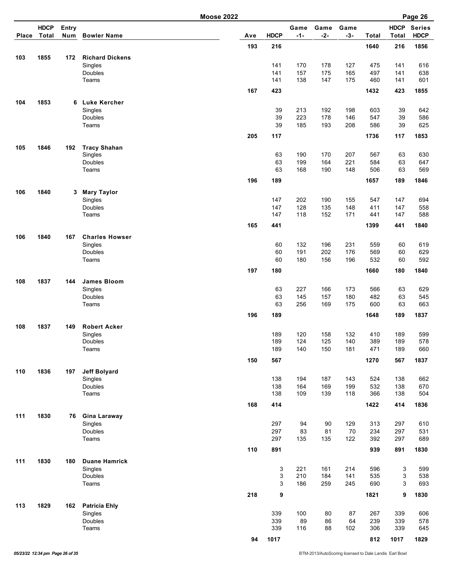|       |                             |                     |                        | <b>Moose 2022</b> |             |                      |               |               |            |                             | Page 26                      |
|-------|-----------------------------|---------------------|------------------------|-------------------|-------------|----------------------|---------------|---------------|------------|-----------------------------|------------------------------|
| Place | <b>HDCP</b><br><b>Total</b> | <b>Entry</b><br>Num | <b>Bowler Name</b>     | Ave               | <b>HDCP</b> | Game<br>$-1-$        | Game<br>$-2-$ | Game<br>$-3-$ | Total      | <b>HDCP</b><br><b>Total</b> | <b>Series</b><br><b>HDCP</b> |
|       |                             |                     |                        | 193               | 216         |                      |               |               | 1640       | 216                         | 1856                         |
| 103   | 1855                        | 172                 | <b>Richard Dickens</b> |                   |             |                      |               |               |            |                             |                              |
|       |                             |                     | Singles                |                   | 141         | 170                  | 178           | 127           | 475        | 141                         | 616                          |
|       |                             |                     | Doubles                |                   | 141         | 157                  | 175           | 165           | 497        | 141                         | 638                          |
|       |                             |                     | Teams                  |                   | 141         | 138                  | 147           | 175           | 460        | 141                         | 601                          |
|       |                             |                     |                        | 167               | 423         |                      |               |               | 1432       | 423                         | 1855                         |
| 104   | 1853                        |                     | 6 Luke Kercher         |                   |             |                      |               |               |            |                             |                              |
|       |                             |                     | Singles                |                   | 39          | 213                  | 192           | 198           | 603        | 39                          | 642                          |
|       |                             |                     | Doubles                |                   | 39          | 223                  | 178           | 146           | 547        | 39                          | 586                          |
|       |                             |                     | Teams                  |                   | 39          | 185                  | 193           | 208           | 586        | 39                          | 625                          |
|       |                             |                     |                        | 205               | 117         |                      |               |               | 1736       | 117                         | 1853                         |
| 105   | 1846                        | 192                 | <b>Tracy Shahan</b>    |                   |             |                      |               |               |            |                             |                              |
|       |                             |                     | Singles                |                   | 63          | 190                  | 170           | 207           | 567        | 63                          | 630                          |
|       |                             |                     | Doubles                |                   | 63          | 199                  | 164           | 221           | 584        | 63                          | 647                          |
|       |                             |                     | Teams                  |                   | 63          | 168                  | 190           | 148           | 506        | 63                          | 569                          |
|       |                             |                     |                        | 196               | 189         |                      |               |               | 1657       | 189                         | 1846                         |
| 106   | 1840                        | 3                   | <b>Mary Taylor</b>     |                   |             |                      |               |               |            |                             |                              |
|       |                             |                     | Singles                |                   | 147         | 202                  | 190           | 155           | 547        | 147                         | 694                          |
|       |                             |                     | <b>Doubles</b>         |                   | 147         | 128                  | 135           | 148           | 411        | 147                         | 558                          |
|       |                             |                     | Teams                  |                   | 147         | 118                  | 152           | 171           | 441        | 147                         | 588                          |
|       |                             |                     |                        | 165               | 441         |                      |               |               | 1399       | 441                         | 1840                         |
| 106   | 1840                        | 167                 | <b>Charles Howser</b>  |                   |             |                      |               |               |            |                             |                              |
|       |                             |                     | Singles                |                   | 60          | 132                  | 196           | 231           | 559        | 60                          | 619                          |
|       |                             |                     | Doubles                |                   | 60          | 191                  | 202           | 176           | 569        | 60                          | 629                          |
|       |                             |                     | Teams                  |                   | 60          | 180                  | 156           | 196           | 532        | 60                          | 592                          |
|       |                             |                     |                        | 197               | 180         |                      |               |               | 1660       | 180                         | 1840                         |
| 108   | 1837                        | 144                 | <b>James Bloom</b>     |                   |             |                      |               |               |            |                             |                              |
|       |                             |                     | Singles                |                   | 63          | 227                  | 166           | 173           | 566        | 63                          | 629                          |
|       |                             |                     | Doubles                |                   | 63          | 145                  | 157           | 180           | 482        | 63                          | 545                          |
|       |                             |                     | Teams                  |                   | 63          | 256                  | 169           | 175           | 600        | 63                          | 663                          |
|       |                             |                     |                        | 196               | 189         |                      |               |               | 1648       | 189                         | 1837                         |
| 108   | 1837                        | 149                 | <b>Robert Acker</b>    |                   |             |                      |               |               |            |                             |                              |
|       |                             |                     | Singles                |                   | 189         | 120                  | 158           | 132           | 410        | 189                         | 599                          |
|       |                             |                     | Doubles                |                   | 189         | 124                  | 125           | 140           | 389        | 189                         | 578                          |
|       |                             |                     | Teams                  |                   | 189         | 140                  | 150           | 181           | 471        | 189                         | 660                          |
|       |                             |                     |                        | 150               | 567         |                      |               |               | 1270       | 567                         | 1837                         |
| 110   | 1836                        | 197                 | <b>Jeff Bolyard</b>    |                   |             |                      |               |               |            |                             |                              |
|       |                             |                     | Singles<br>Doubles     |                   | 138         | 194<br>164           | 187           | 143           | 524<br>532 | 138                         | 662                          |
|       |                             |                     | Teams                  |                   | 138<br>138  | 109                  | 169<br>139    | 199<br>118    | 366        | 138<br>138                  | 670<br>504                   |
|       |                             |                     |                        |                   |             |                      |               |               |            |                             |                              |
|       |                             |                     |                        | 168               | 414         |                      |               |               | 1422       | 414                         | 1836                         |
| 111   | 1830                        | 76                  | <b>Gina Laraway</b>    |                   |             |                      |               |               |            |                             |                              |
|       |                             |                     | Singles                |                   | 297         | 94                   | 90            | 129           | 313        | 297                         | 610                          |
|       |                             |                     | Doubles<br>Teams       |                   | 297<br>297  | 83<br>135            | 81<br>135     | 70<br>122     | 234<br>392 | 297<br>297                  | 531<br>689                   |
|       |                             |                     |                        |                   |             |                      |               |               |            |                             |                              |
|       |                             |                     |                        | 110               | 891         |                      |               |               | 939        | 891                         | 1830                         |
| 111   | 1830                        | 180                 | <b>Duane Hamrick</b>   |                   |             |                      |               |               |            |                             |                              |
|       |                             |                     | Singles                |                   |             | 3<br>221             | 161           | 214           | 596        | 3                           | 599                          |
|       |                             |                     | Doubles<br>Teams       |                   |             | 3<br>210<br>3<br>186 | 184<br>259    | 141<br>245    | 535<br>690 | 3<br>3                      | 538<br>693                   |
|       |                             |                     |                        |                   |             |                      |               |               |            |                             |                              |
|       |                             |                     |                        | 218               | 9           |                      |               |               | 1821       | 9                           | 1830                         |
| 113   | 1829                        | 162                 | <b>Patricia Ehly</b>   |                   |             |                      |               |               |            |                             |                              |
|       |                             |                     | Singles<br>Doubles     |                   | 339<br>339  | 100<br>89            | 80<br>86      | 87<br>64      | 267<br>239 | 339<br>339                  | 606<br>578                   |
|       |                             |                     | Teams                  |                   | 339         | 116                  | 88            | 102           | 306        | 339                         | 645                          |
|       |                             |                     |                        |                   |             |                      |               |               |            |                             |                              |
|       |                             |                     |                        | 94                | 1017        |                      |               |               | 812        | 1017                        | 1829                         |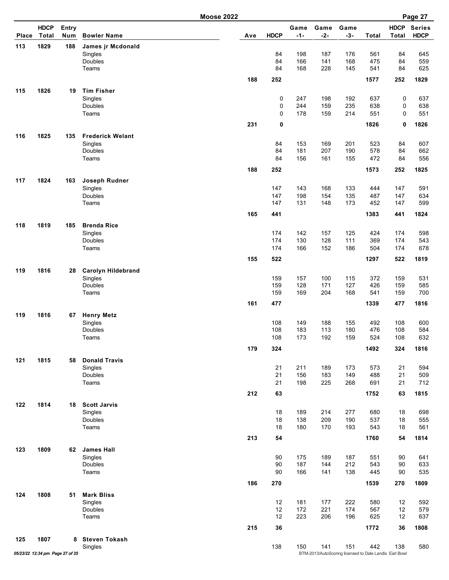| Place | <b>HDCP</b><br>Total            | Entry<br>Num | <b>Bowler Name</b>         | Ave | <b>HDCP</b> | Game<br>$-1-$ | Game<br>$-2-$ | Game<br>$-3-$                                          | <b>Total</b> | <b>HDCP</b><br><b>Total</b> | <b>Series</b><br><b>HDCP</b> |
|-------|---------------------------------|--------------|----------------------------|-----|-------------|---------------|---------------|--------------------------------------------------------|--------------|-----------------------------|------------------------------|
| 113   | 1829                            | 188          | James jr Mcdonald          |     |             |               |               |                                                        |              |                             |                              |
|       |                                 |              | Singles                    |     | 84          | 198           | 187           | 176                                                    | 561          | 84                          | 645                          |
|       |                                 |              | Doubles                    |     | 84          | 166           | 141           | 168                                                    | 475          | 84                          | 559                          |
|       |                                 |              | Teams                      |     | 84          | 168           | 228           | 145                                                    | 541          | 84                          | 625                          |
|       |                                 |              |                            | 188 | 252         |               |               |                                                        | 1577         | 252                         | 1829                         |
| 115   | 1826                            | 19           | <b>Tim Fisher</b>          |     |             |               |               |                                                        |              |                             |                              |
|       |                                 |              | Singles                    |     | 0           | 247           | 198           | 192                                                    | 637          | 0                           | 637                          |
|       |                                 |              | Doubles                    |     | 0           | 244           | 159           | 235                                                    | 638          | 0                           | 638                          |
|       |                                 |              | Teams                      |     | 0           | 178           | 159           | 214                                                    | 551          | 0                           | 551                          |
|       |                                 |              |                            | 231 | 0           |               |               |                                                        | 1826         | 0                           | 1826                         |
| 116   | 1825                            | 135          | <b>Frederick Welant</b>    |     |             |               |               |                                                        |              |                             |                              |
|       |                                 |              | Singles                    |     | 84          | 153           | 169           | 201                                                    | 523          | 84                          | 607                          |
|       |                                 |              | Doubles                    |     | 84          | 181           | 207           | 190                                                    | 578          | 84                          | 662                          |
|       |                                 |              | Teams                      |     | 84          | 156           | 161           | 155                                                    | 472          | 84                          | 556                          |
|       |                                 |              |                            | 188 | 252         |               |               |                                                        | 1573         | 252                         | 1825                         |
| 117   | 1824                            | 163          | Joseph Rudner              |     |             |               |               |                                                        |              |                             |                              |
|       |                                 |              | Singles                    |     | 147         | 143           | 168           | 133                                                    | 444          | 147                         | 591                          |
|       |                                 |              | Doubles                    |     | 147         | 198           | 154           | 135                                                    | 487          | 147                         | 634                          |
|       |                                 |              | Teams                      |     | 147         | 131           | 148           | 173                                                    | 452          | 147                         | 599                          |
|       |                                 |              |                            | 165 | 441         |               |               |                                                        | 1383         | 441                         | 1824                         |
| 118   | 1819                            | 185          | <b>Brenda Rice</b>         |     |             |               |               |                                                        |              |                             |                              |
|       |                                 |              | Singles                    |     | 174         | 142           | 157           | 125                                                    | 424          | 174                         | 598                          |
|       |                                 |              | Doubles                    |     | 174         | 130           | 128           | 111                                                    | 369          | 174                         | 543                          |
|       |                                 |              | Teams                      |     | 174         | 166           | 152           | 186                                                    | 504          | 174                         | 678                          |
|       |                                 |              |                            | 155 | 522         |               |               |                                                        | 1297         | 522                         | 1819                         |
| 119   | 1816                            | 28           | <b>Carolyn Hildebrand</b>  |     |             |               |               |                                                        |              |                             |                              |
|       |                                 |              | Singles                    |     | 159         | 157           | 100           | 115                                                    | 372          | 159                         | 531                          |
|       |                                 |              | Doubles                    |     | 159         | 128           | 171           | 127                                                    | 426          | 159                         | 585                          |
|       |                                 |              | Teams                      |     | 159         | 169           | 204           | 168                                                    | 541          | 159                         | 700                          |
|       |                                 |              |                            | 161 | 477         |               |               |                                                        | 1339         | 477                         | 1816                         |
| 119   | 1816                            | 67           | <b>Henry Metz</b>          |     |             |               |               |                                                        |              |                             |                              |
|       |                                 |              | Singles                    |     | 108         | 149           | 188           | 155                                                    | 492          | 108                         | 600                          |
|       |                                 |              | Doubles                    |     | 108<br>108  | 183<br>173    | 113<br>192    | 180                                                    | 476<br>524   | 108                         | 584                          |
|       |                                 |              | Teams                      |     |             |               |               | 159                                                    |              | 108                         | 632                          |
|       |                                 |              |                            | 179 | 324         |               |               |                                                        | 1492         | 324                         | 1816                         |
| 121   | 1815                            | 58           | <b>Donald Travis</b>       |     |             |               |               |                                                        |              |                             |                              |
|       |                                 |              | Singles                    |     | 21          | 211           | 189           | 173                                                    | 573          | 21                          | 594                          |
|       |                                 |              | Doubles                    |     | 21          | 156           | 183           | 149                                                    | 488          | 21                          | 509                          |
|       |                                 |              | Teams                      |     | 21          | 198           | 225           | 268                                                    | 691          | 21                          | 712                          |
|       |                                 |              |                            | 212 | 63          |               |               |                                                        | 1752         | 63                          | 1815                         |
| 122   | 1814                            | 18           | <b>Scott Jarvis</b>        |     |             |               |               |                                                        |              |                             |                              |
|       |                                 |              | Singles                    |     | 18          | 189           | 214           | 277                                                    | 680          | 18                          | 698                          |
|       |                                 |              | Doubles                    |     | 18          | 138           | 209           | 190                                                    | 537          | 18                          | 555                          |
|       |                                 |              | Teams                      |     | 18          | 180           | 170           | 193                                                    | 543          | 18                          | 561                          |
|       |                                 |              |                            | 213 | 54          |               |               |                                                        | 1760         | 54                          | 1814                         |
| 123   | 1809                            | 62           | <b>James Hall</b>          |     |             |               |               |                                                        |              |                             |                              |
|       |                                 |              | Singles                    |     | 90          | 175           | 189           | 187                                                    | 551          | 90                          | 641                          |
|       |                                 |              | Doubles                    |     | 90          | 187           | 144           | 212                                                    | 543          | 90                          | 633                          |
|       |                                 |              | Teams                      |     | 90          | 166           | 141           | 138                                                    | 445          | 90                          | 535                          |
|       |                                 |              |                            | 186 | 270         |               |               |                                                        | 1539         | 270                         | 1809                         |
| 124   | 1808                            | 51           | <b>Mark Bliss</b>          |     |             |               |               |                                                        |              |                             |                              |
|       |                                 |              | Singles                    |     | 12          | 181           | 177           | 222                                                    | 580          | 12                          | 592                          |
|       |                                 |              | Doubles<br>Teams           |     | 12<br>12    | 172<br>223    | 221<br>206    | 174<br>196                                             | 567<br>625   | 12<br>12                    | 579<br>637                   |
|       |                                 |              |                            |     |             |               |               |                                                        |              |                             |                              |
|       |                                 |              |                            | 215 | 36          |               |               |                                                        | 1772         | 36                          | 1808                         |
| 125   | 1807                            |              | 8 Steven Tokash<br>Singles |     | 138         | 150           | 141           | 151                                                    | 442          | 138                         | 580                          |
|       | 05/23/22 12:34 pm Page 27 of 35 |              |                            |     |             |               |               | BTM-2013/AutoScoring licensed to Dale Landis Earl Bowl |              |                             |                              |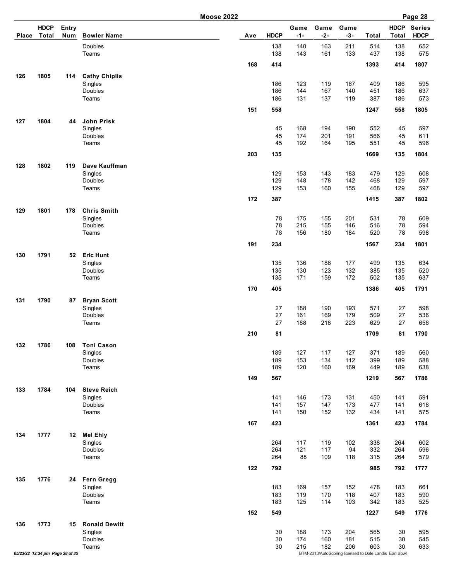|              |                                 |              |                              | <b>Moose 2022</b> |     |             |               |                                                               |               |              |                             | Page 28                      |
|--------------|---------------------------------|--------------|------------------------------|-------------------|-----|-------------|---------------|---------------------------------------------------------------|---------------|--------------|-----------------------------|------------------------------|
| <b>Place</b> | <b>HDCP</b><br><b>Total</b>     | Entry<br>Num | <b>Bowler Name</b>           |                   | Ave | <b>HDCP</b> | Game<br>$-1-$ | Game<br>$-2-$                                                 | Game<br>$-3-$ | <b>Total</b> | <b>HDCP</b><br><b>Total</b> | <b>Series</b><br><b>HDCP</b> |
|              |                                 |              | Doubles<br>Teams             |                   |     | 138<br>138  | 140<br>143    | 163<br>161                                                    | 211<br>133    | 514<br>437   | 138<br>138                  | 652<br>575                   |
|              |                                 |              |                              |                   | 168 | 414         |               |                                                               |               | 1393         | 414                         | 1807                         |
| 126          | 1805                            | 114          | <b>Cathy Chiplis</b>         |                   |     |             |               |                                                               |               |              |                             |                              |
|              |                                 |              | Singles                      |                   |     | 186         | 123           | 119                                                           | 167           | 409          | 186                         | 595                          |
|              |                                 |              | Doubles<br>Teams             |                   |     | 186<br>186  | 144<br>131    | 167<br>137                                                    | 140<br>119    | 451<br>387   | 186<br>186                  | 637<br>573                   |
|              |                                 |              |                              |                   |     |             |               |                                                               |               |              |                             |                              |
|              |                                 |              |                              |                   | 151 | 558         |               |                                                               |               | 1247         | 558                         | 1805                         |
| 127          | 1804                            | 44           | <b>John Prisk</b><br>Singles |                   |     | 45          | 168           | 194                                                           | 190           | 552          | 45                          | 597                          |
|              |                                 |              | Doubles                      |                   |     | 45          | 174           | 201                                                           | 191           | 566          | 45                          | 611                          |
|              |                                 |              | Teams                        |                   |     | 45          | 192           | 164                                                           | 195           | 551          | 45                          | 596                          |
|              |                                 |              |                              |                   | 203 | 135         |               |                                                               |               | 1669         | 135                         | 1804                         |
| 128          | 1802                            | 119          | Dave Kauffman                |                   |     |             |               |                                                               |               |              |                             |                              |
|              |                                 |              | Singles                      |                   |     | 129         | 153           | 143                                                           | 183           | 479          | 129                         | 608                          |
|              |                                 |              | Doubles                      |                   |     | 129         | 148           | 178                                                           | 142           | 468          | 129                         | 597                          |
|              |                                 |              | Teams                        |                   |     | 129         | 153           | 160                                                           | 155           | 468          | 129                         | 597                          |
|              |                                 |              |                              |                   | 172 | 387         |               |                                                               |               | 1415         | 387                         | 1802                         |
| 129          | 1801                            | 178          | <b>Chris Smith</b>           |                   |     |             |               |                                                               |               |              |                             |                              |
|              |                                 |              | Singles                      |                   |     | 78          | 175           | 155                                                           | 201           | 531          | 78                          | 609                          |
|              |                                 |              | Doubles                      |                   |     | 78          | 215           | 155                                                           | 146           | 516          | 78                          | 594                          |
|              |                                 |              | Teams                        |                   |     | 78          | 156           | 180                                                           | 184           | 520          | 78                          | 598                          |
|              |                                 |              |                              |                   | 191 | 234         |               |                                                               |               | 1567         | 234                         | 1801                         |
| 130          | 1791                            | 52           | <b>Eric Hunt</b>             |                   |     |             |               |                                                               |               |              |                             |                              |
|              |                                 |              | Singles                      |                   |     | 135         | 136           | 186                                                           | 177           | 499          | 135                         | 634                          |
|              |                                 |              | Doubles                      |                   |     | 135         | 130           | 123                                                           | 132           | 385          | 135                         | 520                          |
|              |                                 |              | Teams                        |                   |     | 135         | 171           | 159                                                           | 172           | 502          | 135                         | 637                          |
|              |                                 |              |                              |                   | 170 | 405         |               |                                                               |               | 1386         | 405                         | 1791                         |
| 131          | 1790                            | 87           | <b>Bryan Scott</b>           |                   |     |             |               |                                                               |               |              |                             |                              |
|              |                                 |              | Singles<br>Doubles           |                   |     | 27<br>27    | 188<br>161    | 190<br>169                                                    | 193<br>179    | 571<br>509   | 27<br>27                    | 598<br>536                   |
|              |                                 |              | Teams                        |                   |     | 27          | 188           | 218                                                           | 223           | 629          | 27                          | 656                          |
|              |                                 |              |                              |                   | 210 | 81          |               |                                                               |               | 1709         | 81                          | 1790                         |
|              |                                 |              |                              |                   |     |             |               |                                                               |               |              |                             |                              |
| 132          | 1786                            | 108          | <b>Toni Cason</b><br>Singles |                   |     | 189         | 127           | 117                                                           | 127           | 371          | 189                         | 560                          |
|              |                                 |              | Doubles                      |                   |     | 189         | 153           | 134                                                           | 112           | 399          | 189                         | 588                          |
|              |                                 |              | Teams                        |                   |     | 189         | 120           | 160                                                           | 169           | 449          | 189                         | 638                          |
|              |                                 |              |                              |                   | 149 | 567         |               |                                                               |               | 1219         | 567                         | 1786                         |
| 133          | 1784                            | 104          | <b>Steve Reich</b>           |                   |     |             |               |                                                               |               |              |                             |                              |
|              |                                 |              | Singles                      |                   |     | 141         | 146           | 173                                                           | 131           | 450          | 141                         | 591                          |
|              |                                 |              | Doubles                      |                   |     | 141         | 157           | 147                                                           | 173           | 477          | 141                         | 618                          |
|              |                                 |              | Teams                        |                   |     | 141         | 150           | 152                                                           | 132           | 434          | 141                         | 575                          |
|              |                                 |              |                              |                   | 167 | 423         |               |                                                               |               | 1361         | 423                         | 1784                         |
| 134          | 1777                            | 12           | <b>Mel Ehly</b>              |                   |     |             |               |                                                               |               |              |                             |                              |
|              |                                 |              | Singles                      |                   |     | 264         | 117           | 119                                                           | 102           | 338          | 264                         | 602                          |
|              |                                 |              | Doubles                      |                   |     | 264         | 121           | 117                                                           | 94            | 332          | 264                         | 596                          |
|              |                                 |              | Teams                        |                   |     | 264         | 88            | 109                                                           | 118           | 315          | 264                         | 579                          |
|              |                                 |              |                              |                   | 122 | 792         |               |                                                               |               | 985          | 792                         | 1777                         |
| 135          | 1776                            | 24           | <b>Fern Gregg</b>            |                   |     |             |               |                                                               |               |              |                             |                              |
|              |                                 |              | Singles                      |                   |     | 183         | 169           | 157                                                           | 152           | 478          | 183                         | 661                          |
|              |                                 |              | Doubles                      |                   |     | 183         | 119           | 170                                                           | 118           | 407          | 183                         | 590                          |
|              |                                 |              | Teams                        |                   |     | 183         | 125           | 114                                                           | 103           | 342          | 183                         | 525                          |
|              |                                 |              |                              |                   | 152 | 549         |               |                                                               |               | 1227         | 549                         | 1776                         |
| 136          | 1773                            | 15           | <b>Ronald Dewitt</b>         |                   |     |             |               |                                                               |               |              |                             |                              |
|              |                                 |              | Singles                      |                   |     | 30          | 188           | 173                                                           | 204           | 565          | 30                          | 595                          |
|              |                                 |              | Doubles                      |                   |     | 30          | 174           | 160                                                           | 181           | 515          | 30                          | 545                          |
|              | 05/23/22 12:34 pm Page 28 of 35 |              | Teams                        |                   |     | 30          | 215           | 182<br>BTM-2013/AutoScoring licensed to Dale Landis Earl Bowl | 206           | 603          | 30                          | 633                          |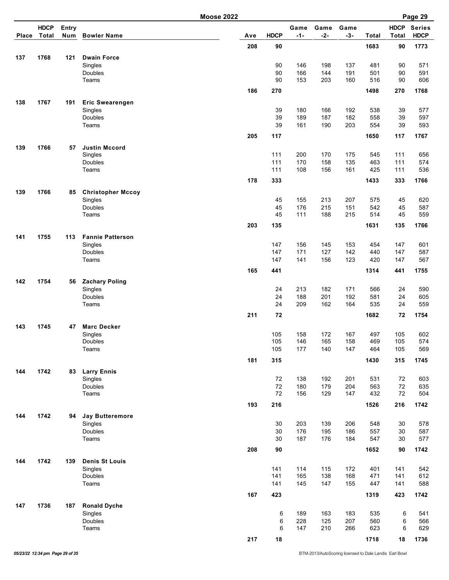|              |                             |                     |                                 | <b>Moose 2022</b> |             |               |               |               |            |                             | Page 29                      |
|--------------|-----------------------------|---------------------|---------------------------------|-------------------|-------------|---------------|---------------|---------------|------------|-----------------------------|------------------------------|
| <b>Place</b> | <b>HDCP</b><br><b>Total</b> | <b>Entry</b><br>Num | <b>Bowler Name</b>              | Ave               | <b>HDCP</b> | Game<br>$-1-$ | Game<br>$-2-$ | Game<br>$-3-$ | Total      | <b>HDCP</b><br><b>Total</b> | <b>Series</b><br><b>HDCP</b> |
|              |                             |                     |                                 | 208               | 90          |               |               |               | 1683       | 90                          | 1773                         |
| 137          | 1768                        | 121                 | <b>Dwain Force</b>              |                   |             |               |               |               |            |                             |                              |
|              |                             |                     | Singles                         |                   | 90          | 146           | 198           | 137           | 481        | 90                          | 571                          |
|              |                             |                     | Doubles                         |                   | 90          | 166           | 144           | 191           | 501        | 90                          | 591                          |
|              |                             |                     | Teams                           |                   | 90          | 153           | 203           | 160           | 516        | 90                          | 606                          |
|              |                             |                     |                                 | 186               | 270         |               |               |               | 1498       | 270                         | 1768                         |
| 138          | 1767                        | 191                 | <b>Eric Swearengen</b>          |                   |             |               |               |               |            |                             |                              |
|              |                             |                     | Singles                         |                   | 39          | 180           | 166           | 192           | 538        | 39                          | 577                          |
|              |                             |                     | Doubles                         |                   | 39          | 189           | 187           | 182           | 558        | 39                          | 597                          |
|              |                             |                     | Teams                           |                   | 39          | 161           | 190           | 203           | 554        | 39                          | 593                          |
|              |                             |                     |                                 | 205               | 117         |               |               |               | 1650       | 117                         | 1767                         |
|              |                             |                     |                                 |                   |             |               |               |               |            |                             |                              |
| 139          | 1766                        | 57                  | <b>Justin Mccord</b><br>Singles |                   | 111         | 200           | 170           | 175           | 545        | 111                         | 656                          |
|              |                             |                     | Doubles                         |                   | 111         | 170           | 158           | 135           | 463        | 111                         | 574                          |
|              |                             |                     | Teams                           |                   | 111         | 108           | 156           | 161           | 425        | 111                         | 536                          |
|              |                             |                     |                                 |                   |             |               |               |               |            |                             |                              |
|              |                             |                     |                                 | 178               | 333         |               |               |               | 1433       | 333                         | 1766                         |
| 139          | 1766                        | 85                  | <b>Christopher Mccoy</b>        |                   |             |               |               |               |            |                             |                              |
|              |                             |                     | Singles                         |                   | 45          | 155           | 213           | 207           | 575        | 45                          | 620                          |
|              |                             |                     | Doubles<br>Teams                |                   | 45<br>45    | 176<br>111    | 215<br>188    | 151<br>215    | 542<br>514 | 45<br>45                    | 587<br>559                   |
|              |                             |                     |                                 |                   |             |               |               |               |            |                             |                              |
|              |                             |                     |                                 | 203               | 135         |               |               |               | 1631       | 135                         | 1766                         |
| 141          | 1755                        | 113                 | <b>Fannie Patterson</b>         |                   |             |               |               |               |            |                             |                              |
|              |                             |                     | Singles                         |                   | 147         | 156           | 145           | 153           | 454        | 147                         | 601                          |
|              |                             |                     | Doubles                         |                   | 147         | 171           | 127           | 142           | 440        | 147                         | 587                          |
|              |                             |                     | Teams                           |                   | 147         | 141           | 156           | 123           | 420        | 147                         | 567                          |
|              |                             |                     |                                 | 165               | 441         |               |               |               | 1314       | 441                         | 1755                         |
| 142          | 1754                        | 56                  | <b>Zachary Poling</b>           |                   |             |               |               |               |            |                             |                              |
|              |                             |                     | Singles                         |                   | 24          | 213           | 182           | 171           | 566        | 24                          | 590                          |
|              |                             |                     | Doubles                         |                   | 24          | 188           | 201           | 192           | 581        | 24                          | 605                          |
|              |                             |                     | Teams                           |                   | 24          | 209           | 162           | 164           | 535        | 24                          | 559                          |
|              |                             |                     |                                 | 211               | 72          |               |               |               | 1682       | 72                          | 1754                         |
| 143          | 1745                        | 47                  | <b>Marc Decker</b>              |                   |             |               |               |               |            |                             |                              |
|              |                             |                     | Singles                         |                   | 105         | 158           | 172           | 167           | 497        | 105                         | 602                          |
|              |                             |                     | Doubles                         |                   | 105         | 146           | 165           | 158           | 469        | 105                         | 574                          |
|              |                             |                     | Teams                           |                   | 105         | 177           | 140           | 147           | 464        | 105                         | 569                          |
|              |                             |                     |                                 | 181               | 315         |               |               |               | 1430       | 315                         | 1745                         |
| 144          | 1742                        | 83                  | <b>Larry Ennis</b>              |                   |             |               |               |               |            |                             |                              |
|              |                             |                     | Singles                         |                   | 72          | 138           | 192           | 201           | 531        | 72                          | 603                          |
|              |                             |                     | Doubles                         |                   | 72          | 180           | 179           | 204           | 563        | 72                          | 635                          |
|              |                             |                     | Teams                           |                   | 72          | 156           | 129           | 147           | 432        | 72                          | 504                          |
|              |                             |                     |                                 | 193               | 216         |               |               |               | 1526       | 216                         | 1742                         |
| 144          | 1742                        | 94                  | <b>Jay Butteremore</b>          |                   |             |               |               |               |            |                             |                              |
|              |                             |                     | Singles                         |                   | 30          | 203           | 139           | 206           | 548        | 30                          | 578                          |
|              |                             |                     | Doubles                         |                   | 30          | 176           | 195           | 186           | 557        | 30                          | 587                          |
|              |                             |                     | Teams                           |                   | 30          | 187           | 176           | 184           | 547        | 30                          | 577                          |
|              |                             |                     |                                 | 208               | 90          |               |               |               | 1652       | 90                          | 1742                         |
| 144          | 1742                        | 139                 | <b>Denis St Louis</b>           |                   |             |               |               |               |            |                             |                              |
|              |                             |                     | Singles                         |                   | 141         | 114           | 115           | 172           | 401        | 141                         | 542                          |
|              |                             |                     | Doubles                         |                   | 141         | 165           | 138           | 168           | 471        | 141                         | 612                          |
|              |                             |                     | Teams                           |                   | 141         | 145           | 147           | 155           | 447        | 141                         | 588                          |
|              |                             |                     |                                 | 167               | 423         |               |               |               | 1319       | 423                         | 1742                         |
| 147          | 1736                        | 187                 | <b>Ronald Dyche</b>             |                   |             |               |               |               |            |                             |                              |
|              |                             |                     | Singles                         |                   | 6           | 189           | 163           | 183           | 535        | 6                           | 541                          |
|              |                             |                     | Doubles                         |                   | 6           | 228           | 125           | 207           | 560        | 6                           | 566                          |
|              |                             |                     | Teams                           |                   | 6           | 147           | 210           | 266           | 623        | 6                           | 629                          |
|              |                             |                     |                                 | 217               | 18          |               |               |               | 1718       | 18                          | 1736                         |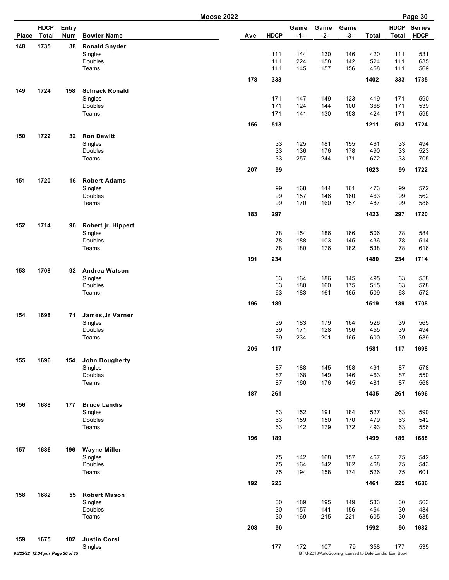|              | <b>HDCP</b>                     | Entry |                                |     |             | Game       | Game       | Game                                                   |            | <b>HDCP</b>  | <b>Series</b> |
|--------------|---------------------------------|-------|--------------------------------|-----|-------------|------------|------------|--------------------------------------------------------|------------|--------------|---------------|
| <b>Place</b> | <b>Total</b>                    | Num   | <b>Bowler Name</b>             | Ave | <b>HDCP</b> | $-1-$      | $-2-$      | $-3-$                                                  | Total      | <b>Total</b> | <b>HDCP</b>   |
| 148          | 1735                            | 38    | <b>Ronald Snyder</b>           |     |             |            |            |                                                        |            |              |               |
|              |                                 |       | Singles                        |     | 111         | 144        | 130        | 146                                                    | 420        | 111          | 531           |
|              |                                 |       | Doubles                        |     | 111         | 224        | 158        | 142                                                    | 524        | 111          | 635           |
|              |                                 |       | Teams                          |     | 111         | 145        | 157        | 156                                                    | 458        | 111          | 569           |
|              |                                 |       |                                | 178 | 333         |            |            |                                                        | 1402       | 333          | 1735          |
| 149          | 1724                            | 158   | <b>Schrack Ronald</b>          |     |             |            |            |                                                        |            |              |               |
|              |                                 |       | Singles                        |     | 171         | 147        | 149        | 123                                                    | 419        | 171          | 590           |
|              |                                 |       | Doubles                        |     | 171         | 124        | 144        | 100                                                    | 368        | 171          | 539           |
|              |                                 |       | Teams                          |     | 171         | 141        | 130        | 153                                                    | 424        | 171          | 595           |
|              |                                 |       |                                | 156 | 513         |            |            |                                                        | 1211       | 513          | 1724          |
| 150          | 1722                            | 32    | <b>Ron Dewitt</b>              |     |             |            |            |                                                        |            |              |               |
|              |                                 |       |                                |     |             |            |            |                                                        |            |              |               |
|              |                                 |       | Singles<br>Doubles             |     | 33<br>33    | 125<br>136 | 181<br>176 | 155<br>178                                             | 461<br>490 | 33<br>33     | 494<br>523    |
|              |                                 |       | Teams                          |     | 33          | 257        | 244        | 171                                                    | 672        | 33           | 705           |
|              |                                 |       |                                |     |             |            |            |                                                        |            |              |               |
|              |                                 |       |                                | 207 | 99          |            |            |                                                        | 1623       | 99           | 1722          |
| 151          | 1720                            | 16    | <b>Robert Adams</b>            |     |             |            |            |                                                        |            |              |               |
|              |                                 |       | Singles                        |     | 99          | 168        | 144        | 161                                                    | 473        | 99           | 572           |
|              |                                 |       | Doubles                        |     | 99          | 157        | 146        | 160                                                    | 463        | 99           | 562           |
|              |                                 |       | Teams                          |     | 99          | 170        | 160        | 157                                                    | 487        | 99           | 586           |
|              |                                 |       |                                | 183 | 297         |            |            |                                                        | 1423       | 297          | 1720          |
| 152          | 1714                            | 96    | Robert jr. Hippert             |     |             |            |            |                                                        |            |              |               |
|              |                                 |       | Singles                        |     | 78          | 154        | 186        | 166                                                    | 506        | 78           | 584           |
|              |                                 |       | Doubles                        |     | 78          | 188        | 103        | 145                                                    | 436        | 78           | 514           |
|              |                                 |       | Teams                          |     | 78          | 180        | 176        | 182                                                    | 538        | 78           | 616           |
|              |                                 |       |                                | 191 | 234         |            |            |                                                        | 1480       | 234          | 1714          |
| 153          | 1708                            | 92    | <b>Andrea Watson</b>           |     |             |            |            |                                                        |            |              |               |
|              |                                 |       | Singles                        |     | 63          | 164        | 186        | 145                                                    | 495        | 63           | 558           |
|              |                                 |       | Doubles                        |     | 63          | 180        | 160        | 175                                                    | 515        | 63           | 578           |
|              |                                 |       | Teams                          |     | 63          | 183        | 161        | 165                                                    | 509        | 63           | 572           |
|              |                                 |       |                                | 196 | 189         |            |            |                                                        | 1519       | 189          | 1708          |
|              |                                 |       |                                |     |             |            |            |                                                        |            |              |               |
| 154          | 1698                            | 71    | James, Jr Varner<br>Singles    |     | 39          | 183        | 179        | 164                                                    | 526        | 39           | 565           |
|              |                                 |       | <b>Doubles</b>                 |     | 39          | 171        | 128        | 156                                                    | 455        | 39           | 494           |
|              |                                 |       | Teams                          |     | 39          | 234        | 201        | 165                                                    | 600        | 39           | 639           |
|              |                                 |       |                                | 205 | 117         |            |            |                                                        | 1581       | 117          | 1698          |
|              |                                 |       |                                |     |             |            |            |                                                        |            |              |               |
| 155          | 1696                            | 154   | <b>John Dougherty</b>          |     |             |            |            |                                                        |            |              |               |
|              |                                 |       | Singles                        |     | 87          | 188        | 145        | 158                                                    | 491        | 87           | 578           |
|              |                                 |       | Doubles                        |     | 87          | 168        | 149        | 146                                                    | 463        | 87           | 550           |
|              |                                 |       | Teams                          |     | 87          | 160        | 176        | 145                                                    | 481        | 87           | 568           |
|              |                                 |       |                                | 187 | 261         |            |            |                                                        | 1435       | 261          | 1696          |
| 156          | 1688                            | 177   | <b>Bruce Landis</b>            |     |             |            |            |                                                        |            |              |               |
|              |                                 |       | Singles                        |     | 63          | 152        | 191        | 184                                                    | 527        | 63           | 590           |
|              |                                 |       | Doubles                        |     | 63          | 159        | 150        | 170                                                    | 479        | 63           | 542           |
|              |                                 |       | Teams                          |     | 63          | 142        | 179        | 172                                                    | 493        | 63           | 556           |
|              |                                 |       |                                | 196 | 189         |            |            |                                                        | 1499       | 189          | 1688          |
| 157          | 1686                            | 196   | <b>Wayne Miller</b>            |     |             |            |            |                                                        |            |              |               |
|              |                                 |       | Singles                        |     | 75          | 142        | 168        | 157                                                    | 467        | 75           | 542           |
|              |                                 |       | Doubles                        |     | 75          | 164        | 142        | 162                                                    | 468        | 75           | 543           |
|              |                                 |       | Teams                          |     | 75          | 194        | 158        | 174                                                    | 526        | 75           | 601           |
|              |                                 |       |                                | 192 | 225         |            |            |                                                        | 1461       | 225          | 1686          |
|              |                                 |       |                                |     |             |            |            |                                                        |            |              |               |
| 158          | 1682                            | 55    | <b>Robert Mason</b><br>Singles |     | 30          | 189        | 195        | 149                                                    | 533        | 30           | 563           |
|              |                                 |       | Doubles                        |     | 30          | 157        | 141        | 156                                                    | 454        | 30           | 484           |
|              |                                 |       | Teams                          |     | 30          | 169        | 215        | 221                                                    | 605        | 30           | 635           |
|              |                                 |       |                                | 208 | 90          |            |            |                                                        | 1592       | 90           | 1682          |
|              |                                 |       |                                |     |             |            |            |                                                        |            |              |               |
| 159          | 1675                            | 102   | <b>Justin Corsi</b><br>Singles |     | 177         | 172        | 107        | 79                                                     | 358        | 177          | 535           |
|              | 05/23/22 12:34 pm Page 30 of 35 |       |                                |     |             |            |            | BTM-2013/AutoScoring licensed to Dale Landis Earl Bowl |            |              |               |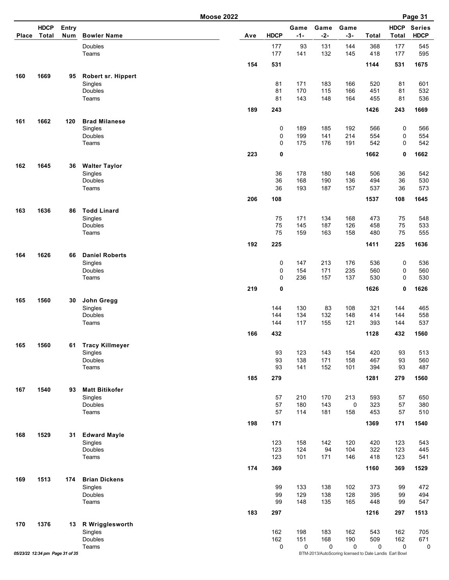| <b>Place</b> | <b>HDCP</b><br><b>Total</b>     | <b>Entry</b><br>Num | <b>Bowler Name</b>                | Ave | <b>HDCP</b> | Game<br>$-1-$ | Game<br>$-2-$ | Game<br>$-3-$                                               | Total      | <b>HDCP</b><br><b>Total</b> | <b>Series</b><br><b>HDCP</b> |
|--------------|---------------------------------|---------------------|-----------------------------------|-----|-------------|---------------|---------------|-------------------------------------------------------------|------------|-----------------------------|------------------------------|
|              |                                 |                     | Doubles<br>Teams                  |     | 177<br>177  | 93<br>141     | 131<br>132    | 144<br>145                                                  | 368<br>418 | 177<br>177                  | 545<br>595                   |
|              |                                 |                     |                                   | 154 | 531         |               |               |                                                             | 1144       | 531                         | 1675                         |
| 160          | 1669                            | 95                  | Robert sr. Hippert                |     |             |               |               |                                                             |            |                             |                              |
|              |                                 |                     | Singles                           |     | 81          | 171           | 183           | 166                                                         | 520        | 81                          | 601                          |
|              |                                 |                     | Doubles<br>Teams                  |     | 81<br>81    | 170<br>143    | 115<br>148    | 166<br>164                                                  | 451<br>455 | 81<br>81                    | 532<br>536                   |
|              |                                 |                     |                                   | 189 | 243         |               |               |                                                             | 1426       | 243                         | 1669                         |
|              |                                 |                     |                                   |     |             |               |               |                                                             |            |                             |                              |
| 161          | 1662                            | 120                 | <b>Brad Milanese</b><br>Singles   |     | 0           | 189           | 185           | 192                                                         | 566        | 0                           | 566                          |
|              |                                 |                     | Doubles                           |     | 0           | 199           | 141           | 214                                                         | 554        | 0                           | 554                          |
|              |                                 |                     | Teams                             |     | $\mathbf 0$ | 175           | 176           | 191                                                         | 542        | 0                           | 542                          |
|              |                                 |                     |                                   | 223 | 0           |               |               |                                                             | 1662       | 0                           | 1662                         |
| 162          | 1645                            | 36                  | <b>Walter Taylor</b>              |     |             |               |               |                                                             |            |                             |                              |
|              |                                 |                     | Singles<br>Doubles                |     | 36<br>36    | 178<br>168    | 180<br>190    | 148<br>136                                                  | 506<br>494 | 36<br>36                    | 542<br>530                   |
|              |                                 |                     | Teams                             |     | 36          | 193           | 187           | 157                                                         | 537        | 36                          | 573                          |
|              |                                 |                     |                                   | 206 | 108         |               |               |                                                             | 1537       | 108                         | 1645                         |
| 163          | 1636                            | 86                  | <b>Todd Linard</b>                |     |             |               |               |                                                             |            |                             |                              |
|              |                                 |                     | Singles                           |     | 75          | 171           | 134           | 168                                                         | 473        | 75                          | 548                          |
|              |                                 |                     | <b>Doubles</b>                    |     | 75          | 145           | 187           | 126                                                         | 458        | 75                          | 533                          |
|              |                                 |                     | Teams                             |     | 75          | 159           | 163           | 158                                                         | 480        | 75                          | 555                          |
|              |                                 |                     |                                   | 192 | 225         |               |               |                                                             | 1411       | 225                         | 1636                         |
| 164          | 1626                            | 66                  | <b>Daniel Roberts</b>             |     |             |               |               |                                                             |            |                             |                              |
|              |                                 |                     | Singles<br>Doubles                |     | 0<br>0      | 147<br>154    | 213<br>171    | 176<br>235                                                  | 536<br>560 | 0<br>0                      | 536<br>560                   |
|              |                                 |                     | Teams                             |     | $\mathbf 0$ | 236           | 157           | 137                                                         | 530        | $\mathbf 0$                 | 530                          |
|              |                                 |                     |                                   | 219 | 0           |               |               |                                                             | 1626       | 0                           | 1626                         |
| 165          | 1560                            | 30                  | John Gregg                        |     |             |               |               |                                                             |            |                             |                              |
|              |                                 |                     | Singles                           |     | 144         | 130           | 83            | 108                                                         | 321        | 144                         | 465                          |
|              |                                 |                     | Doubles                           |     | 144         | 134           | 132           | 148                                                         | 414        | 144                         | 558                          |
|              |                                 |                     | Teams                             |     | 144         | 117           | 155           | 121                                                         | 393        | 144                         | 537                          |
|              |                                 |                     |                                   | 166 | 432         |               |               |                                                             | 1128       | 432                         | 1560                         |
| 165          | 1560                            | 61                  | <b>Tracy Killmeyer</b><br>Singles |     | 93          | 123           | 143           | 154                                                         | 420        | 93                          | 513                          |
|              |                                 |                     | Doubles                           |     | 93          | 138           | 171           | 158                                                         | 467        | 93                          | 560                          |
|              |                                 |                     | Teams                             |     | 93          | 141           | 152           | 101                                                         | 394        | 93                          | 487                          |
|              |                                 |                     |                                   | 185 | 279         |               |               |                                                             | 1281       | 279                         | 1560                         |
| 167          | 1540                            | 93                  | <b>Matt Bitikofer</b>             |     |             |               |               |                                                             |            |                             |                              |
|              |                                 |                     | Singles                           |     | 57          | 210           | 170           | 213                                                         | 593        | 57                          | 650                          |
|              |                                 |                     | Doubles<br>Teams                  |     | 57<br>57    | 180<br>114    | 143<br>181    | 0<br>158                                                    | 323<br>453 | 57<br>57                    | 380<br>510                   |
|              |                                 |                     |                                   | 198 | 171         |               |               |                                                             | 1369       | 171                         | 1540                         |
|              |                                 |                     |                                   |     |             |               |               |                                                             |            |                             |                              |
| 168          | 1529                            | 31                  | <b>Edward Mayle</b><br>Singles    |     | 123         | 158           | 142           | 120                                                         | 420        | 123                         | 543                          |
|              |                                 |                     | Doubles                           |     | 123         | 124           | 94            | 104                                                         | 322        | 123                         | 445                          |
|              |                                 |                     | Teams                             |     | 123         | 101           | 171           | 146                                                         | 418        | 123                         | 541                          |
|              |                                 |                     |                                   | 174 | 369         |               |               |                                                             | 1160       | 369                         | 1529                         |
| 169          | 1513                            | 174                 | <b>Brian Dickens</b>              |     |             |               |               |                                                             |            |                             |                              |
|              |                                 |                     | Singles<br>Doubles                |     | 99<br>99    | 133<br>129    | 138<br>138    | 102<br>128                                                  | 373<br>395 | 99<br>99                    | 472<br>494                   |
|              |                                 |                     | Teams                             |     | 99          | 148           | 135           | 165                                                         | 448        | 99                          | 547                          |
|              |                                 |                     |                                   | 183 | 297         |               |               |                                                             | 1216       | 297                         | 1513                         |
| 170          | 1376                            | 13                  | R Wrigglesworth                   |     |             |               |               |                                                             |            |                             |                              |
|              |                                 |                     | Singles                           |     | 162         | 198           | 183           | 162                                                         | 543        | 162                         | 705                          |
|              |                                 |                     | Doubles                           |     | 162         | 151           | 168           | 190                                                         | 509        | 162                         | 671                          |
|              | 05/23/22 12:34 pm Page 31 of 35 |                     | Teams                             |     | 0           | 0             | 0             | 0<br>BTM-2013/AutoScoring licensed to Dale Landis Earl Bowl | 0          | 0                           | 0                            |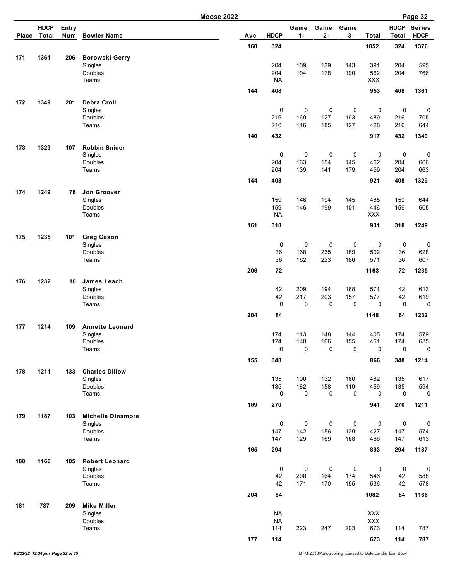| <b>HDCP</b><br>Entry<br>Game<br>Game<br>Game<br><b>HDCP</b><br><b>Total</b><br><b>HDCP</b><br>$-1-$<br>$-2-$<br>$-3-$<br><b>HDCP</b><br>Num<br><b>Bowler Name</b><br>Ave<br>Total<br>Total<br><b>Place</b><br>160<br>324<br>1052<br>324<br>1376<br>171<br>1361<br><b>Borowski Gerry</b><br>206<br>204<br>109<br>139<br>143<br>391<br>595<br>Singles<br>204<br>204<br>178<br>766<br>Doubles<br>194<br>190<br>562<br>204<br>Teams<br><b>NA</b><br>XXX<br>953<br>144<br>408<br>408<br>1361<br>172<br>1349<br>201<br><b>Debra Croll</b><br>0<br>$\mathbf 0$<br>$\mathbf 0$<br>Singles<br>0<br>0<br>0<br>0<br>127<br>Doubles<br>216<br>169<br>193<br>489<br>216<br>705<br>Teams<br>216<br>116<br>185<br>127<br>428<br>216<br>644<br>432<br>917<br>1349<br>140<br>432<br>173<br>1329<br><b>Robbin Snider</b><br>107<br>0<br>$\mathbf 0$<br>$\mathbf 0$<br>0<br>0<br>0<br>$\mathbf 0$<br>Singles<br>163<br>145<br>666<br><b>Doubles</b><br>204<br>154<br>462<br>204<br>204<br>139<br>141<br>179<br>663<br>Teams<br>459<br>204<br>144<br>408<br>921<br>408<br>1329<br>174<br>1249<br>Jon Groover<br>78<br>159<br>146<br>194<br>145<br>159<br>Singles<br>485<br>644<br>Doubles<br>159<br>146<br>101<br>446<br>605<br>199<br>159<br><b>NA</b><br>XXX<br>Teams<br>161<br>318<br>931<br>318<br>1249<br>175<br>1235<br><b>Greg Cason</b><br>101<br>$\mathbf 0$<br>$\mathbf 0$<br>$\pmb{0}$<br>0<br>0<br>Singles<br>0<br>Doubles<br>36<br>168<br>235<br>189<br>592<br>36<br>628<br>223<br>36<br>162<br>186<br>571<br>36<br>607<br>Teams<br>206<br>72<br>1163<br>72<br>1235<br>176<br>1232<br><b>James Leach</b><br>10<br>42<br>Singles<br>209<br>194<br>168<br>571<br>42<br>613<br>42<br>42<br>Doubles<br>217<br>203<br>157<br>577<br>619<br>$\mathbf 0$<br>0<br>0<br>0<br>0<br>$\mathbf 0$<br>0<br>Teams<br>204<br>84<br>84<br>1148<br>1232<br>1214<br>177<br>109<br><b>Annette Leonard</b><br>Singles<br>174<br>113<br>148<br>144<br>405<br>174<br>579<br>174<br>140<br>166<br>155<br>461<br>174<br>635<br>Doubles<br>$\pmb{0}$<br>$\mathbf 0$<br>0<br>$\mathsf 0$<br>0<br>0<br>0<br>Teams<br>155<br>348<br>866<br>348<br>1214<br>178<br>1211<br>133<br><b>Charles Dillow</b><br>Singles<br>135<br>190<br>132<br>617<br>160<br>482<br>135<br>135<br>182<br>158<br>119<br>594<br>Doubles<br>459<br>135<br>0<br>Teams<br>0<br>0<br>0<br>0<br>0<br>$\mathbf 0$<br>169<br>270<br>941<br>270<br>1211<br>1187<br>179<br><b>Michelle Dinsmore</b><br>103<br>$\pmb{0}$<br>$\pmb{0}$<br>$\pmb{0}$<br>0<br>0<br>0<br>$\boldsymbol{0}$<br>Singles<br>Doubles<br>142<br>156<br>147<br>129<br>427<br>147<br>574<br>129<br>613<br>Teams<br>147<br>169<br>168<br>466<br>147<br>165<br>294<br>893<br>294<br>1187<br>180<br>1166<br><b>Robert Leonard</b><br>105<br>$\pmb{0}$<br>$\pmb{0}$<br>$\pmb{0}$<br>0<br>0<br>$\pmb{0}$<br>Singles<br>$\boldsymbol{0}$<br>Doubles<br>42<br>208<br>164<br>174<br>546<br>42<br>588<br>Teams<br>42<br>171<br>170<br>195<br>536<br>42<br>578<br>204<br>84<br>1082<br>84<br>1166<br>181<br>787<br>209<br><b>Mike Miller</b><br><b>NA</b><br>XXX<br>Singles<br><b>NA</b><br>XXX<br>Doubles<br>673<br>Teams<br>114<br>223<br>247<br>203<br>787<br>114<br>177<br>114<br>673<br>114 |  |  | <b>Moose 2022</b> |  |  |  | Page 32       |
|--------------------------------------------------------------------------------------------------------------------------------------------------------------------------------------------------------------------------------------------------------------------------------------------------------------------------------------------------------------------------------------------------------------------------------------------------------------------------------------------------------------------------------------------------------------------------------------------------------------------------------------------------------------------------------------------------------------------------------------------------------------------------------------------------------------------------------------------------------------------------------------------------------------------------------------------------------------------------------------------------------------------------------------------------------------------------------------------------------------------------------------------------------------------------------------------------------------------------------------------------------------------------------------------------------------------------------------------------------------------------------------------------------------------------------------------------------------------------------------------------------------------------------------------------------------------------------------------------------------------------------------------------------------------------------------------------------------------------------------------------------------------------------------------------------------------------------------------------------------------------------------------------------------------------------------------------------------------------------------------------------------------------------------------------------------------------------------------------------------------------------------------------------------------------------------------------------------------------------------------------------------------------------------------------------------------------------------------------------------------------------------------------------------------------------------------------------------------------------------------------------------------------------------------------------------------------------------------------------------------------------------------------------------------------------------------------------------------------------------------------------------------------------------------------------------------------------------------------------------------------------------------------------------------------------------------------------------------------------------------------------------------------------------------------------------------------------------------------------------------------------------------------------------------------------------|--|--|-------------------|--|--|--|---------------|
|                                                                                                                                                                                                                                                                                                                                                                                                                                                                                                                                                                                                                                                                                                                                                                                                                                                                                                                                                                                                                                                                                                                                                                                                                                                                                                                                                                                                                                                                                                                                                                                                                                                                                                                                                                                                                                                                                                                                                                                                                                                                                                                                                                                                                                                                                                                                                                                                                                                                                                                                                                                                                                                                                                                                                                                                                                                                                                                                                                                                                                                                                                                                                                                      |  |  |                   |  |  |  | <b>Series</b> |
|                                                                                                                                                                                                                                                                                                                                                                                                                                                                                                                                                                                                                                                                                                                                                                                                                                                                                                                                                                                                                                                                                                                                                                                                                                                                                                                                                                                                                                                                                                                                                                                                                                                                                                                                                                                                                                                                                                                                                                                                                                                                                                                                                                                                                                                                                                                                                                                                                                                                                                                                                                                                                                                                                                                                                                                                                                                                                                                                                                                                                                                                                                                                                                                      |  |  |                   |  |  |  |               |
|                                                                                                                                                                                                                                                                                                                                                                                                                                                                                                                                                                                                                                                                                                                                                                                                                                                                                                                                                                                                                                                                                                                                                                                                                                                                                                                                                                                                                                                                                                                                                                                                                                                                                                                                                                                                                                                                                                                                                                                                                                                                                                                                                                                                                                                                                                                                                                                                                                                                                                                                                                                                                                                                                                                                                                                                                                                                                                                                                                                                                                                                                                                                                                                      |  |  |                   |  |  |  |               |
|                                                                                                                                                                                                                                                                                                                                                                                                                                                                                                                                                                                                                                                                                                                                                                                                                                                                                                                                                                                                                                                                                                                                                                                                                                                                                                                                                                                                                                                                                                                                                                                                                                                                                                                                                                                                                                                                                                                                                                                                                                                                                                                                                                                                                                                                                                                                                                                                                                                                                                                                                                                                                                                                                                                                                                                                                                                                                                                                                                                                                                                                                                                                                                                      |  |  |                   |  |  |  |               |
|                                                                                                                                                                                                                                                                                                                                                                                                                                                                                                                                                                                                                                                                                                                                                                                                                                                                                                                                                                                                                                                                                                                                                                                                                                                                                                                                                                                                                                                                                                                                                                                                                                                                                                                                                                                                                                                                                                                                                                                                                                                                                                                                                                                                                                                                                                                                                                                                                                                                                                                                                                                                                                                                                                                                                                                                                                                                                                                                                                                                                                                                                                                                                                                      |  |  |                   |  |  |  |               |
|                                                                                                                                                                                                                                                                                                                                                                                                                                                                                                                                                                                                                                                                                                                                                                                                                                                                                                                                                                                                                                                                                                                                                                                                                                                                                                                                                                                                                                                                                                                                                                                                                                                                                                                                                                                                                                                                                                                                                                                                                                                                                                                                                                                                                                                                                                                                                                                                                                                                                                                                                                                                                                                                                                                                                                                                                                                                                                                                                                                                                                                                                                                                                                                      |  |  |                   |  |  |  |               |
|                                                                                                                                                                                                                                                                                                                                                                                                                                                                                                                                                                                                                                                                                                                                                                                                                                                                                                                                                                                                                                                                                                                                                                                                                                                                                                                                                                                                                                                                                                                                                                                                                                                                                                                                                                                                                                                                                                                                                                                                                                                                                                                                                                                                                                                                                                                                                                                                                                                                                                                                                                                                                                                                                                                                                                                                                                                                                                                                                                                                                                                                                                                                                                                      |  |  |                   |  |  |  |               |
|                                                                                                                                                                                                                                                                                                                                                                                                                                                                                                                                                                                                                                                                                                                                                                                                                                                                                                                                                                                                                                                                                                                                                                                                                                                                                                                                                                                                                                                                                                                                                                                                                                                                                                                                                                                                                                                                                                                                                                                                                                                                                                                                                                                                                                                                                                                                                                                                                                                                                                                                                                                                                                                                                                                                                                                                                                                                                                                                                                                                                                                                                                                                                                                      |  |  |                   |  |  |  |               |
|                                                                                                                                                                                                                                                                                                                                                                                                                                                                                                                                                                                                                                                                                                                                                                                                                                                                                                                                                                                                                                                                                                                                                                                                                                                                                                                                                                                                                                                                                                                                                                                                                                                                                                                                                                                                                                                                                                                                                                                                                                                                                                                                                                                                                                                                                                                                                                                                                                                                                                                                                                                                                                                                                                                                                                                                                                                                                                                                                                                                                                                                                                                                                                                      |  |  |                   |  |  |  |               |
|                                                                                                                                                                                                                                                                                                                                                                                                                                                                                                                                                                                                                                                                                                                                                                                                                                                                                                                                                                                                                                                                                                                                                                                                                                                                                                                                                                                                                                                                                                                                                                                                                                                                                                                                                                                                                                                                                                                                                                                                                                                                                                                                                                                                                                                                                                                                                                                                                                                                                                                                                                                                                                                                                                                                                                                                                                                                                                                                                                                                                                                                                                                                                                                      |  |  |                   |  |  |  |               |
|                                                                                                                                                                                                                                                                                                                                                                                                                                                                                                                                                                                                                                                                                                                                                                                                                                                                                                                                                                                                                                                                                                                                                                                                                                                                                                                                                                                                                                                                                                                                                                                                                                                                                                                                                                                                                                                                                                                                                                                                                                                                                                                                                                                                                                                                                                                                                                                                                                                                                                                                                                                                                                                                                                                                                                                                                                                                                                                                                                                                                                                                                                                                                                                      |  |  |                   |  |  |  |               |
|                                                                                                                                                                                                                                                                                                                                                                                                                                                                                                                                                                                                                                                                                                                                                                                                                                                                                                                                                                                                                                                                                                                                                                                                                                                                                                                                                                                                                                                                                                                                                                                                                                                                                                                                                                                                                                                                                                                                                                                                                                                                                                                                                                                                                                                                                                                                                                                                                                                                                                                                                                                                                                                                                                                                                                                                                                                                                                                                                                                                                                                                                                                                                                                      |  |  |                   |  |  |  |               |
|                                                                                                                                                                                                                                                                                                                                                                                                                                                                                                                                                                                                                                                                                                                                                                                                                                                                                                                                                                                                                                                                                                                                                                                                                                                                                                                                                                                                                                                                                                                                                                                                                                                                                                                                                                                                                                                                                                                                                                                                                                                                                                                                                                                                                                                                                                                                                                                                                                                                                                                                                                                                                                                                                                                                                                                                                                                                                                                                                                                                                                                                                                                                                                                      |  |  |                   |  |  |  |               |
|                                                                                                                                                                                                                                                                                                                                                                                                                                                                                                                                                                                                                                                                                                                                                                                                                                                                                                                                                                                                                                                                                                                                                                                                                                                                                                                                                                                                                                                                                                                                                                                                                                                                                                                                                                                                                                                                                                                                                                                                                                                                                                                                                                                                                                                                                                                                                                                                                                                                                                                                                                                                                                                                                                                                                                                                                                                                                                                                                                                                                                                                                                                                                                                      |  |  |                   |  |  |  |               |
|                                                                                                                                                                                                                                                                                                                                                                                                                                                                                                                                                                                                                                                                                                                                                                                                                                                                                                                                                                                                                                                                                                                                                                                                                                                                                                                                                                                                                                                                                                                                                                                                                                                                                                                                                                                                                                                                                                                                                                                                                                                                                                                                                                                                                                                                                                                                                                                                                                                                                                                                                                                                                                                                                                                                                                                                                                                                                                                                                                                                                                                                                                                                                                                      |  |  |                   |  |  |  |               |
|                                                                                                                                                                                                                                                                                                                                                                                                                                                                                                                                                                                                                                                                                                                                                                                                                                                                                                                                                                                                                                                                                                                                                                                                                                                                                                                                                                                                                                                                                                                                                                                                                                                                                                                                                                                                                                                                                                                                                                                                                                                                                                                                                                                                                                                                                                                                                                                                                                                                                                                                                                                                                                                                                                                                                                                                                                                                                                                                                                                                                                                                                                                                                                                      |  |  |                   |  |  |  |               |
|                                                                                                                                                                                                                                                                                                                                                                                                                                                                                                                                                                                                                                                                                                                                                                                                                                                                                                                                                                                                                                                                                                                                                                                                                                                                                                                                                                                                                                                                                                                                                                                                                                                                                                                                                                                                                                                                                                                                                                                                                                                                                                                                                                                                                                                                                                                                                                                                                                                                                                                                                                                                                                                                                                                                                                                                                                                                                                                                                                                                                                                                                                                                                                                      |  |  |                   |  |  |  |               |
|                                                                                                                                                                                                                                                                                                                                                                                                                                                                                                                                                                                                                                                                                                                                                                                                                                                                                                                                                                                                                                                                                                                                                                                                                                                                                                                                                                                                                                                                                                                                                                                                                                                                                                                                                                                                                                                                                                                                                                                                                                                                                                                                                                                                                                                                                                                                                                                                                                                                                                                                                                                                                                                                                                                                                                                                                                                                                                                                                                                                                                                                                                                                                                                      |  |  |                   |  |  |  |               |
|                                                                                                                                                                                                                                                                                                                                                                                                                                                                                                                                                                                                                                                                                                                                                                                                                                                                                                                                                                                                                                                                                                                                                                                                                                                                                                                                                                                                                                                                                                                                                                                                                                                                                                                                                                                                                                                                                                                                                                                                                                                                                                                                                                                                                                                                                                                                                                                                                                                                                                                                                                                                                                                                                                                                                                                                                                                                                                                                                                                                                                                                                                                                                                                      |  |  |                   |  |  |  |               |
|                                                                                                                                                                                                                                                                                                                                                                                                                                                                                                                                                                                                                                                                                                                                                                                                                                                                                                                                                                                                                                                                                                                                                                                                                                                                                                                                                                                                                                                                                                                                                                                                                                                                                                                                                                                                                                                                                                                                                                                                                                                                                                                                                                                                                                                                                                                                                                                                                                                                                                                                                                                                                                                                                                                                                                                                                                                                                                                                                                                                                                                                                                                                                                                      |  |  |                   |  |  |  |               |
|                                                                                                                                                                                                                                                                                                                                                                                                                                                                                                                                                                                                                                                                                                                                                                                                                                                                                                                                                                                                                                                                                                                                                                                                                                                                                                                                                                                                                                                                                                                                                                                                                                                                                                                                                                                                                                                                                                                                                                                                                                                                                                                                                                                                                                                                                                                                                                                                                                                                                                                                                                                                                                                                                                                                                                                                                                                                                                                                                                                                                                                                                                                                                                                      |  |  |                   |  |  |  |               |
|                                                                                                                                                                                                                                                                                                                                                                                                                                                                                                                                                                                                                                                                                                                                                                                                                                                                                                                                                                                                                                                                                                                                                                                                                                                                                                                                                                                                                                                                                                                                                                                                                                                                                                                                                                                                                                                                                                                                                                                                                                                                                                                                                                                                                                                                                                                                                                                                                                                                                                                                                                                                                                                                                                                                                                                                                                                                                                                                                                                                                                                                                                                                                                                      |  |  |                   |  |  |  |               |
|                                                                                                                                                                                                                                                                                                                                                                                                                                                                                                                                                                                                                                                                                                                                                                                                                                                                                                                                                                                                                                                                                                                                                                                                                                                                                                                                                                                                                                                                                                                                                                                                                                                                                                                                                                                                                                                                                                                                                                                                                                                                                                                                                                                                                                                                                                                                                                                                                                                                                                                                                                                                                                                                                                                                                                                                                                                                                                                                                                                                                                                                                                                                                                                      |  |  |                   |  |  |  |               |
|                                                                                                                                                                                                                                                                                                                                                                                                                                                                                                                                                                                                                                                                                                                                                                                                                                                                                                                                                                                                                                                                                                                                                                                                                                                                                                                                                                                                                                                                                                                                                                                                                                                                                                                                                                                                                                                                                                                                                                                                                                                                                                                                                                                                                                                                                                                                                                                                                                                                                                                                                                                                                                                                                                                                                                                                                                                                                                                                                                                                                                                                                                                                                                                      |  |  |                   |  |  |  | $\mathbf 0$   |
|                                                                                                                                                                                                                                                                                                                                                                                                                                                                                                                                                                                                                                                                                                                                                                                                                                                                                                                                                                                                                                                                                                                                                                                                                                                                                                                                                                                                                                                                                                                                                                                                                                                                                                                                                                                                                                                                                                                                                                                                                                                                                                                                                                                                                                                                                                                                                                                                                                                                                                                                                                                                                                                                                                                                                                                                                                                                                                                                                                                                                                                                                                                                                                                      |  |  |                   |  |  |  |               |
|                                                                                                                                                                                                                                                                                                                                                                                                                                                                                                                                                                                                                                                                                                                                                                                                                                                                                                                                                                                                                                                                                                                                                                                                                                                                                                                                                                                                                                                                                                                                                                                                                                                                                                                                                                                                                                                                                                                                                                                                                                                                                                                                                                                                                                                                                                                                                                                                                                                                                                                                                                                                                                                                                                                                                                                                                                                                                                                                                                                                                                                                                                                                                                                      |  |  |                   |  |  |  |               |
|                                                                                                                                                                                                                                                                                                                                                                                                                                                                                                                                                                                                                                                                                                                                                                                                                                                                                                                                                                                                                                                                                                                                                                                                                                                                                                                                                                                                                                                                                                                                                                                                                                                                                                                                                                                                                                                                                                                                                                                                                                                                                                                                                                                                                                                                                                                                                                                                                                                                                                                                                                                                                                                                                                                                                                                                                                                                                                                                                                                                                                                                                                                                                                                      |  |  |                   |  |  |  |               |
|                                                                                                                                                                                                                                                                                                                                                                                                                                                                                                                                                                                                                                                                                                                                                                                                                                                                                                                                                                                                                                                                                                                                                                                                                                                                                                                                                                                                                                                                                                                                                                                                                                                                                                                                                                                                                                                                                                                                                                                                                                                                                                                                                                                                                                                                                                                                                                                                                                                                                                                                                                                                                                                                                                                                                                                                                                                                                                                                                                                                                                                                                                                                                                                      |  |  |                   |  |  |  |               |
|                                                                                                                                                                                                                                                                                                                                                                                                                                                                                                                                                                                                                                                                                                                                                                                                                                                                                                                                                                                                                                                                                                                                                                                                                                                                                                                                                                                                                                                                                                                                                                                                                                                                                                                                                                                                                                                                                                                                                                                                                                                                                                                                                                                                                                                                                                                                                                                                                                                                                                                                                                                                                                                                                                                                                                                                                                                                                                                                                                                                                                                                                                                                                                                      |  |  |                   |  |  |  |               |
|                                                                                                                                                                                                                                                                                                                                                                                                                                                                                                                                                                                                                                                                                                                                                                                                                                                                                                                                                                                                                                                                                                                                                                                                                                                                                                                                                                                                                                                                                                                                                                                                                                                                                                                                                                                                                                                                                                                                                                                                                                                                                                                                                                                                                                                                                                                                                                                                                                                                                                                                                                                                                                                                                                                                                                                                                                                                                                                                                                                                                                                                                                                                                                                      |  |  |                   |  |  |  |               |
|                                                                                                                                                                                                                                                                                                                                                                                                                                                                                                                                                                                                                                                                                                                                                                                                                                                                                                                                                                                                                                                                                                                                                                                                                                                                                                                                                                                                                                                                                                                                                                                                                                                                                                                                                                                                                                                                                                                                                                                                                                                                                                                                                                                                                                                                                                                                                                                                                                                                                                                                                                                                                                                                                                                                                                                                                                                                                                                                                                                                                                                                                                                                                                                      |  |  |                   |  |  |  |               |
|                                                                                                                                                                                                                                                                                                                                                                                                                                                                                                                                                                                                                                                                                                                                                                                                                                                                                                                                                                                                                                                                                                                                                                                                                                                                                                                                                                                                                                                                                                                                                                                                                                                                                                                                                                                                                                                                                                                                                                                                                                                                                                                                                                                                                                                                                                                                                                                                                                                                                                                                                                                                                                                                                                                                                                                                                                                                                                                                                                                                                                                                                                                                                                                      |  |  |                   |  |  |  |               |
|                                                                                                                                                                                                                                                                                                                                                                                                                                                                                                                                                                                                                                                                                                                                                                                                                                                                                                                                                                                                                                                                                                                                                                                                                                                                                                                                                                                                                                                                                                                                                                                                                                                                                                                                                                                                                                                                                                                                                                                                                                                                                                                                                                                                                                                                                                                                                                                                                                                                                                                                                                                                                                                                                                                                                                                                                                                                                                                                                                                                                                                                                                                                                                                      |  |  |                   |  |  |  |               |
|                                                                                                                                                                                                                                                                                                                                                                                                                                                                                                                                                                                                                                                                                                                                                                                                                                                                                                                                                                                                                                                                                                                                                                                                                                                                                                                                                                                                                                                                                                                                                                                                                                                                                                                                                                                                                                                                                                                                                                                                                                                                                                                                                                                                                                                                                                                                                                                                                                                                                                                                                                                                                                                                                                                                                                                                                                                                                                                                                                                                                                                                                                                                                                                      |  |  |                   |  |  |  |               |
|                                                                                                                                                                                                                                                                                                                                                                                                                                                                                                                                                                                                                                                                                                                                                                                                                                                                                                                                                                                                                                                                                                                                                                                                                                                                                                                                                                                                                                                                                                                                                                                                                                                                                                                                                                                                                                                                                                                                                                                                                                                                                                                                                                                                                                                                                                                                                                                                                                                                                                                                                                                                                                                                                                                                                                                                                                                                                                                                                                                                                                                                                                                                                                                      |  |  |                   |  |  |  |               |
|                                                                                                                                                                                                                                                                                                                                                                                                                                                                                                                                                                                                                                                                                                                                                                                                                                                                                                                                                                                                                                                                                                                                                                                                                                                                                                                                                                                                                                                                                                                                                                                                                                                                                                                                                                                                                                                                                                                                                                                                                                                                                                                                                                                                                                                                                                                                                                                                                                                                                                                                                                                                                                                                                                                                                                                                                                                                                                                                                                                                                                                                                                                                                                                      |  |  |                   |  |  |  |               |
|                                                                                                                                                                                                                                                                                                                                                                                                                                                                                                                                                                                                                                                                                                                                                                                                                                                                                                                                                                                                                                                                                                                                                                                                                                                                                                                                                                                                                                                                                                                                                                                                                                                                                                                                                                                                                                                                                                                                                                                                                                                                                                                                                                                                                                                                                                                                                                                                                                                                                                                                                                                                                                                                                                                                                                                                                                                                                                                                                                                                                                                                                                                                                                                      |  |  |                   |  |  |  |               |
|                                                                                                                                                                                                                                                                                                                                                                                                                                                                                                                                                                                                                                                                                                                                                                                                                                                                                                                                                                                                                                                                                                                                                                                                                                                                                                                                                                                                                                                                                                                                                                                                                                                                                                                                                                                                                                                                                                                                                                                                                                                                                                                                                                                                                                                                                                                                                                                                                                                                                                                                                                                                                                                                                                                                                                                                                                                                                                                                                                                                                                                                                                                                                                                      |  |  |                   |  |  |  |               |
|                                                                                                                                                                                                                                                                                                                                                                                                                                                                                                                                                                                                                                                                                                                                                                                                                                                                                                                                                                                                                                                                                                                                                                                                                                                                                                                                                                                                                                                                                                                                                                                                                                                                                                                                                                                                                                                                                                                                                                                                                                                                                                                                                                                                                                                                                                                                                                                                                                                                                                                                                                                                                                                                                                                                                                                                                                                                                                                                                                                                                                                                                                                                                                                      |  |  |                   |  |  |  |               |
|                                                                                                                                                                                                                                                                                                                                                                                                                                                                                                                                                                                                                                                                                                                                                                                                                                                                                                                                                                                                                                                                                                                                                                                                                                                                                                                                                                                                                                                                                                                                                                                                                                                                                                                                                                                                                                                                                                                                                                                                                                                                                                                                                                                                                                                                                                                                                                                                                                                                                                                                                                                                                                                                                                                                                                                                                                                                                                                                                                                                                                                                                                                                                                                      |  |  |                   |  |  |  |               |
|                                                                                                                                                                                                                                                                                                                                                                                                                                                                                                                                                                                                                                                                                                                                                                                                                                                                                                                                                                                                                                                                                                                                                                                                                                                                                                                                                                                                                                                                                                                                                                                                                                                                                                                                                                                                                                                                                                                                                                                                                                                                                                                                                                                                                                                                                                                                                                                                                                                                                                                                                                                                                                                                                                                                                                                                                                                                                                                                                                                                                                                                                                                                                                                      |  |  |                   |  |  |  |               |
|                                                                                                                                                                                                                                                                                                                                                                                                                                                                                                                                                                                                                                                                                                                                                                                                                                                                                                                                                                                                                                                                                                                                                                                                                                                                                                                                                                                                                                                                                                                                                                                                                                                                                                                                                                                                                                                                                                                                                                                                                                                                                                                                                                                                                                                                                                                                                                                                                                                                                                                                                                                                                                                                                                                                                                                                                                                                                                                                                                                                                                                                                                                                                                                      |  |  |                   |  |  |  |               |
|                                                                                                                                                                                                                                                                                                                                                                                                                                                                                                                                                                                                                                                                                                                                                                                                                                                                                                                                                                                                                                                                                                                                                                                                                                                                                                                                                                                                                                                                                                                                                                                                                                                                                                                                                                                                                                                                                                                                                                                                                                                                                                                                                                                                                                                                                                                                                                                                                                                                                                                                                                                                                                                                                                                                                                                                                                                                                                                                                                                                                                                                                                                                                                                      |  |  |                   |  |  |  |               |
|                                                                                                                                                                                                                                                                                                                                                                                                                                                                                                                                                                                                                                                                                                                                                                                                                                                                                                                                                                                                                                                                                                                                                                                                                                                                                                                                                                                                                                                                                                                                                                                                                                                                                                                                                                                                                                                                                                                                                                                                                                                                                                                                                                                                                                                                                                                                                                                                                                                                                                                                                                                                                                                                                                                                                                                                                                                                                                                                                                                                                                                                                                                                                                                      |  |  |                   |  |  |  |               |
|                                                                                                                                                                                                                                                                                                                                                                                                                                                                                                                                                                                                                                                                                                                                                                                                                                                                                                                                                                                                                                                                                                                                                                                                                                                                                                                                                                                                                                                                                                                                                                                                                                                                                                                                                                                                                                                                                                                                                                                                                                                                                                                                                                                                                                                                                                                                                                                                                                                                                                                                                                                                                                                                                                                                                                                                                                                                                                                                                                                                                                                                                                                                                                                      |  |  |                   |  |  |  |               |
|                                                                                                                                                                                                                                                                                                                                                                                                                                                                                                                                                                                                                                                                                                                                                                                                                                                                                                                                                                                                                                                                                                                                                                                                                                                                                                                                                                                                                                                                                                                                                                                                                                                                                                                                                                                                                                                                                                                                                                                                                                                                                                                                                                                                                                                                                                                                                                                                                                                                                                                                                                                                                                                                                                                                                                                                                                                                                                                                                                                                                                                                                                                                                                                      |  |  |                   |  |  |  |               |
|                                                                                                                                                                                                                                                                                                                                                                                                                                                                                                                                                                                                                                                                                                                                                                                                                                                                                                                                                                                                                                                                                                                                                                                                                                                                                                                                                                                                                                                                                                                                                                                                                                                                                                                                                                                                                                                                                                                                                                                                                                                                                                                                                                                                                                                                                                                                                                                                                                                                                                                                                                                                                                                                                                                                                                                                                                                                                                                                                                                                                                                                                                                                                                                      |  |  |                   |  |  |  |               |
|                                                                                                                                                                                                                                                                                                                                                                                                                                                                                                                                                                                                                                                                                                                                                                                                                                                                                                                                                                                                                                                                                                                                                                                                                                                                                                                                                                                                                                                                                                                                                                                                                                                                                                                                                                                                                                                                                                                                                                                                                                                                                                                                                                                                                                                                                                                                                                                                                                                                                                                                                                                                                                                                                                                                                                                                                                                                                                                                                                                                                                                                                                                                                                                      |  |  |                   |  |  |  |               |
|                                                                                                                                                                                                                                                                                                                                                                                                                                                                                                                                                                                                                                                                                                                                                                                                                                                                                                                                                                                                                                                                                                                                                                                                                                                                                                                                                                                                                                                                                                                                                                                                                                                                                                                                                                                                                                                                                                                                                                                                                                                                                                                                                                                                                                                                                                                                                                                                                                                                                                                                                                                                                                                                                                                                                                                                                                                                                                                                                                                                                                                                                                                                                                                      |  |  |                   |  |  |  |               |
|                                                                                                                                                                                                                                                                                                                                                                                                                                                                                                                                                                                                                                                                                                                                                                                                                                                                                                                                                                                                                                                                                                                                                                                                                                                                                                                                                                                                                                                                                                                                                                                                                                                                                                                                                                                                                                                                                                                                                                                                                                                                                                                                                                                                                                                                                                                                                                                                                                                                                                                                                                                                                                                                                                                                                                                                                                                                                                                                                                                                                                                                                                                                                                                      |  |  |                   |  |  |  |               |
|                                                                                                                                                                                                                                                                                                                                                                                                                                                                                                                                                                                                                                                                                                                                                                                                                                                                                                                                                                                                                                                                                                                                                                                                                                                                                                                                                                                                                                                                                                                                                                                                                                                                                                                                                                                                                                                                                                                                                                                                                                                                                                                                                                                                                                                                                                                                                                                                                                                                                                                                                                                                                                                                                                                                                                                                                                                                                                                                                                                                                                                                                                                                                                                      |  |  |                   |  |  |  |               |
|                                                                                                                                                                                                                                                                                                                                                                                                                                                                                                                                                                                                                                                                                                                                                                                                                                                                                                                                                                                                                                                                                                                                                                                                                                                                                                                                                                                                                                                                                                                                                                                                                                                                                                                                                                                                                                                                                                                                                                                                                                                                                                                                                                                                                                                                                                                                                                                                                                                                                                                                                                                                                                                                                                                                                                                                                                                                                                                                                                                                                                                                                                                                                                                      |  |  |                   |  |  |  |               |
|                                                                                                                                                                                                                                                                                                                                                                                                                                                                                                                                                                                                                                                                                                                                                                                                                                                                                                                                                                                                                                                                                                                                                                                                                                                                                                                                                                                                                                                                                                                                                                                                                                                                                                                                                                                                                                                                                                                                                                                                                                                                                                                                                                                                                                                                                                                                                                                                                                                                                                                                                                                                                                                                                                                                                                                                                                                                                                                                                                                                                                                                                                                                                                                      |  |  |                   |  |  |  |               |
|                                                                                                                                                                                                                                                                                                                                                                                                                                                                                                                                                                                                                                                                                                                                                                                                                                                                                                                                                                                                                                                                                                                                                                                                                                                                                                                                                                                                                                                                                                                                                                                                                                                                                                                                                                                                                                                                                                                                                                                                                                                                                                                                                                                                                                                                                                                                                                                                                                                                                                                                                                                                                                                                                                                                                                                                                                                                                                                                                                                                                                                                                                                                                                                      |  |  |                   |  |  |  |               |
|                                                                                                                                                                                                                                                                                                                                                                                                                                                                                                                                                                                                                                                                                                                                                                                                                                                                                                                                                                                                                                                                                                                                                                                                                                                                                                                                                                                                                                                                                                                                                                                                                                                                                                                                                                                                                                                                                                                                                                                                                                                                                                                                                                                                                                                                                                                                                                                                                                                                                                                                                                                                                                                                                                                                                                                                                                                                                                                                                                                                                                                                                                                                                                                      |  |  |                   |  |  |  |               |
|                                                                                                                                                                                                                                                                                                                                                                                                                                                                                                                                                                                                                                                                                                                                                                                                                                                                                                                                                                                                                                                                                                                                                                                                                                                                                                                                                                                                                                                                                                                                                                                                                                                                                                                                                                                                                                                                                                                                                                                                                                                                                                                                                                                                                                                                                                                                                                                                                                                                                                                                                                                                                                                                                                                                                                                                                                                                                                                                                                                                                                                                                                                                                                                      |  |  |                   |  |  |  | 787           |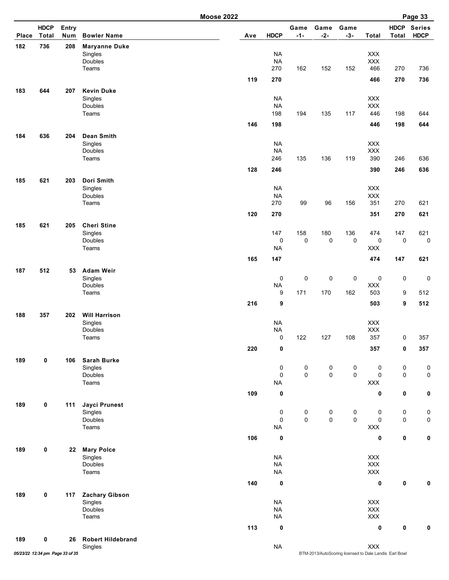|       |                             |              |                                                      | <b>Moose 2022</b> |                                       |                  |               |                  |                                            |                      | Page 33                      |
|-------|-----------------------------|--------------|------------------------------------------------------|-------------------|---------------------------------------|------------------|---------------|------------------|--------------------------------------------|----------------------|------------------------------|
| Place | <b>HDCP</b><br><b>Total</b> | Entry<br>Num | <b>Bowler Name</b>                                   | Ave               | <b>HDCP</b>                           | Game<br>$-1-$    | Game<br>$-2-$ | Game<br>$-3-$    | <b>Total</b>                               | <b>HDCP</b><br>Total | <b>Series</b><br><b>HDCP</b> |
| 182   | 736                         | 208          | <b>Maryanne Duke</b><br>Singles<br>Doubles<br>Teams  |                   | <b>NA</b><br><b>NA</b><br>270         | 162              | 152           | 152              | XXX<br>XXX<br>466                          | 270                  | 736                          |
|       |                             |              |                                                      | 119               | 270                                   |                  |               |                  | 466                                        | 270                  | 736                          |
| 183   | 644                         | 207          | <b>Kevin Duke</b><br>Singles<br>Doubles              |                   | <b>NA</b><br><b>NA</b><br>198         |                  |               |                  | XXX<br><b>XXX</b><br>446                   |                      |                              |
|       |                             |              | Teams                                                | 146               | 198                                   | 194              | 135           | 117              | 446                                        | 198<br>198           | 644<br>644                   |
| 184   | 636                         | 204          | Dean Smith<br>Singles                                |                   | <b>NA</b>                             |                  |               |                  | XXX                                        |                      |                              |
|       |                             |              | Doubles<br>Teams                                     |                   | <b>NA</b><br>246                      | 135              | 136           | 119              | <b>XXX</b><br>390                          | 246                  | 636                          |
|       |                             |              |                                                      | 128               | 246                                   |                  |               |                  | 390                                        | 246                  | 636                          |
| 185   | 621                         | 203          | Dori Smith<br>Singles<br>Doubles<br>Teams            |                   | <b>NA</b><br><b>NA</b><br>270         | 99               | 96            | 156              | <b>XXX</b><br>XXX<br>351                   | 270                  | 621                          |
|       |                             |              |                                                      | 120               | 270                                   |                  |               |                  | 351                                        | 270                  | 621                          |
| 185   | 621                         | 205          | <b>Cheri Stine</b><br>Singles<br>Doubles<br>Teams    |                   | 147<br>$\pmb{0}$<br><b>NA</b>         | 158<br>0         | 180<br>0      | 136<br>$\pmb{0}$ | 474<br>$\pmb{0}$<br><b>XXX</b>             | 147<br>$\mathsf 0$   | 621<br>$\pmb{0}$             |
|       |                             |              |                                                      | 165               | 147                                   |                  |               |                  | 474                                        | 147                  | 621                          |
| 187   | 512                         | 53           | <b>Adam Weir</b><br>Singles<br>Doubles               |                   | 0<br><b>NA</b>                        | 0                | 0             | 0                | $\pmb{0}$<br>XXX                           | $\pmb{0}$            | $\mathbf 0$                  |
|       |                             |              | Teams                                                |                   | 9                                     | 171              | 170           | 162              | 503                                        | 9                    | 512                          |
| 188   | 357                         | 202          | <b>Will Harrison</b>                                 | 216               | 9                                     |                  |               |                  | 503                                        | 9                    | 512                          |
|       |                             |              | Singles<br><b>Doubles</b><br>Teams                   |                   | <b>NA</b><br><b>NA</b><br>$\mathbf 0$ | 122              | 127           | 108              | XXX<br>XXX<br>357                          | 0                    | 357                          |
|       |                             |              |                                                      | 220               | 0                                     |                  |               |                  | 357                                        | 0                    | 357                          |
| 189   | 0                           | 106          | <b>Sarah Burke</b><br>Singles<br>Doubles<br>Teams    |                   | $\pmb{0}$<br>0<br><b>NA</b>           | $\pmb{0}$<br>0   | 0<br>0        | 0<br>0           | $\pmb{0}$<br>$\mathbf 0$<br>$\mathsf{XXX}$ | $\pmb{0}$<br>0       | 0<br>0                       |
|       |                             |              |                                                      | 109               | 0                                     |                  |               |                  | 0                                          | 0                    | 0                            |
| 189   | 0                           | 111          | <b>Jayci Prunest</b><br>Singles<br>Doubles<br>Teams  |                   | 0<br>0<br><b>NA</b>                   | 0<br>$\mathsf 0$ | 0<br>0        | 0<br>$\mathsf 0$ | 0<br>$\pmb{0}$<br>$\mathsf{XXX}$           | 0<br>0               | 0<br>$\pmb{0}$               |
|       |                             |              |                                                      | 106               | $\pmb{0}$                             |                  |               |                  | $\pmb{0}$                                  | $\pmb{0}$            | $\pmb{0}$                    |
| 189   | 0                           | 22           | <b>Mary Polce</b><br>Singles<br>Doubles<br>Teams     |                   | <b>NA</b><br><b>NA</b><br><b>NA</b>   |                  |               |                  | XXX<br>XXX<br>$\mathsf{XXX}$               |                      |                              |
|       |                             |              |                                                      | 140               | $\mathbf 0$                           |                  |               |                  | $\pmb{0}$                                  | 0                    | 0                            |
| 189   | 0                           | 117          | <b>Zachary Gibson</b><br>Singles<br>Doubles<br>Teams |                   | <b>NA</b><br><b>NA</b><br><b>NA</b>   |                  |               |                  | XXX<br>XXX<br>$\mathsf{XXX}$               |                      |                              |
|       |                             |              |                                                      | 113               | 0                                     |                  |               |                  | 0                                          | 0                    | 0                            |
| 189   | 0                           | 26           | <b>Robert Hildebrand</b><br>Singles                  |                   | <b>NA</b>                             |                  |               |                  | $\mathsf{XXX}$                             |                      |                              |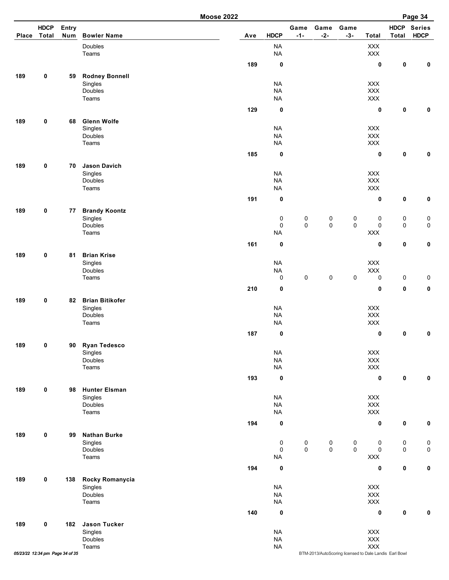| <b>Moose 2022</b> |  |
|-------------------|--|
|-------------------|--|

|       |                                 |              |                                   | <b>Moose 2022</b> |                          |                     |                     |                                                        |                       |                      | Page 34                      |
|-------|---------------------------------|--------------|-----------------------------------|-------------------|--------------------------|---------------------|---------------------|--------------------------------------------------------|-----------------------|----------------------|------------------------------|
| Place | <b>HDCP</b><br><b>Total</b>     | Entry<br>Num | <b>Bowler Name</b>                | Ave               | <b>HDCP</b>              | Game<br>$-1-$       | Game<br>$-2-$       | Game<br>$-3-$                                          | <b>Total</b>          | <b>HDCP</b><br>Total | <b>Series</b><br><b>HDCP</b> |
|       |                                 |              | Doubles<br>Teams                  |                   | <b>NA</b><br><b>NA</b>   |                     |                     |                                                        | $\mathsf{XXX}$<br>XXX |                      |                              |
|       |                                 |              |                                   | 189               | $\mathbf 0$              |                     |                     |                                                        | $\pmb{0}$             | $\pmb{0}$            | $\mathbf 0$                  |
| 189   | 0                               | 59           | <b>Rodney Bonnell</b>             |                   |                          |                     |                     |                                                        |                       |                      |                              |
|       |                                 |              | Singles                           |                   | <b>NA</b>                |                     |                     |                                                        | <b>XXX</b>            |                      |                              |
|       |                                 |              | Doubles                           |                   | <b>NA</b>                |                     |                     |                                                        | <b>XXX</b>            |                      |                              |
|       |                                 |              | Teams                             |                   | <b>NA</b>                |                     |                     |                                                        | <b>XXX</b>            |                      |                              |
|       |                                 |              |                                   | 129               | $\mathbf 0$              |                     |                     |                                                        | 0                     | $\pmb{0}$            | $\mathbf 0$                  |
| 189   | 0                               | 68           | <b>Glenn Wolfe</b>                |                   |                          |                     |                     |                                                        |                       |                      |                              |
|       |                                 |              | Singles                           |                   | <b>NA</b>                |                     |                     |                                                        | <b>XXX</b>            |                      |                              |
|       |                                 |              | Doubles<br>Teams                  |                   | <b>NA</b><br><b>NA</b>   |                     |                     |                                                        | XXX<br>$\mathsf{XXX}$ |                      |                              |
|       |                                 |              |                                   | 185               | $\mathbf 0$              |                     |                     |                                                        | 0                     | 0                    | $\mathbf 0$                  |
|       |                                 |              |                                   |                   |                          |                     |                     |                                                        |                       |                      |                              |
| 189   | 0                               | 70           | <b>Jason Davich</b><br>Singles    |                   | <b>NA</b>                |                     |                     |                                                        | <b>XXX</b>            |                      |                              |
|       |                                 |              | Doubles                           |                   | <b>NA</b>                |                     |                     |                                                        | XXX                   |                      |                              |
|       |                                 |              | Teams                             |                   | <b>NA</b>                |                     |                     |                                                        | XXX                   |                      |                              |
|       |                                 |              |                                   | 191               | $\mathbf 0$              |                     |                     |                                                        | 0                     | 0                    | $\mathbf 0$                  |
| 189   | 0                               | 77           | <b>Brandy Koontz</b>              |                   |                          |                     |                     |                                                        |                       |                      |                              |
|       |                                 |              | Singles                           |                   | $\pmb{0}$                | $\pmb{0}$           | $\pmb{0}$           | 0                                                      | 0                     | $\pmb{0}$            | $\pmb{0}$                    |
|       |                                 |              | Doubles                           |                   | 0                        | $\mathsf{O}\xspace$ | $\mathsf{O}\xspace$ | $\mathsf{O}\xspace$                                    | $\pmb{0}$             | $\pmb{0}$            | $\pmb{0}$                    |
|       |                                 |              | Teams                             |                   | <b>NA</b>                |                     |                     |                                                        | $\mathsf{XXX}$        |                      |                              |
|       |                                 |              |                                   | 161               | $\mathbf 0$              |                     |                     |                                                        | 0                     | $\pmb{0}$            | $\mathbf 0$                  |
| 189   | 0                               | 81           | <b>Brian Krise</b>                |                   |                          |                     |                     |                                                        |                       |                      |                              |
|       |                                 |              | Singles                           |                   | <b>NA</b>                |                     |                     |                                                        | XXX                   |                      |                              |
|       |                                 |              | Doubles<br>Teams                  |                   | <b>NA</b><br>$\mathbf 0$ | $\mathsf 0$         | $\mathsf 0$         | 0                                                      | $\mathsf{XXX}$<br>0   | $\pmb{0}$            | $\pmb{0}$                    |
|       |                                 |              |                                   | 210               | $\mathbf 0$              |                     |                     |                                                        | 0                     | $\pmb{0}$            | $\pmb{0}$                    |
|       |                                 |              |                                   |                   |                          |                     |                     |                                                        |                       |                      |                              |
| 189   | 0                               | 82           | <b>Brian Bitikofer</b><br>Singles |                   | <b>NA</b>                |                     |                     |                                                        | XXX                   |                      |                              |
|       |                                 |              | Doubles                           |                   | <b>NA</b>                |                     |                     |                                                        | <b>XXX</b>            |                      |                              |
|       |                                 |              | Teams                             |                   | <b>NA</b>                |                     |                     |                                                        | XXX                   |                      |                              |
|       |                                 |              |                                   | 187               | $\mathbf 0$              |                     |                     |                                                        | 0                     | $\pmb{0}$            | $\mathbf 0$                  |
| 189   | 0                               | 90           | <b>Ryan Tedesco</b>               |                   |                          |                     |                     |                                                        |                       |                      |                              |
|       |                                 |              | Singles                           |                   | <b>NA</b>                |                     |                     |                                                        | XXX                   |                      |                              |
|       |                                 |              | Doubles                           |                   | <b>NA</b>                |                     |                     |                                                        | XXX                   |                      |                              |
|       |                                 |              | Teams                             |                   | <b>NA</b>                |                     |                     |                                                        | $\mathsf{XXX}$        |                      |                              |
|       |                                 |              |                                   | 193               | $\mathbf 0$              |                     |                     |                                                        | 0                     | $\mathbf 0$          | $\mathbf 0$                  |
| 189   | 0                               | 98           | <b>Hunter Elsman</b>              |                   |                          |                     |                     |                                                        |                       |                      |                              |
|       |                                 |              | Singles<br>Doubles                |                   | <b>NA</b><br><b>NA</b>   |                     |                     |                                                        | <b>XXX</b><br>XXX     |                      |                              |
|       |                                 |              | Teams                             |                   | <b>NA</b>                |                     |                     |                                                        | XXX                   |                      |                              |
|       |                                 |              |                                   | 194               | $\mathbf 0$              |                     |                     |                                                        | 0                     | 0                    | $\mathbf 0$                  |
| 189   | 0                               | 99           | <b>Nathan Burke</b>               |                   |                          |                     |                     |                                                        |                       |                      |                              |
|       |                                 |              | Singles                           |                   | 0                        | 0                   | 0                   | 0                                                      | 0                     | 0                    | $\pmb{0}$                    |
|       |                                 |              | Doubles                           |                   | 0                        | $\mathsf 0$         | $\mathsf 0$         | $\mathsf{O}\xspace$                                    | 0                     | $\mathsf{O}\xspace$  | $\pmb{0}$                    |
|       |                                 |              | Teams                             |                   | <b>NA</b>                |                     |                     |                                                        | XXX                   |                      |                              |
|       |                                 |              |                                   | 194               | $\mathbf 0$              |                     |                     |                                                        | 0                     | $\pmb{0}$            | $\mathbf 0$                  |
| 189   | 0                               | 138          | Rocky Romanycia                   |                   |                          |                     |                     |                                                        |                       |                      |                              |
|       |                                 |              | Singles                           |                   | <b>NA</b>                |                     |                     |                                                        | XXX                   |                      |                              |
|       |                                 |              | Doubles<br>Teams                  |                   | <b>NA</b><br><b>NA</b>   |                     |                     |                                                        | XXX<br>XXX            |                      |                              |
|       |                                 |              |                                   |                   |                          |                     |                     |                                                        |                       |                      |                              |
|       |                                 |              |                                   | 140               | $\mathbf 0$              |                     |                     |                                                        | 0                     | $\mathbf 0$          | $\mathbf 0$                  |
| 189   | 0                               | 182          | <b>Jason Tucker</b>               |                   |                          |                     |                     |                                                        |                       |                      |                              |
|       |                                 |              | Singles<br>Doubles                |                   | <b>NA</b><br><b>NA</b>   |                     |                     |                                                        | XXX<br>$\mathsf{XXX}$ |                      |                              |
|       |                                 |              | Teams                             |                   | <b>NA</b>                |                     |                     |                                                        | <b>XXX</b>            |                      |                              |
|       | 05/23/22 12:34 pm Page 34 of 35 |              |                                   |                   |                          |                     |                     | BTM-2013/AutoScoring licensed to Dale Landis Earl Bowl |                       |                      |                              |